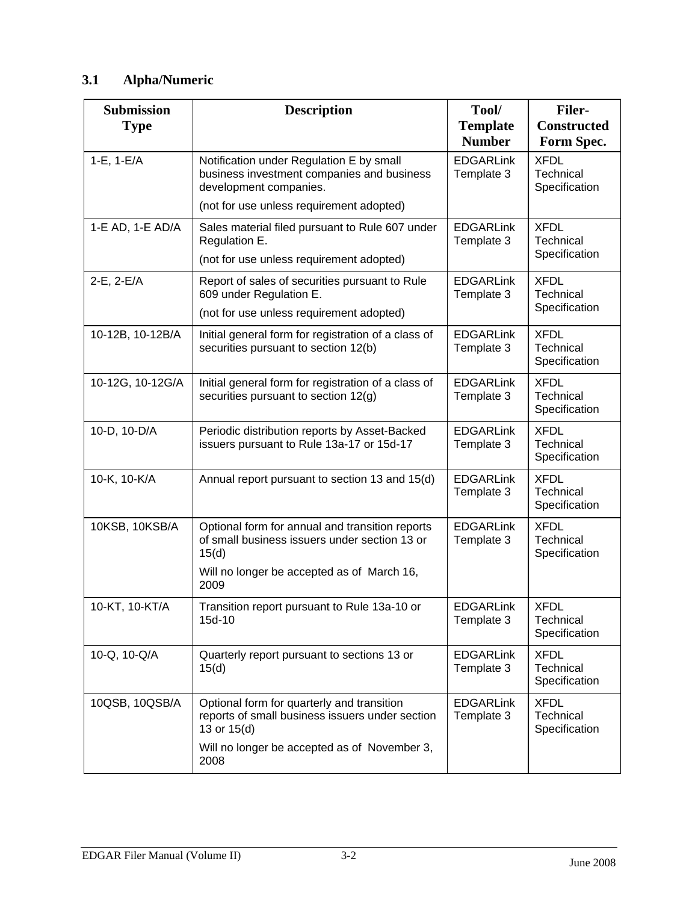# **3.1 Alpha/Numeric**

| <b>Submission</b><br><b>Type</b> | <b>Description</b>                                                                                                                                              | Tool/<br><b>Template</b><br><b>Number</b> | <b>Filer-</b><br><b>Constructed</b><br>Form Spec. |
|----------------------------------|-----------------------------------------------------------------------------------------------------------------------------------------------------------------|-------------------------------------------|---------------------------------------------------|
| $1-E$ , $1-E/A$                  | Notification under Regulation E by small<br>business investment companies and business<br>development companies.                                                | <b>EDGARLink</b><br>Template 3            | <b>XFDL</b><br>Technical<br>Specification         |
|                                  | (not for use unless requirement adopted)                                                                                                                        |                                           |                                                   |
| 1-E AD, 1-E AD/A                 | Sales material filed pursuant to Rule 607 under<br>Regulation E.                                                                                                | <b>EDGARLink</b><br>Template 3            | <b>XFDL</b><br>Technical<br>Specification         |
|                                  | (not for use unless requirement adopted)                                                                                                                        |                                           |                                                   |
| 2-E, 2-E/A                       | Report of sales of securities pursuant to Rule<br>609 under Regulation E.                                                                                       | <b>EDGARLink</b><br>Template 3            | <b>XFDL</b><br>Technical                          |
|                                  | (not for use unless requirement adopted)                                                                                                                        |                                           | Specification                                     |
| 10-12B, 10-12B/A                 | Initial general form for registration of a class of<br>securities pursuant to section 12(b)                                                                     | <b>EDGARLink</b><br>Template 3            | <b>XFDL</b><br>Technical<br>Specification         |
| 10-12G, 10-12G/A                 | Initial general form for registration of a class of<br>securities pursuant to section 12(g)                                                                     | <b>EDGARLink</b><br>Template 3            | <b>XFDL</b><br>Technical<br>Specification         |
| 10-D, 10-D/A                     | Periodic distribution reports by Asset-Backed<br>issuers pursuant to Rule 13a-17 or 15d-17                                                                      | <b>EDGARLink</b><br>Template 3            | <b>XFDL</b><br>Technical<br>Specification         |
| 10-K, 10-K/A                     | Annual report pursuant to section 13 and 15(d)                                                                                                                  | <b>EDGARLink</b><br>Template 3            | <b>XFDL</b><br>Technical<br>Specification         |
| 10KSB, 10KSB/A                   | Optional form for annual and transition reports<br>of small business issuers under section 13 or<br>15(d)<br>Will no longer be accepted as of March 16,<br>2009 | <b>EDGARLink</b><br>Template 3            | <b>XFDL</b><br>Technical<br>Specification         |
| 10-KT, 10-KT/A                   | Transition report pursuant to Rule 13a-10 or<br>15d-10                                                                                                          | <b>EDGARLink</b><br>Template 3            | <b>XFDL</b><br>Technical<br>Specification         |
| 10-Q, 10-Q/A                     | Quarterly report pursuant to sections 13 or<br>15(d)                                                                                                            | <b>EDGARLink</b><br>Template 3            | <b>XFDL</b><br>Technical<br>Specification         |
| 10QSB, 10QSB/A                   | Optional form for quarterly and transition<br>reports of small business issuers under section<br>13 or 15(d)                                                    | <b>EDGARLink</b><br>Template 3            | <b>XFDL</b><br>Technical<br>Specification         |
|                                  | Will no longer be accepted as of November 3,<br>2008                                                                                                            |                                           |                                                   |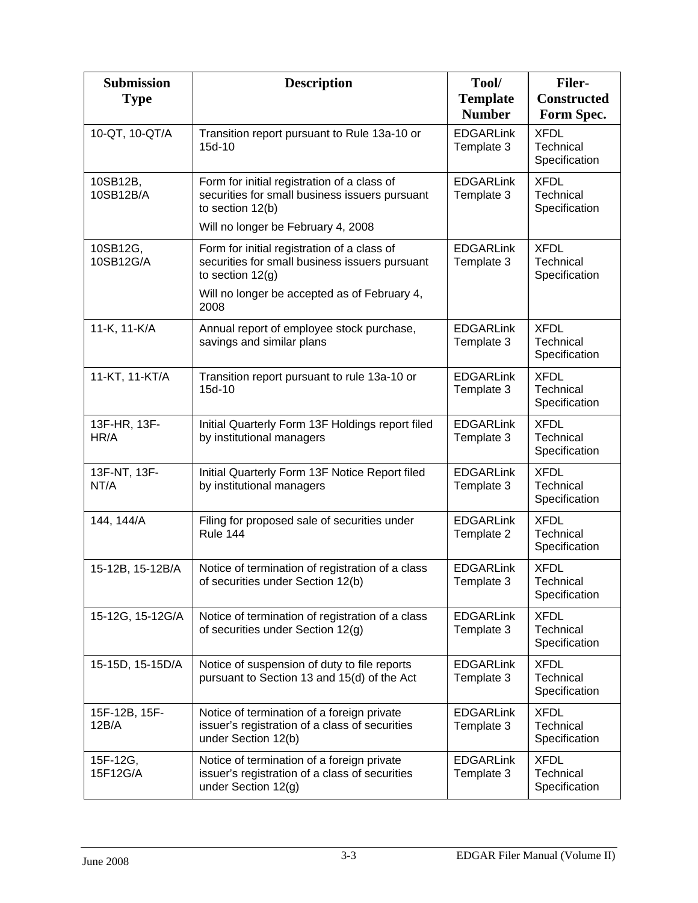| <b>Submission</b><br><b>Type</b> | <b>Description</b>                                                                                                                                                          | Tool/<br><b>Template</b><br><b>Number</b> | <b>Filer-</b><br><b>Constructed</b><br>Form Spec. |
|----------------------------------|-----------------------------------------------------------------------------------------------------------------------------------------------------------------------------|-------------------------------------------|---------------------------------------------------|
| 10-QT, 10-QT/A                   | Transition report pursuant to Rule 13a-10 or<br>15d-10                                                                                                                      | <b>EDGARLink</b><br>Template 3            | <b>XFDL</b><br>Technical<br>Specification         |
| 10SB12B,<br>10SB12B/A            | Form for initial registration of a class of<br>securities for small business issuers pursuant<br>to section 12(b)<br>Will no longer be February 4, 2008                     | <b>EDGARLink</b><br>Template 3            | <b>XFDL</b><br>Technical<br>Specification         |
| 10SB12G,<br>10SB12G/A            | Form for initial registration of a class of<br>securities for small business issuers pursuant<br>to section $12(g)$<br>Will no longer be accepted as of February 4,<br>2008 | <b>EDGARLink</b><br>Template 3            | <b>XFDL</b><br>Technical<br>Specification         |
| 11-K, 11-K/A                     | Annual report of employee stock purchase,<br>savings and similar plans                                                                                                      | <b>EDGARLink</b><br>Template 3            | <b>XFDL</b><br>Technical<br>Specification         |
| 11-KT, 11-KT/A                   | Transition report pursuant to rule 13a-10 or<br>15d-10                                                                                                                      | <b>EDGARLink</b><br>Template 3            | <b>XFDL</b><br>Technical<br>Specification         |
| 13F-HR, 13F-<br>HR/A             | Initial Quarterly Form 13F Holdings report filed<br>by institutional managers                                                                                               | <b>EDGARLink</b><br>Template 3            | <b>XFDL</b><br>Technical<br>Specification         |
| 13F-NT, 13F-<br>NT/A             | Initial Quarterly Form 13F Notice Report filed<br>by institutional managers                                                                                                 | <b>EDGARLink</b><br>Template 3            | <b>XFDL</b><br>Technical<br>Specification         |
| 144, 144/A                       | Filing for proposed sale of securities under<br><b>Rule 144</b>                                                                                                             | <b>EDGARLink</b><br>Template 2            | <b>XFDL</b><br>Technical<br>Specification         |
| 15-12B, 15-12B/A                 | Notice of termination of registration of a class<br>of securities under Section 12(b)                                                                                       | <b>EDGARLink</b><br>Template 3            | <b>XFDL</b><br>Technical<br>Specification         |
| 15-12G, 15-12G/A                 | Notice of termination of registration of a class<br>of securities under Section 12(g)                                                                                       | <b>EDGARLink</b><br>Template 3            | <b>XFDL</b><br>Technical<br>Specification         |
| 15-15D, 15-15D/A                 | Notice of suspension of duty to file reports<br>pursuant to Section 13 and 15(d) of the Act                                                                                 | <b>EDGARLink</b><br>Template 3            | <b>XFDL</b><br>Technical<br>Specification         |
| 15F-12B, 15F-<br>12B/A           | Notice of termination of a foreign private<br>issuer's registration of a class of securities<br>under Section 12(b)                                                         | <b>EDGARLink</b><br>Template 3            | <b>XFDL</b><br>Technical<br>Specification         |
| 15F-12G,<br>15F12G/A             | Notice of termination of a foreign private<br>issuer's registration of a class of securities<br>under Section 12(g)                                                         | <b>EDGARLink</b><br>Template 3            | <b>XFDL</b><br>Technical<br>Specification         |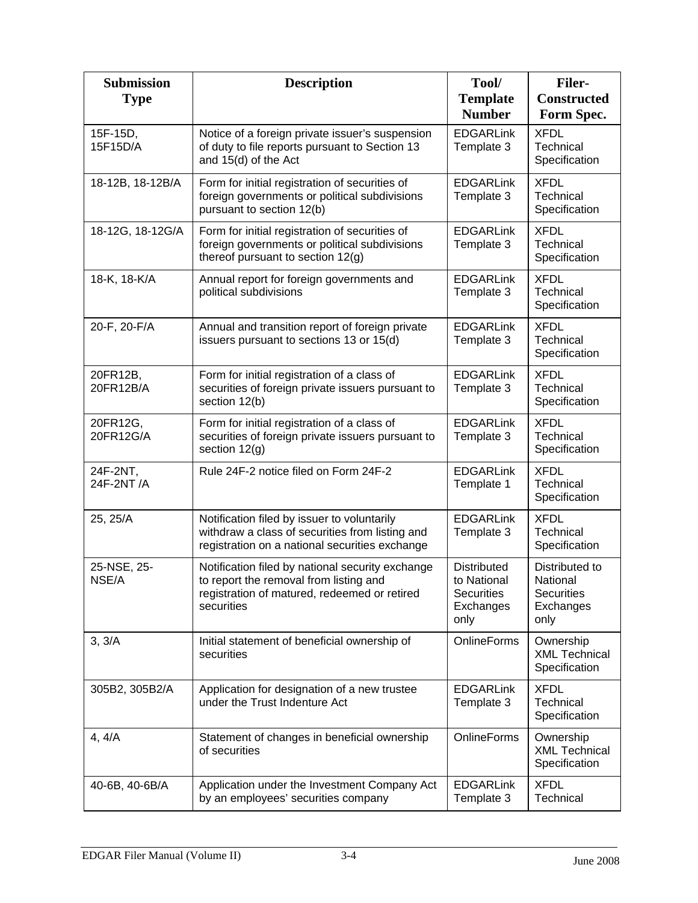| <b>Submission</b><br><b>Type</b> | <b>Description</b>                                                                                                                                       | Tool/<br><b>Template</b>                                                    | <b>Filer-</b><br><b>Constructed</b>                                  |
|----------------------------------|----------------------------------------------------------------------------------------------------------------------------------------------------------|-----------------------------------------------------------------------------|----------------------------------------------------------------------|
|                                  |                                                                                                                                                          | <b>Number</b>                                                               | Form Spec.                                                           |
| 15F-15D,<br>15F15D/A             | Notice of a foreign private issuer's suspension<br>of duty to file reports pursuant to Section 13<br>and 15(d) of the Act                                | <b>EDGARLink</b><br>Template 3                                              | <b>XFDL</b><br>Technical<br>Specification                            |
| 18-12B, 18-12B/A                 | Form for initial registration of securities of<br>foreign governments or political subdivisions<br>pursuant to section 12(b)                             | <b>EDGARLink</b><br>Template 3                                              | <b>XFDL</b><br>Technical<br>Specification                            |
| 18-12G, 18-12G/A                 | Form for initial registration of securities of<br>foreign governments or political subdivisions<br>thereof pursuant to section 12(g)                     | <b>EDGARLink</b><br>Template 3                                              | <b>XFDL</b><br>Technical<br>Specification                            |
| 18-K, 18-K/A                     | Annual report for foreign governments and<br>political subdivisions                                                                                      | <b>EDGARLink</b><br>Template 3                                              | <b>XFDL</b><br>Technical<br>Specification                            |
| 20-F, 20-F/A                     | Annual and transition report of foreign private<br>issuers pursuant to sections 13 or 15(d)                                                              | <b>EDGARLink</b><br>Template 3                                              | <b>XFDL</b><br>Technical<br>Specification                            |
| 20FR12B,<br>20FR12B/A            | Form for initial registration of a class of<br>securities of foreign private issuers pursuant to<br>section 12(b)                                        | <b>EDGARLink</b><br>Template 3                                              | <b>XFDL</b><br>Technical<br>Specification                            |
| 20FR12G,<br>20FR12G/A            | Form for initial registration of a class of<br>securities of foreign private issuers pursuant to<br>section 12(g)                                        | <b>EDGARLink</b><br>Template 3                                              | <b>XFDL</b><br>Technical<br>Specification                            |
| 24F-2NT,<br>24F-2NT/A            | Rule 24F-2 notice filed on Form 24F-2                                                                                                                    | <b>EDGARLink</b><br>Template 1                                              | <b>XFDL</b><br>Technical<br>Specification                            |
| 25, 25/A                         | Notification filed by issuer to voluntarily<br>withdraw a class of securities from listing and<br>registration on a national securities exchange         | <b>EDGARLink</b><br>Template 3                                              | <b>XFDL</b><br>Technical<br>Specification                            |
| 25-NSE, 25-<br>NSE/A             | Notification filed by national security exchange<br>to report the removal from listing and<br>registration of matured, redeemed or retired<br>securities | <b>Distributed</b><br>to National<br><b>Securities</b><br>Exchanges<br>only | Distributed to<br>National<br><b>Securities</b><br>Exchanges<br>only |
| 3, 3/A                           | Initial statement of beneficial ownership of<br>securities                                                                                               | <b>OnlineForms</b>                                                          | Ownership<br><b>XML Technical</b><br>Specification                   |
| 305B2, 305B2/A                   | Application for designation of a new trustee<br>under the Trust Indenture Act                                                                            | <b>EDGARLink</b><br>Template 3                                              | <b>XFDL</b><br>Technical<br>Specification                            |
| 4, 4/A                           | Statement of changes in beneficial ownership<br>of securities                                                                                            | <b>OnlineForms</b>                                                          | Ownership<br><b>XML Technical</b><br>Specification                   |
| 40-6B, 40-6B/A                   | Application under the Investment Company Act<br>by an employees' securities company                                                                      | <b>EDGARLink</b><br>Template 3                                              | <b>XFDL</b><br>Technical                                             |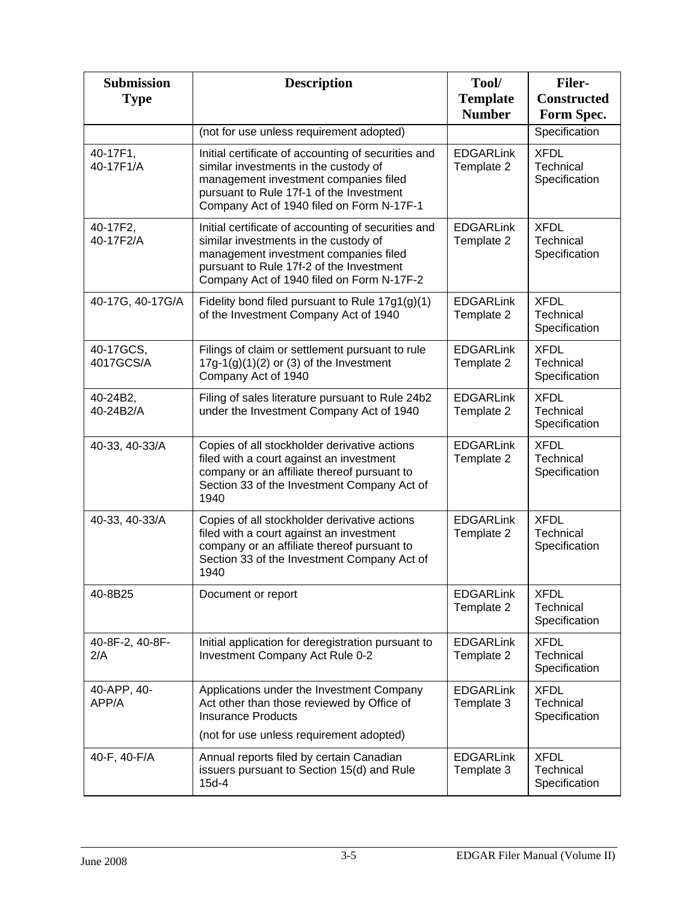| <b>Submission</b><br><b>Type</b> | <b>Description</b>                                                                                                                                                                                                             | Tool/<br><b>Template</b><br><b>Number</b> | <b>Filer-</b><br><b>Constructed</b><br>Form Spec. |
|----------------------------------|--------------------------------------------------------------------------------------------------------------------------------------------------------------------------------------------------------------------------------|-------------------------------------------|---------------------------------------------------|
|                                  | (not for use unless requirement adopted)                                                                                                                                                                                       |                                           | Specification                                     |
| 40-17F1,<br>40-17F1/A            | Initial certificate of accounting of securities and<br>similar investments in the custody of<br>management investment companies filed<br>pursuant to Rule 17f-1 of the Investment<br>Company Act of 1940 filed on Form N-17F-1 | <b>EDGARLink</b><br>Template 2            | <b>XFDL</b><br>Technical<br>Specification         |
| 40-17F2,<br>40-17F2/A            | Initial certificate of accounting of securities and<br>similar investments in the custody of<br>management investment companies filed<br>pursuant to Rule 17f-2 of the Investment<br>Company Act of 1940 filed on Form N-17F-2 | <b>EDGARLink</b><br>Template 2            | <b>XFDL</b><br><b>Technical</b><br>Specification  |
| 40-17G, 40-17G/A                 | Fidelity bond filed pursuant to Rule $17g1(g)(1)$<br>of the Investment Company Act of 1940                                                                                                                                     | <b>EDGARLink</b><br>Template 2            | <b>XFDL</b><br>Technical<br>Specification         |
| 40-17GCS,<br>4017GCS/A           | Filings of claim or settlement pursuant to rule<br>$17g-1(g)(1)(2)$ or (3) of the Investment<br>Company Act of 1940                                                                                                            | <b>EDGARLink</b><br>Template 2            | <b>XFDL</b><br>Technical<br>Specification         |
| 40-24B2,<br>40-24B2/A            | Filing of sales literature pursuant to Rule 24b2<br>under the Investment Company Act of 1940                                                                                                                                   | <b>EDGARLink</b><br>Template 2            | <b>XFDL</b><br>Technical<br>Specification         |
| 40-33, 40-33/A                   | Copies of all stockholder derivative actions<br>filed with a court against an investment<br>company or an affiliate thereof pursuant to<br>Section 33 of the Investment Company Act of<br>1940                                 | <b>EDGARLink</b><br>Template 2            | <b>XFDL</b><br>Technical<br>Specification         |
| 40-33, 40-33/A                   | Copies of all stockholder derivative actions<br>filed with a court against an investment<br>company or an affiliate thereof pursuant to<br>Section 33 of the Investment Company Act of<br>1940                                 | <b>EDGARLink</b><br>Template 2            | <b>XFDL</b><br>Technical<br>Specification         |
| 40-8B25                          | Document or report                                                                                                                                                                                                             | <b>EDGARLink</b><br>Template 2            | <b>XFDL</b><br>Technical<br>Specification         |
| 40-8F-2, 40-8F-<br>2/A           | Initial application for deregistration pursuant to<br>Investment Company Act Rule 0-2                                                                                                                                          | <b>EDGARLink</b><br>Template 2            | <b>XFDL</b><br>Technical<br>Specification         |
| 40-APP, 40-<br>APP/A             | Applications under the Investment Company<br>Act other than those reviewed by Office of<br><b>Insurance Products</b>                                                                                                           | <b>EDGARLink</b><br>Template 3            | <b>XFDL</b><br>Technical<br>Specification         |
|                                  | (not for use unless requirement adopted)                                                                                                                                                                                       |                                           |                                                   |
| 40-F, 40-F/A                     | Annual reports filed by certain Canadian<br>issuers pursuant to Section 15(d) and Rule<br>$15d-4$                                                                                                                              | <b>EDGARLink</b><br>Template 3            | <b>XFDL</b><br>Technical<br>Specification         |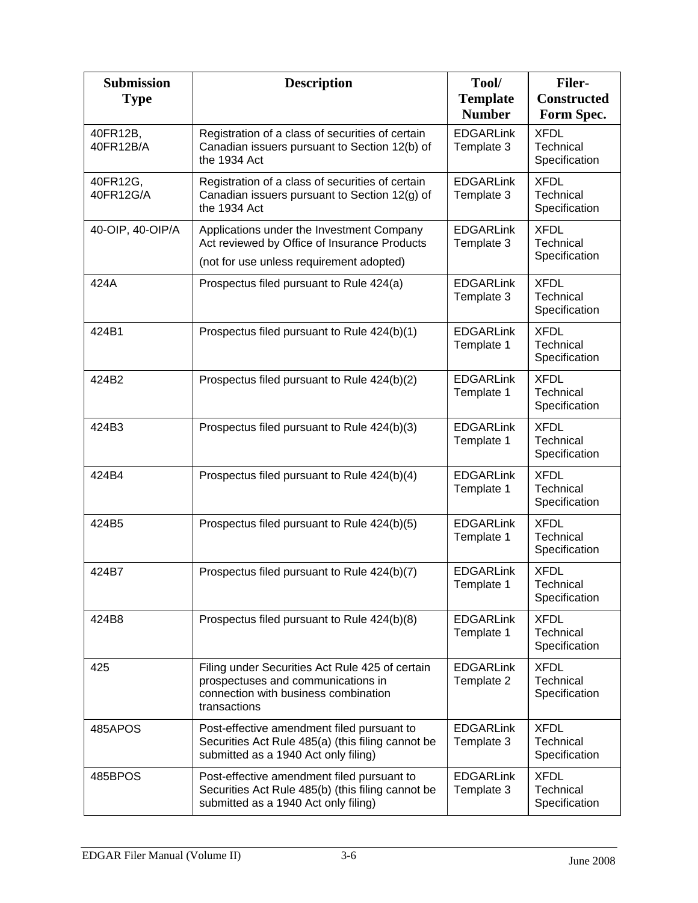| <b>Submission</b><br><b>Type</b> | <b>Description</b>                                                                                                                            | Tool/<br><b>Template</b><br><b>Number</b> | <b>Filer-</b><br><b>Constructed</b><br>Form Spec. |
|----------------------------------|-----------------------------------------------------------------------------------------------------------------------------------------------|-------------------------------------------|---------------------------------------------------|
| 40FR12B,<br>40FR12B/A            | Registration of a class of securities of certain<br>Canadian issuers pursuant to Section 12(b) of<br>the 1934 Act                             | <b>EDGARLink</b><br>Template 3            | <b>XFDL</b><br>Technical<br>Specification         |
| 40FR12G,<br>40FR12G/A            | Registration of a class of securities of certain<br>Canadian issuers pursuant to Section 12(g) of<br>the 1934 Act                             | <b>EDGARLink</b><br>Template 3            | <b>XFDL</b><br>Technical<br>Specification         |
| 40-OIP, 40-OIP/A                 | Applications under the Investment Company<br>Act reviewed by Office of Insurance Products<br>(not for use unless requirement adopted)         | <b>EDGARLink</b><br>Template 3            | <b>XFDL</b><br>Technical<br>Specification         |
| 424A                             | Prospectus filed pursuant to Rule 424(a)                                                                                                      | <b>EDGARLink</b><br>Template 3            | <b>XFDL</b><br>Technical<br>Specification         |
| 424B1                            | Prospectus filed pursuant to Rule 424(b)(1)                                                                                                   | <b>EDGARLink</b><br>Template 1            | <b>XFDL</b><br>Technical<br>Specification         |
| 424B2                            | Prospectus filed pursuant to Rule 424(b)(2)                                                                                                   | <b>EDGARLink</b><br>Template 1            | <b>XFDL</b><br>Technical<br>Specification         |
| 424B3                            | Prospectus filed pursuant to Rule 424(b)(3)                                                                                                   | <b>EDGARLink</b><br>Template 1            | <b>XFDL</b><br>Technical<br>Specification         |
| 424B4                            | Prospectus filed pursuant to Rule 424(b)(4)                                                                                                   | <b>EDGARLink</b><br>Template 1            | <b>XFDL</b><br>Technical<br>Specification         |
| 424B5                            | Prospectus filed pursuant to Rule 424(b)(5)                                                                                                   | <b>EDGARLink</b><br>Template 1            | <b>XFDL</b><br>Technical<br>Specification         |
| 424B7                            | Prospectus filed pursuant to Rule 424(b)(7)                                                                                                   | <b>EDGARLink</b><br>Template 1            | <b>XFDL</b><br>I echnical<br>Specification        |
| 424B8                            | Prospectus filed pursuant to Rule 424(b)(8)                                                                                                   | <b>EDGARLink</b><br>Template 1            | <b>XFDL</b><br>Technical<br>Specification         |
| 425                              | Filing under Securities Act Rule 425 of certain<br>prospectuses and communications in<br>connection with business combination<br>transactions | <b>EDGARLink</b><br>Template 2            | <b>XFDL</b><br>Technical<br>Specification         |
| 485APOS                          | Post-effective amendment filed pursuant to<br>Securities Act Rule 485(a) (this filing cannot be<br>submitted as a 1940 Act only filing)       | <b>EDGARLink</b><br>Template 3            | <b>XFDL</b><br>Technical<br>Specification         |
| 485BPOS                          | Post-effective amendment filed pursuant to<br>Securities Act Rule 485(b) (this filing cannot be<br>submitted as a 1940 Act only filing)       | <b>EDGARLink</b><br>Template 3            | <b>XFDL</b><br>Technical<br>Specification         |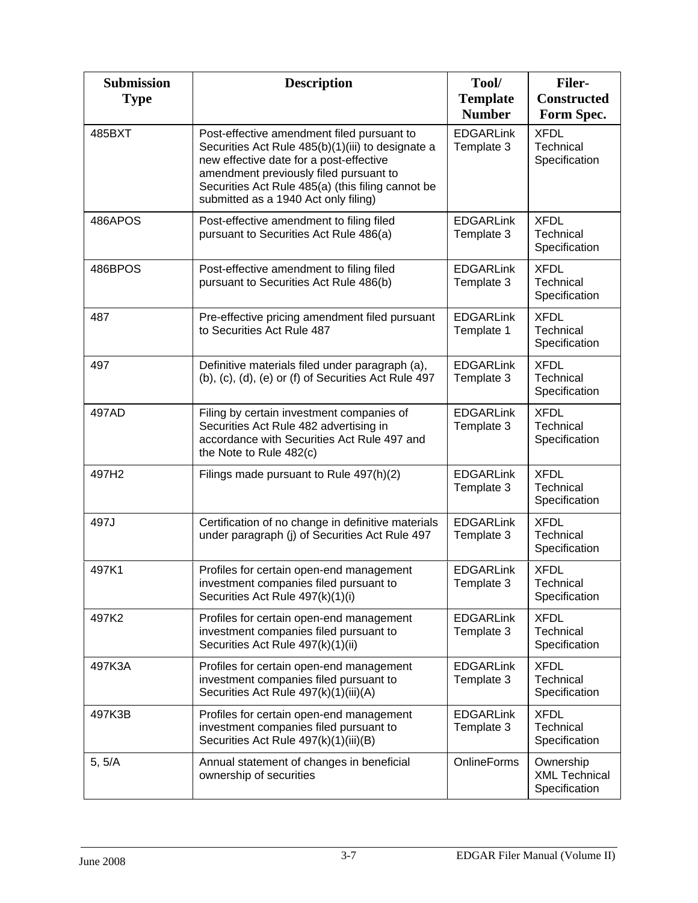| <b>Submission</b><br><b>Type</b> | <b>Description</b>                                                                                                                                                                                                                                                                | Tool/<br><b>Template</b><br><b>Number</b> | <b>Filer-</b><br><b>Constructed</b><br>Form Spec.  |
|----------------------------------|-----------------------------------------------------------------------------------------------------------------------------------------------------------------------------------------------------------------------------------------------------------------------------------|-------------------------------------------|----------------------------------------------------|
| 485BXT                           | Post-effective amendment filed pursuant to<br>Securities Act Rule 485(b)(1)(iii) to designate a<br>new effective date for a post-effective<br>amendment previously filed pursuant to<br>Securities Act Rule 485(a) (this filing cannot be<br>submitted as a 1940 Act only filing) | <b>EDGARLink</b><br>Template 3            | <b>XFDL</b><br>Technical<br>Specification          |
| 486APOS                          | Post-effective amendment to filing filed<br>pursuant to Securities Act Rule 486(a)                                                                                                                                                                                                | <b>EDGARLink</b><br>Template 3            | <b>XFDL</b><br>Technical<br>Specification          |
| 486BPOS                          | Post-effective amendment to filing filed<br>pursuant to Securities Act Rule 486(b)                                                                                                                                                                                                | <b>EDGARLink</b><br>Template 3            | <b>XFDL</b><br>Technical<br>Specification          |
| 487                              | Pre-effective pricing amendment filed pursuant<br>to Securities Act Rule 487                                                                                                                                                                                                      | <b>EDGARLink</b><br>Template 1            | <b>XFDL</b><br>Technical<br>Specification          |
| 497                              | Definitive materials filed under paragraph (a),<br>(b), (c), (d), (e) or (f) of Securities Act Rule 497                                                                                                                                                                           | <b>EDGARLink</b><br>Template 3            | <b>XFDL</b><br>Technical<br>Specification          |
| 497AD                            | Filing by certain investment companies of<br>Securities Act Rule 482 advertising in<br>accordance with Securities Act Rule 497 and<br>the Note to Rule 482(c)                                                                                                                     | <b>EDGARLink</b><br>Template 3            | <b>XFDL</b><br>Technical<br>Specification          |
| 497H2                            | Filings made pursuant to Rule 497(h)(2)                                                                                                                                                                                                                                           | <b>EDGARLink</b><br>Template 3            | <b>XFDL</b><br>Technical<br>Specification          |
| 497J                             | Certification of no change in definitive materials<br>under paragraph (j) of Securities Act Rule 497                                                                                                                                                                              | <b>EDGARLink</b><br>Template 3            | <b>XFDL</b><br>Technical<br>Specification          |
| 497K1                            | Profiles for certain open-end management<br>investment companies filed pursuant to<br>Securities Act Rule 497(k)(1)(i)                                                                                                                                                            | <b>EDGARLink</b><br>Template 3            | <b>XFDL</b><br>Technical<br>Specification          |
| 497K2                            | Profiles for certain open-end management<br>investment companies filed pursuant to<br>Securities Act Rule 497(k)(1)(ii)                                                                                                                                                           | <b>EDGARLink</b><br>Template 3            | <b>XFDL</b><br>Technical<br>Specification          |
| 497K3A                           | Profiles for certain open-end management<br>investment companies filed pursuant to<br>Securities Act Rule 497(k)(1)(iii)(A)                                                                                                                                                       | <b>EDGARLink</b><br>Template 3            | <b>XFDL</b><br>Technical<br>Specification          |
| 497K3B                           | Profiles for certain open-end management<br>investment companies filed pursuant to<br>Securities Act Rule 497(k)(1)(iii)(B)                                                                                                                                                       | <b>EDGARLink</b><br>Template 3            | <b>XFDL</b><br>Technical<br>Specification          |
| 5, 5/A                           | Annual statement of changes in beneficial<br>ownership of securities                                                                                                                                                                                                              | <b>OnlineForms</b>                        | Ownership<br><b>XML Technical</b><br>Specification |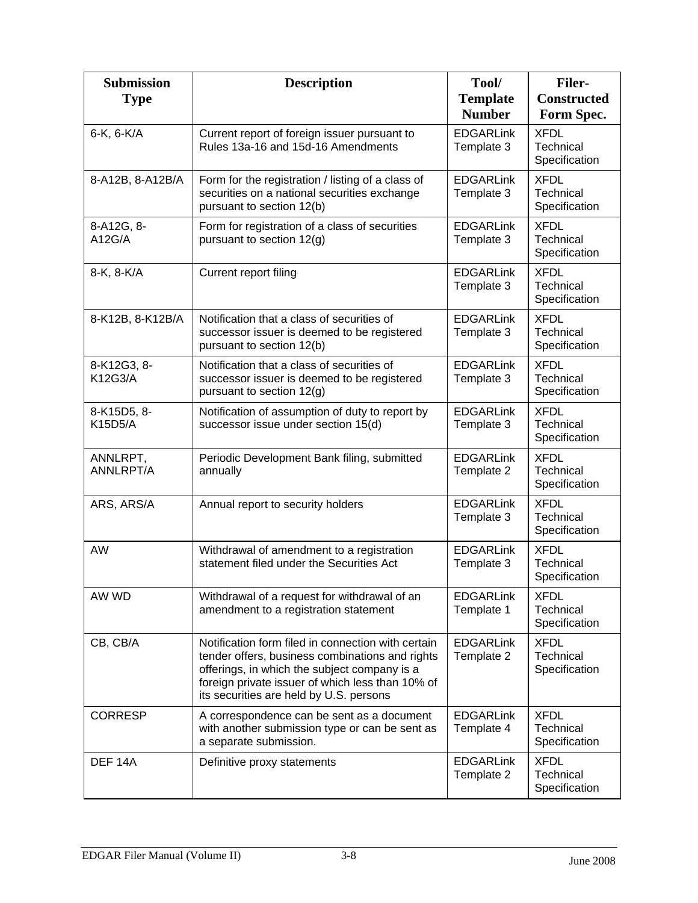| <b>Submission</b><br><b>Type</b> | <b>Description</b>                                                                                                                                                                                                                                   | Tool/<br><b>Template</b><br><b>Number</b> | <b>Filer-</b><br><b>Constructed</b><br>Form Spec. |
|----------------------------------|------------------------------------------------------------------------------------------------------------------------------------------------------------------------------------------------------------------------------------------------------|-------------------------------------------|---------------------------------------------------|
| 6-K, 6-K/A                       | Current report of foreign issuer pursuant to<br>Rules 13a-16 and 15d-16 Amendments                                                                                                                                                                   | <b>EDGARLink</b><br>Template 3            | <b>XFDL</b><br>Technical<br>Specification         |
| 8-A12B, 8-A12B/A                 | Form for the registration / listing of a class of<br>securities on a national securities exchange<br>pursuant to section 12(b)                                                                                                                       | <b>EDGARLink</b><br>Template 3            | <b>XFDL</b><br>Technical<br>Specification         |
| 8-A12G, 8-<br>A12G/A             | Form for registration of a class of securities<br>pursuant to section 12(g)                                                                                                                                                                          | <b>EDGARLink</b><br>Template 3            | <b>XFDL</b><br>Technical<br>Specification         |
| 8-K, 8-K/A                       | Current report filing                                                                                                                                                                                                                                | <b>EDGARLink</b><br>Template 3            | <b>XFDL</b><br>Technical<br>Specification         |
| 8-K12B, 8-K12B/A                 | Notification that a class of securities of<br>successor issuer is deemed to be registered<br>pursuant to section 12(b)                                                                                                                               | <b>EDGARLink</b><br>Template 3            | <b>XFDL</b><br>Technical<br>Specification         |
| 8-K12G3, 8-<br>K12G3/A           | Notification that a class of securities of<br>successor issuer is deemed to be registered<br>pursuant to section 12(g)                                                                                                                               | <b>EDGARLink</b><br>Template 3            | <b>XFDL</b><br>Technical<br>Specification         |
| 8-K15D5, 8-<br><b>K15D5/A</b>    | Notification of assumption of duty to report by<br>successor issue under section 15(d)                                                                                                                                                               | <b>EDGARLink</b><br>Template 3            | <b>XFDL</b><br>Technical<br>Specification         |
| ANNLRPT,<br><b>ANNLRPT/A</b>     | Periodic Development Bank filing, submitted<br>annually                                                                                                                                                                                              | <b>EDGARLink</b><br>Template 2            | <b>XFDL</b><br>Technical<br>Specification         |
| ARS, ARS/A                       | Annual report to security holders                                                                                                                                                                                                                    | <b>EDGARLink</b><br>Template 3            | <b>XFDL</b><br>Technical<br>Specification         |
| AW                               | Withdrawal of amendment to a registration<br>statement filed under the Securities Act                                                                                                                                                                | <b>EDGARLink</b><br>Template 3            | <b>XFDL</b><br>Technical<br>Specification         |
| AW WD                            | Withdrawal of a request for withdrawal of an<br>amendment to a registration statement                                                                                                                                                                | <b>EDGARLink</b><br>Template 1            | <b>XFDL</b><br>Technical<br>Specification         |
| CB, CB/A                         | Notification form filed in connection with certain<br>tender offers, business combinations and rights<br>offerings, in which the subject company is a<br>foreign private issuer of which less than 10% of<br>its securities are held by U.S. persons | <b>EDGARLink</b><br>Template 2            | <b>XFDL</b><br>Technical<br>Specification         |
| <b>CORRESP</b>                   | A correspondence can be sent as a document<br>with another submission type or can be sent as<br>a separate submission.                                                                                                                               | <b>EDGARLink</b><br>Template 4            | <b>XFDL</b><br>Technical<br>Specification         |
| DEF <sub>14A</sub>               | Definitive proxy statements                                                                                                                                                                                                                          | <b>EDGARLink</b><br>Template 2            | <b>XFDL</b><br>Technical<br>Specification         |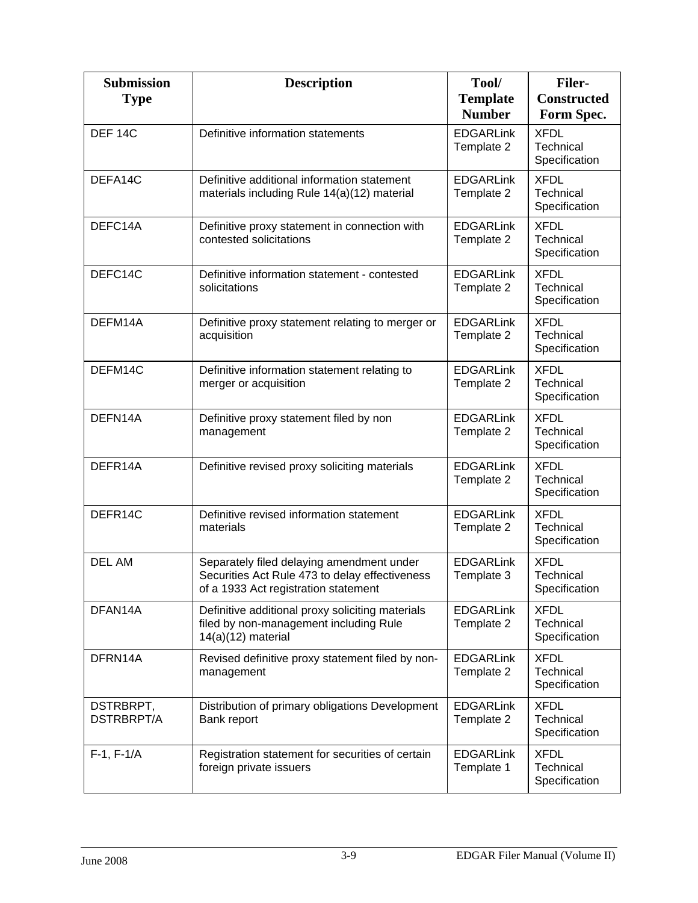| <b>Submission</b><br><b>Type</b> | <b>Description</b>                                                                                                                  | Tool/<br><b>Template</b><br><b>Number</b> | <b>Filer-</b><br><b>Constructed</b><br>Form Spec. |
|----------------------------------|-------------------------------------------------------------------------------------------------------------------------------------|-------------------------------------------|---------------------------------------------------|
| DEF <sub>14C</sub>               | Definitive information statements                                                                                                   | <b>EDGARLink</b><br>Template 2            | <b>XFDL</b><br>Technical<br>Specification         |
| DEFA14C                          | Definitive additional information statement<br>materials including Rule 14(a)(12) material                                          | <b>EDGARLink</b><br>Template 2            | <b>XFDL</b><br>Technical<br>Specification         |
| DEFC14A                          | Definitive proxy statement in connection with<br>contested solicitations                                                            | <b>EDGARLink</b><br>Template 2            | <b>XFDL</b><br>Technical<br>Specification         |
| DEFC14C                          | Definitive information statement - contested<br>solicitations                                                                       | <b>EDGARLink</b><br>Template 2            | <b>XFDL</b><br>Technical<br>Specification         |
| DEFM14A                          | Definitive proxy statement relating to merger or<br>acquisition                                                                     | <b>EDGARLink</b><br>Template 2            | <b>XFDL</b><br>Technical<br>Specification         |
| DEFM14C                          | Definitive information statement relating to<br>merger or acquisition                                                               | <b>EDGARLink</b><br>Template 2            | <b>XFDL</b><br>Technical<br>Specification         |
| DEFN14A                          | Definitive proxy statement filed by non<br>management                                                                               | <b>EDGARLink</b><br>Template 2            | <b>XFDL</b><br>Technical<br>Specification         |
| DEFR14A                          | Definitive revised proxy soliciting materials                                                                                       | <b>EDGARLink</b><br>Template 2            | <b>XFDL</b><br>Technical<br>Specification         |
| DEFR14C                          | Definitive revised information statement<br>materials                                                                               | <b>EDGARLink</b><br>Template 2            | <b>XFDL</b><br>Technical<br>Specification         |
| <b>DEL AM</b>                    | Separately filed delaying amendment under<br>Securities Act Rule 473 to delay effectiveness<br>of a 1933 Act registration statement | <b>EDGARLink</b><br>Template 3            | <b>XFDL</b><br>Technical<br>Specification         |
| DFAN14A                          | Definitive additional proxy soliciting materials<br>filed by non-management including Rule<br>$14(a)(12)$ material                  | <b>EDGARLink</b><br>Template 2            | <b>XFDL</b><br>Technical<br>Specification         |
| DFRN14A                          | Revised definitive proxy statement filed by non-<br>management                                                                      | <b>EDGARLink</b><br>Template 2            | <b>XFDL</b><br>Technical<br>Specification         |
| DSTRBRPT,<br><b>DSTRBRPT/A</b>   | Distribution of primary obligations Development<br>Bank report                                                                      | <b>EDGARLink</b><br>Template 2            | <b>XFDL</b><br>Technical<br>Specification         |
| $F-1, F-1/A$                     | Registration statement for securities of certain<br>foreign private issuers                                                         | <b>EDGARLink</b><br>Template 1            | <b>XFDL</b><br>Technical<br>Specification         |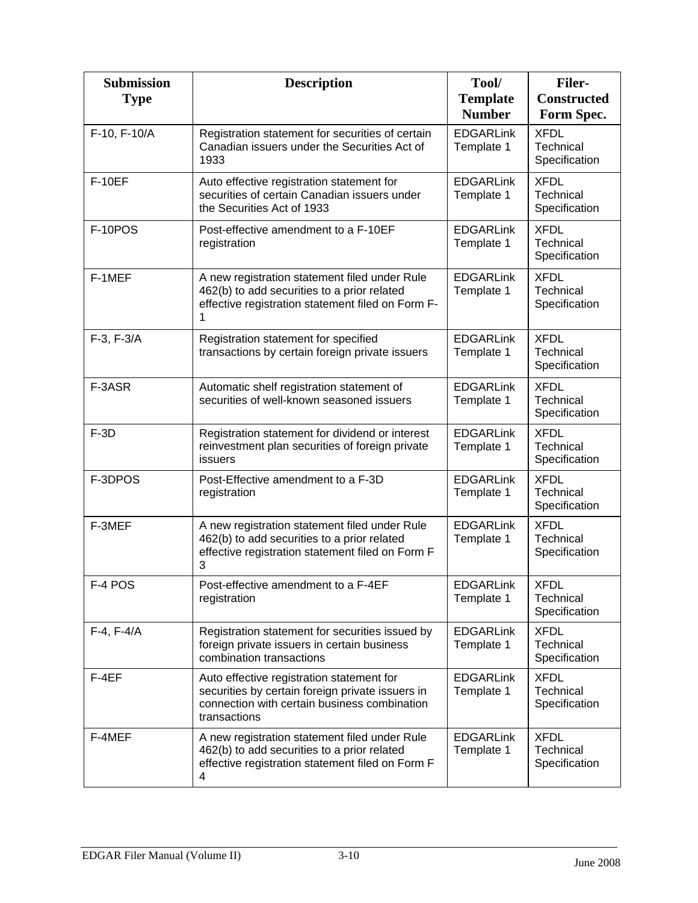| <b>Submission</b><br><b>Type</b> | <b>Description</b>                                                                                                                                            | Tool/<br><b>Template</b><br><b>Number</b> | <b>Filer-</b><br><b>Constructed</b><br>Form Spec. |
|----------------------------------|---------------------------------------------------------------------------------------------------------------------------------------------------------------|-------------------------------------------|---------------------------------------------------|
| F-10, F-10/A                     | Registration statement for securities of certain<br>Canadian issuers under the Securities Act of<br>1933                                                      | <b>EDGARLink</b><br>Template 1            | <b>XFDL</b><br>Technical<br>Specification         |
| <b>F-10EF</b>                    | Auto effective registration statement for<br>securities of certain Canadian issuers under<br>the Securities Act of 1933                                       | <b>EDGARLink</b><br>Template 1            | <b>XFDL</b><br><b>Technical</b><br>Specification  |
| F-10POS                          | Post-effective amendment to a F-10EF<br>registration                                                                                                          | <b>EDGARLink</b><br>Template 1            | <b>XFDL</b><br><b>Technical</b><br>Specification  |
| F-1MEF                           | A new registration statement filed under Rule<br>462(b) to add securities to a prior related<br>effective registration statement filed on Form F-<br>1        | <b>EDGARLink</b><br>Template 1            | <b>XFDL</b><br>Technical<br>Specification         |
| $F-3, F-3/A$                     | Registration statement for specified<br>transactions by certain foreign private issuers                                                                       | <b>EDGARLink</b><br>Template 1            | <b>XFDL</b><br>Technical<br>Specification         |
| F-3ASR                           | Automatic shelf registration statement of<br>securities of well-known seasoned issuers                                                                        | <b>EDGARLink</b><br>Template 1            | <b>XFDL</b><br>Technical<br>Specification         |
| $F-3D$                           | Registration statement for dividend or interest<br>reinvestment plan securities of foreign private<br>issuers                                                 | <b>EDGARLink</b><br>Template 1            | <b>XFDL</b><br>Technical<br>Specification         |
| F-3DPOS                          | Post-Effective amendment to a F-3D<br>registration                                                                                                            | <b>EDGARLink</b><br>Template 1            | <b>XFDL</b><br>Technical<br>Specification         |
| F-3MEF                           | A new registration statement filed under Rule<br>462(b) to add securities to a prior related<br>effective registration statement filed on Form F<br>3         | <b>EDGARLink</b><br>Template 1            | <b>XFDL</b><br>Technical<br>Specification         |
| F-4 POS                          | Post-effective amendment to a F-4EF<br>registration                                                                                                           | EDGARLink<br>Template 1                   | <b>XFDL</b><br>Technical<br>Specification         |
| $F-4, F-4/A$                     | Registration statement for securities issued by<br>foreign private issuers in certain business<br>combination transactions                                    | <b>EDGARLink</b><br>Template 1            | <b>XFDL</b><br>Technical<br>Specification         |
| F-4EF                            | Auto effective registration statement for<br>securities by certain foreign private issuers in<br>connection with certain business combination<br>transactions | <b>EDGARLink</b><br>Template 1            | <b>XFDL</b><br>Technical<br>Specification         |
| F-4MEF                           | A new registration statement filed under Rule<br>462(b) to add securities to a prior related<br>effective registration statement filed on Form F<br>4         | <b>EDGARLink</b><br>Template 1            | <b>XFDL</b><br>Technical<br>Specification         |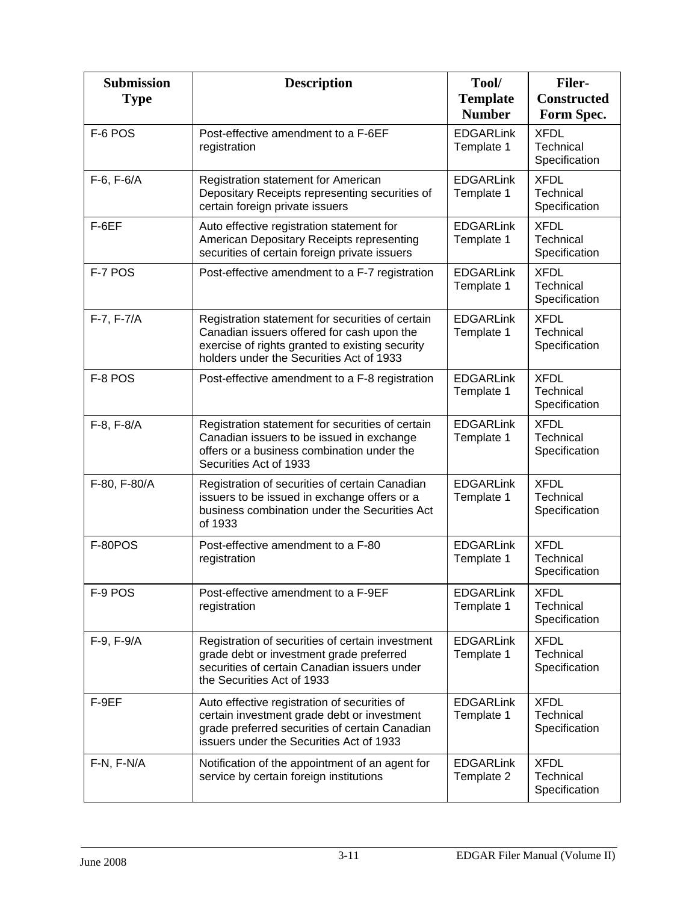| <b>Submission</b><br><b>Type</b> | <b>Description</b>                                                                                                                                                                            | Tool/<br><b>Template</b><br><b>Number</b> | <b>Filer-</b><br><b>Constructed</b><br>Form Spec. |
|----------------------------------|-----------------------------------------------------------------------------------------------------------------------------------------------------------------------------------------------|-------------------------------------------|---------------------------------------------------|
| F-6 POS                          | Post-effective amendment to a F-6EF<br>registration                                                                                                                                           | <b>EDGARLink</b><br>Template 1            | <b>XFDL</b><br>Technical<br>Specification         |
| $F-6, F-6/A$                     | Registration statement for American<br>Depositary Receipts representing securities of<br>certain foreign private issuers                                                                      | <b>EDGARLink</b><br>Template 1            | <b>XFDL</b><br>Technical<br>Specification         |
| F-6EF                            | Auto effective registration statement for<br>American Depositary Receipts representing<br>securities of certain foreign private issuers                                                       | <b>EDGARLink</b><br>Template 1            | <b>XFDL</b><br>Technical<br>Specification         |
| F-7 POS                          | Post-effective amendment to a F-7 registration                                                                                                                                                | <b>EDGARLink</b><br>Template 1            | <b>XFDL</b><br><b>Technical</b><br>Specification  |
| $F-7, F-7/A$                     | Registration statement for securities of certain<br>Canadian issuers offered for cash upon the<br>exercise of rights granted to existing security<br>holders under the Securities Act of 1933 | <b>EDGARLink</b><br>Template 1            | <b>XFDL</b><br><b>Technical</b><br>Specification  |
| F-8 POS                          | Post-effective amendment to a F-8 registration                                                                                                                                                | <b>EDGARLink</b><br>Template 1            | <b>XFDL</b><br>Technical<br>Specification         |
| $F-8, F-8/A$                     | Registration statement for securities of certain<br>Canadian issuers to be issued in exchange<br>offers or a business combination under the<br>Securities Act of 1933                         | <b>EDGARLink</b><br>Template 1            | <b>XFDL</b><br>Technical<br>Specification         |
| F-80, F-80/A                     | Registration of securities of certain Canadian<br>issuers to be issued in exchange offers or a<br>business combination under the Securities Act<br>of 1933                                    | <b>EDGARLink</b><br>Template 1            | <b>XFDL</b><br>Technical<br>Specification         |
| F-80POS                          | Post-effective amendment to a F-80<br>registration                                                                                                                                            | <b>EDGARLink</b><br>Template 1            | <b>XFDL</b><br>Technical<br>Specification         |
| F-9 POS                          | Post-effective amendment to a F-9EF<br>registration                                                                                                                                           | <b>EDGARLink</b><br>Template 1            | <b>XFDL</b><br>Technical<br>Specification         |
| $F-9, F-9/A$                     | Registration of securities of certain investment<br>grade debt or investment grade preferred<br>securities of certain Canadian issuers under<br>the Securities Act of 1933                    | <b>EDGARLink</b><br>Template 1            | <b>XFDL</b><br>Technical<br>Specification         |
| F-9EF                            | Auto effective registration of securities of<br>certain investment grade debt or investment<br>grade preferred securities of certain Canadian<br>issuers under the Securities Act of 1933     | <b>EDGARLink</b><br>Template 1            | <b>XFDL</b><br>Technical<br>Specification         |
| F-N, F-N/A                       | Notification of the appointment of an agent for<br>service by certain foreign institutions                                                                                                    | <b>EDGARLink</b><br>Template 2            | <b>XFDL</b><br>Technical<br>Specification         |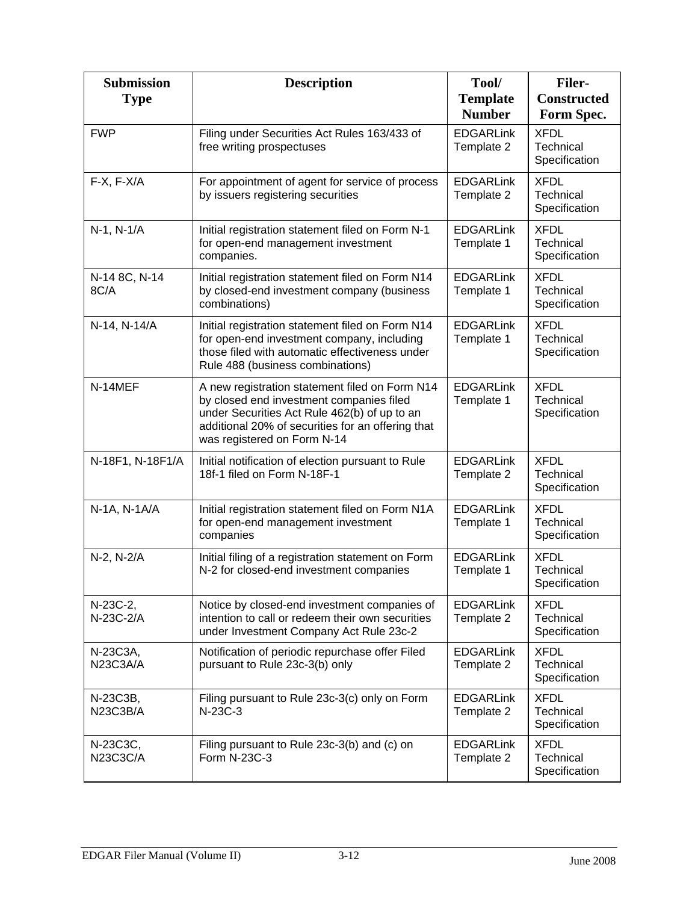| <b>Submission</b><br><b>Type</b> | <b>Description</b>                                                                                                                                                                                                             | Tool/<br><b>Template</b>       | <b>Filer-</b><br><b>Constructed</b>       |
|----------------------------------|--------------------------------------------------------------------------------------------------------------------------------------------------------------------------------------------------------------------------------|--------------------------------|-------------------------------------------|
|                                  |                                                                                                                                                                                                                                | <b>Number</b>                  | Form Spec.                                |
| <b>FWP</b>                       | Filing under Securities Act Rules 163/433 of<br>free writing prospectuses                                                                                                                                                      | <b>EDGARLink</b><br>Template 2 | <b>XFDL</b><br>Technical<br>Specification |
| $F-X, F-X/A$                     | For appointment of agent for service of process<br>by issuers registering securities                                                                                                                                           | <b>EDGARLink</b><br>Template 2 | <b>XFDL</b><br>Technical<br>Specification |
| N-1, N-1/A                       | Initial registration statement filed on Form N-1<br>for open-end management investment<br>companies.                                                                                                                           | <b>EDGARLink</b><br>Template 1 | <b>XFDL</b><br>Technical<br>Specification |
| N-14 8C, N-14<br>8C/A            | Initial registration statement filed on Form N14<br>by closed-end investment company (business<br>combinations)                                                                                                                | <b>EDGARLink</b><br>Template 1 | <b>XFDL</b><br>Technical<br>Specification |
| N-14, N-14/A                     | Initial registration statement filed on Form N14<br>for open-end investment company, including<br>those filed with automatic effectiveness under<br>Rule 488 (business combinations)                                           | <b>EDGARLink</b><br>Template 1 | <b>XFDL</b><br>Technical<br>Specification |
| N-14MEF                          | A new registration statement filed on Form N14<br>by closed end investment companies filed<br>under Securities Act Rule 462(b) of up to an<br>additional 20% of securities for an offering that<br>was registered on Form N-14 | <b>EDGARLink</b><br>Template 1 | <b>XFDL</b><br>Technical<br>Specification |
| N-18F1, N-18F1/A                 | Initial notification of election pursuant to Rule<br>18f-1 filed on Form N-18F-1                                                                                                                                               | <b>EDGARLink</b><br>Template 2 | <b>XFDL</b><br>Technical<br>Specification |
| N-1A, N-1A/A                     | Initial registration statement filed on Form N1A<br>for open-end management investment<br>companies                                                                                                                            | <b>EDGARLink</b><br>Template 1 | <b>XFDL</b><br>Technical<br>Specification |
| N-2, N-2/A                       | Initial filing of a registration statement on Form<br>N-2 for closed-end investment companies                                                                                                                                  | <b>EDGARLink</b><br>Template 1 | <b>XFDL</b><br>Technical<br>Specification |
| N-23C-2,<br>N-23C-2/A            | Notice by closed-end investment companies of<br>intention to call or redeem their own securities<br>under Investment Company Act Rule 23c-2                                                                                    | <b>EDGARLink</b><br>Template 2 | <b>XFDL</b><br>Technical<br>Specification |
| N-23C3A,<br>N23C3A/A             | Notification of periodic repurchase offer Filed<br>pursuant to Rule 23c-3(b) only                                                                                                                                              | <b>EDGARLink</b><br>Template 2 | <b>XFDL</b><br>Technical<br>Specification |
| N-23C3B,<br>N23C3B/A             | Filing pursuant to Rule 23c-3(c) only on Form<br>N-23C-3                                                                                                                                                                       | <b>EDGARLink</b><br>Template 2 | <b>XFDL</b><br>Technical<br>Specification |
| N-23C3C,<br>N23C3C/A             | Filing pursuant to Rule 23c-3(b) and (c) on<br>Form N-23C-3                                                                                                                                                                    | <b>EDGARLink</b><br>Template 2 | <b>XFDL</b><br>Technical<br>Specification |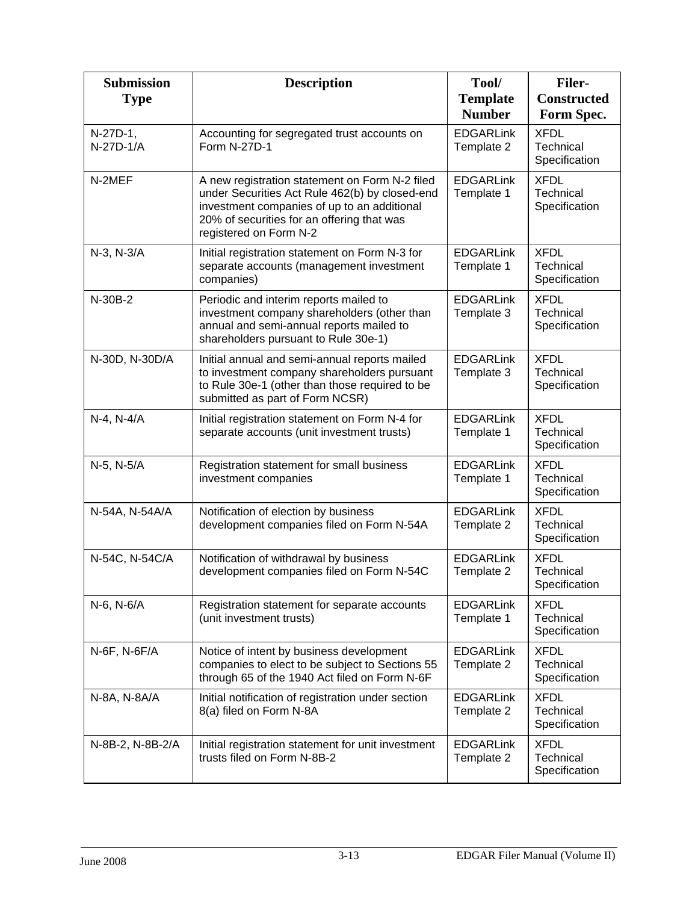| <b>Submission</b><br><b>Type</b> | <b>Description</b>                                                                                                                                                                                                      | Tool/<br><b>Template</b><br><b>Number</b> | <b>Filer-</b><br><b>Constructed</b><br>Form Spec. |
|----------------------------------|-------------------------------------------------------------------------------------------------------------------------------------------------------------------------------------------------------------------------|-------------------------------------------|---------------------------------------------------|
| N-27D-1,<br>N-27D-1/A            | Accounting for segregated trust accounts on<br>Form N-27D-1                                                                                                                                                             | <b>EDGARLink</b><br>Template 2            | <b>XFDL</b><br>Technical<br>Specification         |
| N-2MEF                           | A new registration statement on Form N-2 filed<br>under Securities Act Rule 462(b) by closed-end<br>investment companies of up to an additional<br>20% of securities for an offering that was<br>registered on Form N-2 | <b>EDGARLink</b><br>Template 1            | <b>XFDL</b><br>Technical<br>Specification         |
| N-3, N-3/A                       | Initial registration statement on Form N-3 for<br>separate accounts (management investment<br>companies)                                                                                                                | <b>EDGARLink</b><br>Template 1            | <b>XFDL</b><br>Technical<br>Specification         |
| N-30B-2                          | Periodic and interim reports mailed to<br>investment company shareholders (other than<br>annual and semi-annual reports mailed to<br>shareholders pursuant to Rule 30e-1)                                               | <b>EDGARLink</b><br>Template 3            | <b>XFDL</b><br>Technical<br>Specification         |
| N-30D, N-30D/A                   | Initial annual and semi-annual reports mailed<br>to investment company shareholders pursuant<br>to Rule 30e-1 (other than those required to be<br>submitted as part of Form NCSR)                                       | <b>EDGARLink</b><br>Template 3            | <b>XFDL</b><br>Technical<br>Specification         |
| N-4, N-4/A                       | Initial registration statement on Form N-4 for<br>separate accounts (unit investment trusts)                                                                                                                            | <b>EDGARLink</b><br>Template 1            | <b>XFDL</b><br>Technical<br>Specification         |
| N-5, N-5/A                       | Registration statement for small business<br>investment companies                                                                                                                                                       | <b>EDGARLink</b><br>Template 1            | <b>XFDL</b><br><b>Technical</b><br>Specification  |
| N-54A, N-54A/A                   | Notification of election by business<br>development companies filed on Form N-54A                                                                                                                                       | <b>EDGARLink</b><br>Template 2            | <b>XFDL</b><br>Technical<br>Specification         |
| N-54C, N-54C/A                   | Notification of withdrawal by business<br>development companies filed on Form N-54C                                                                                                                                     | <b>EDGARLink</b><br>Template 2            | <b>XFDL</b><br>Technical<br>Specification         |
| N-6, N-6/A                       | Registration statement for separate accounts<br>(unit investment trusts)                                                                                                                                                | <b>EDGARLink</b><br>Template 1            | <b>XFDL</b><br>Technical<br>Specification         |
| N-6F, N-6F/A                     | Notice of intent by business development<br>companies to elect to be subject to Sections 55<br>through 65 of the 1940 Act filed on Form N-6F                                                                            | <b>EDGARLink</b><br>Template 2            | <b>XFDL</b><br>Technical<br>Specification         |
| N-8A, N-8A/A                     | Initial notification of registration under section<br>8(a) filed on Form N-8A                                                                                                                                           | <b>EDGARLink</b><br>Template 2            | <b>XFDL</b><br>Technical<br>Specification         |
| N-8B-2, N-8B-2/A                 | Initial registration statement for unit investment<br>trusts filed on Form N-8B-2                                                                                                                                       | <b>EDGARLink</b><br>Template 2            | <b>XFDL</b><br>Technical<br>Specification         |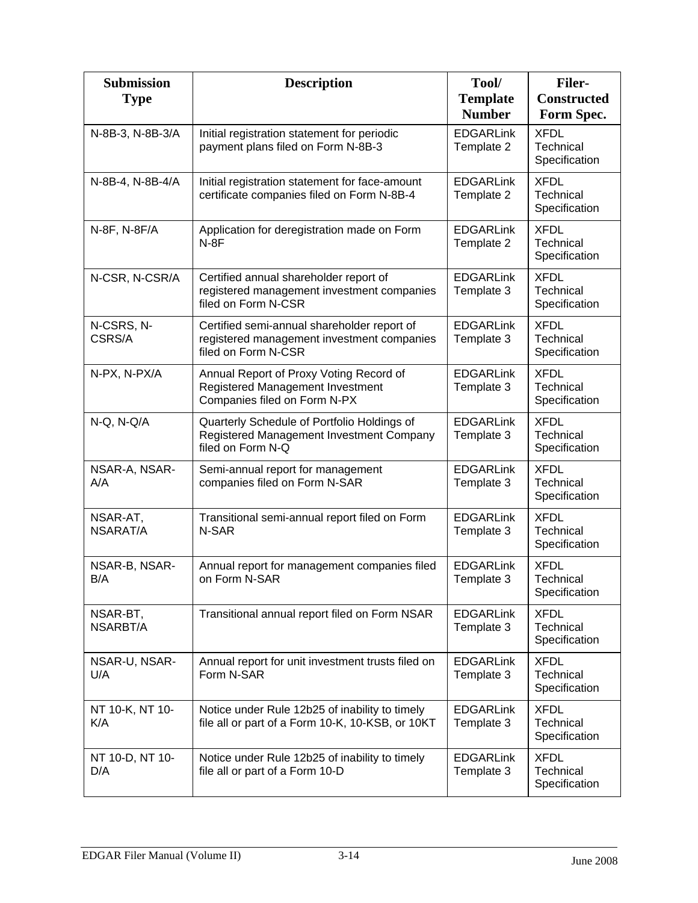| <b>Submission</b><br><b>Type</b> | <b>Description</b>                                                                                               | Tool/<br><b>Template</b>       | <b>Filer-</b><br><b>Constructed</b>       |
|----------------------------------|------------------------------------------------------------------------------------------------------------------|--------------------------------|-------------------------------------------|
|                                  |                                                                                                                  | <b>Number</b>                  | Form Spec.                                |
| N-8B-3, N-8B-3/A                 | Initial registration statement for periodic<br>payment plans filed on Form N-8B-3                                | <b>EDGARLink</b><br>Template 2 | <b>XFDL</b><br>Technical<br>Specification |
| N-8B-4, N-8B-4/A                 | Initial registration statement for face-amount<br>certificate companies filed on Form N-8B-4                     | <b>EDGARLink</b><br>Template 2 | <b>XFDL</b><br>Technical<br>Specification |
| N-8F, N-8F/A                     | Application for deregistration made on Form<br>$N-8F$                                                            | <b>EDGARLink</b><br>Template 2 | <b>XFDL</b><br>Technical<br>Specification |
| N-CSR, N-CSR/A                   | Certified annual shareholder report of<br>registered management investment companies<br>filed on Form N-CSR      | <b>EDGARLink</b><br>Template 3 | <b>XFDL</b><br>Technical<br>Specification |
| N-CSRS, N-<br>CSRS/A             | Certified semi-annual shareholder report of<br>registered management investment companies<br>filed on Form N-CSR | <b>EDGARLink</b><br>Template 3 | <b>XFDL</b><br>Technical<br>Specification |
| N-PX, N-PX/A                     | Annual Report of Proxy Voting Record of<br>Registered Management Investment<br>Companies filed on Form N-PX      | <b>EDGARLink</b><br>Template 3 | <b>XFDL</b><br>Technical<br>Specification |
| N-Q, N-Q/A                       | Quarterly Schedule of Portfolio Holdings of<br>Registered Management Investment Company<br>filed on Form N-Q     | <b>EDGARLink</b><br>Template 3 | <b>XFDL</b><br>Technical<br>Specification |
| NSAR-A, NSAR-<br>A/A             | Semi-annual report for management<br>companies filed on Form N-SAR                                               | <b>EDGARLink</b><br>Template 3 | <b>XFDL</b><br>Technical<br>Specification |
| NSAR-AT,<br>NSARAT/A             | Transitional semi-annual report filed on Form<br>N-SAR                                                           | <b>EDGARLink</b><br>Template 3 | <b>XFDL</b><br>Technical<br>Specification |
| NSAR-B, NSAR-<br>B/A             | Annual report for management companies filed<br>on Form N-SAR                                                    | <b>EDGARLink</b><br>Template 3 | <b>XFDL</b><br>Technical<br>Specification |
| NSAR-BT,<br>NSARBT/A             | Transitional annual report filed on Form NSAR                                                                    | <b>EDGARLink</b><br>Template 3 | <b>XFDL</b><br>Technical<br>Specification |
| NSAR-U, NSAR-<br>U/A             | Annual report for unit investment trusts filed on<br>Form N-SAR                                                  | <b>EDGARLink</b><br>Template 3 | <b>XFDL</b><br>Technical<br>Specification |
| NT 10-K, NT 10-<br>K/A           | Notice under Rule 12b25 of inability to timely<br>file all or part of a Form 10-K, 10-KSB, or 10KT               | <b>EDGARLink</b><br>Template 3 | <b>XFDL</b><br>Technical<br>Specification |
| NT 10-D, NT 10-<br>D/A           | Notice under Rule 12b25 of inability to timely<br>file all or part of a Form 10-D                                | <b>EDGARLink</b><br>Template 3 | <b>XFDL</b><br>Technical<br>Specification |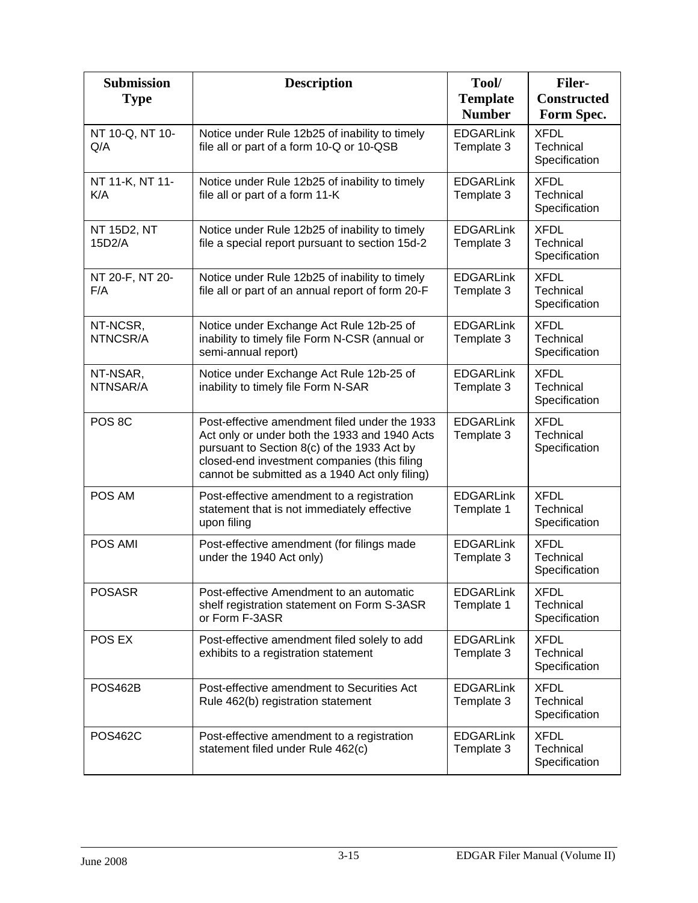| <b>Submission</b><br><b>Type</b> | <b>Description</b>                                                                                                                                                                                                                              | Tool/<br><b>Template</b>       | <b>Filer-</b><br><b>Constructed</b>              |
|----------------------------------|-------------------------------------------------------------------------------------------------------------------------------------------------------------------------------------------------------------------------------------------------|--------------------------------|--------------------------------------------------|
|                                  |                                                                                                                                                                                                                                                 | <b>Number</b>                  | Form Spec.                                       |
| NT 10-Q, NT 10-<br>Q/A           | Notice under Rule 12b25 of inability to timely<br>file all or part of a form 10-Q or 10-QSB                                                                                                                                                     | <b>EDGARLink</b><br>Template 3 | <b>XFDL</b><br>Technical<br>Specification        |
| NT 11-K, NT 11-<br>K/A           | Notice under Rule 12b25 of inability to timely<br>file all or part of a form 11-K                                                                                                                                                               | <b>EDGARLink</b><br>Template 3 | <b>XFDL</b><br><b>Technical</b><br>Specification |
| NT 15D2, NT<br>15D2/A            | Notice under Rule 12b25 of inability to timely<br>file a special report pursuant to section 15d-2                                                                                                                                               | <b>EDGARLink</b><br>Template 3 | <b>XFDL</b><br>Technical<br>Specification        |
| NT 20-F, NT 20-<br>F/A           | Notice under Rule 12b25 of inability to timely<br>file all or part of an annual report of form 20-F                                                                                                                                             | <b>EDGARLink</b><br>Template 3 | <b>XFDL</b><br><b>Technical</b><br>Specification |
| NT-NCSR,<br>NTNCSR/A             | Notice under Exchange Act Rule 12b-25 of<br>inability to timely file Form N-CSR (annual or<br>semi-annual report)                                                                                                                               | <b>EDGARLink</b><br>Template 3 | <b>XFDL</b><br>Technical<br>Specification        |
| NT-NSAR,<br>NTNSAR/A             | Notice under Exchange Act Rule 12b-25 of<br>inability to timely file Form N-SAR                                                                                                                                                                 | <b>EDGARLink</b><br>Template 3 | <b>XFDL</b><br><b>Technical</b><br>Specification |
| POS <sub>8C</sub>                | Post-effective amendment filed under the 1933<br>Act only or under both the 1933 and 1940 Acts<br>pursuant to Section 8(c) of the 1933 Act by<br>closed-end investment companies (this filing<br>cannot be submitted as a 1940 Act only filing) | <b>EDGARLink</b><br>Template 3 | <b>XFDL</b><br>Technical<br>Specification        |
| POS AM                           | Post-effective amendment to a registration<br>statement that is not immediately effective<br>upon filing                                                                                                                                        | <b>EDGARLink</b><br>Template 1 | <b>XFDL</b><br>Technical<br>Specification        |
| POS AMI                          | Post-effective amendment (for filings made<br>under the 1940 Act only)                                                                                                                                                                          | <b>EDGARLink</b><br>Template 3 | <b>XFDL</b><br>Technical<br>Specification        |
| <b>POSASR</b>                    | Post-effective Amendment to an automatic<br>shelf registration statement on Form S-3ASR<br>or Form F-3ASR                                                                                                                                       | <b>EDGARLink</b><br>Template 1 | <b>XFDL</b><br>Technical<br>Specification        |
| POS EX                           | Post-effective amendment filed solely to add<br>exhibits to a registration statement                                                                                                                                                            | <b>EDGARLink</b><br>Template 3 | <b>XFDL</b><br>Technical<br>Specification        |
| <b>POS462B</b>                   | Post-effective amendment to Securities Act<br>Rule 462(b) registration statement                                                                                                                                                                | <b>EDGARLink</b><br>Template 3 | <b>XFDL</b><br>Technical<br>Specification        |
| <b>POS462C</b>                   | Post-effective amendment to a registration<br>statement filed under Rule 462(c)                                                                                                                                                                 | <b>EDGARLink</b><br>Template 3 | <b>XFDL</b><br>Technical<br>Specification        |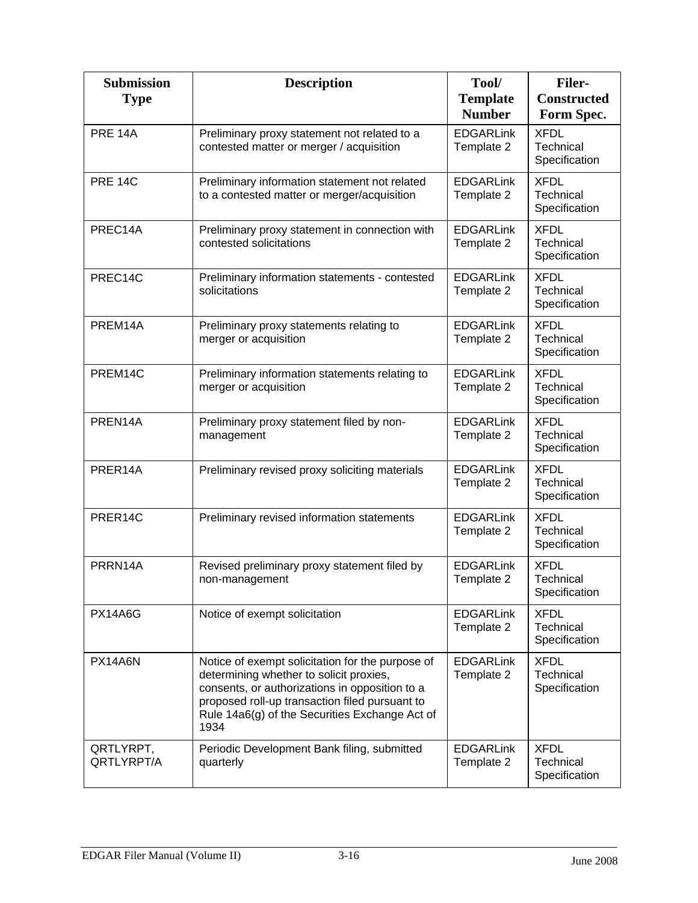| <b>Submission</b><br><b>Type</b> | <b>Description</b>                                                                                                                                                                                                                                        | Tool/<br><b>Template</b><br><b>Number</b> | <b>Filer-</b><br><b>Constructed</b><br>Form Spec. |
|----------------------------------|-----------------------------------------------------------------------------------------------------------------------------------------------------------------------------------------------------------------------------------------------------------|-------------------------------------------|---------------------------------------------------|
| <b>PRE 14A</b>                   | Preliminary proxy statement not related to a<br>contested matter or merger / acquisition                                                                                                                                                                  | <b>EDGARLink</b><br>Template 2            | <b>XFDL</b><br>Technical<br>Specification         |
| <b>PRE 14C</b>                   | Preliminary information statement not related<br>to a contested matter or merger/acquisition                                                                                                                                                              | <b>EDGARLink</b><br>Template 2            | <b>XFDL</b><br>Technical<br>Specification         |
| PREC14A                          | Preliminary proxy statement in connection with<br>contested solicitations                                                                                                                                                                                 | <b>EDGARLink</b><br>Template 2            | <b>XFDL</b><br>Technical<br>Specification         |
| PREC14C                          | Preliminary information statements - contested<br>solicitations                                                                                                                                                                                           | <b>EDGARLink</b><br>Template 2            | <b>XFDL</b><br>Technical<br>Specification         |
| PREM14A                          | Preliminary proxy statements relating to<br>merger or acquisition                                                                                                                                                                                         | <b>EDGARLink</b><br>Template 2            | <b>XFDL</b><br>Technical<br>Specification         |
| PREM14C                          | Preliminary information statements relating to<br>merger or acquisition                                                                                                                                                                                   | <b>EDGARLink</b><br>Template 2            | <b>XFDL</b><br>Technical<br>Specification         |
| PREN14A                          | Preliminary proxy statement filed by non-<br>management                                                                                                                                                                                                   | <b>EDGARLink</b><br>Template 2            | <b>XFDL</b><br>Technical<br>Specification         |
| PRER14A                          | Preliminary revised proxy soliciting materials                                                                                                                                                                                                            | <b>EDGARLink</b><br>Template 2            | <b>XFDL</b><br>Technical<br>Specification         |
| PRER14C                          | Preliminary revised information statements                                                                                                                                                                                                                | <b>EDGARLink</b><br>Template 2            | <b>XFDL</b><br>Technical<br>Specification         |
| PRRN14A                          | Revised preliminary proxy statement filed by<br>non-management                                                                                                                                                                                            | <b>EDGARLink</b><br>Template 2            | <b>XFDL</b><br>Technical<br>Specification         |
| <b>PX14A6G</b>                   | Notice of exempt solicitation                                                                                                                                                                                                                             | <b>EDGARLink</b><br>Template 2            | <b>XFDL</b><br>Technical<br>Specification         |
| PX14A6N                          | Notice of exempt solicitation for the purpose of<br>determining whether to solicit proxies,<br>consents, or authorizations in opposition to a<br>proposed roll-up transaction filed pursuant to<br>Rule 14a6(g) of the Securities Exchange Act of<br>1934 | <b>EDGARLink</b><br>Template 2            | <b>XFDL</b><br>Technical<br>Specification         |
| QRTLYRPT,<br>QRTLYRPT/A          | Periodic Development Bank filing, submitted<br>quarterly                                                                                                                                                                                                  | <b>EDGARLink</b><br>Template 2            | <b>XFDL</b><br>Technical<br>Specification         |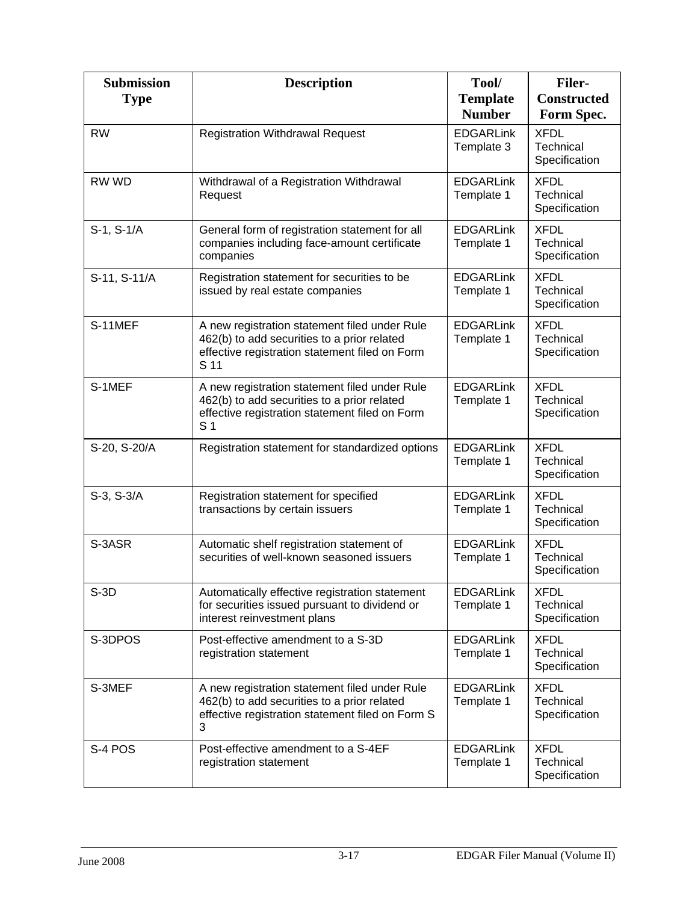| <b>Submission</b><br><b>Type</b> | <b>Description</b>                                                                                                                                               | Tool/<br><b>Template</b>       | <b>Filer-</b><br><b>Constructed</b>       |
|----------------------------------|------------------------------------------------------------------------------------------------------------------------------------------------------------------|--------------------------------|-------------------------------------------|
|                                  |                                                                                                                                                                  | <b>Number</b>                  | Form Spec.                                |
| <b>RW</b>                        | <b>Registration Withdrawal Request</b>                                                                                                                           | <b>EDGARLink</b><br>Template 3 | <b>XFDL</b><br>Technical<br>Specification |
| RW WD                            | Withdrawal of a Registration Withdrawal<br>Request                                                                                                               | <b>EDGARLink</b><br>Template 1 | <b>XFDL</b><br>Technical<br>Specification |
| S-1, S-1/A                       | General form of registration statement for all<br>companies including face-amount certificate<br>companies                                                       | <b>EDGARLink</b><br>Template 1 | <b>XFDL</b><br>Technical<br>Specification |
| S-11, S-11/A                     | Registration statement for securities to be<br>issued by real estate companies                                                                                   | <b>EDGARLink</b><br>Template 1 | <b>XFDL</b><br>Technical<br>Specification |
| S-11MEF                          | A new registration statement filed under Rule<br>462(b) to add securities to a prior related<br>effective registration statement filed on Form<br>S 11           | <b>EDGARLink</b><br>Template 1 | <b>XFDL</b><br>Technical<br>Specification |
| S-1MEF                           | A new registration statement filed under Rule<br>462(b) to add securities to a prior related<br>effective registration statement filed on Form<br>S <sub>1</sub> | <b>EDGARLink</b><br>Template 1 | <b>XFDL</b><br>Technical<br>Specification |
| S-20, S-20/A                     | Registration statement for standardized options                                                                                                                  | <b>EDGARLink</b><br>Template 1 | <b>XFDL</b><br>Technical<br>Specification |
| S-3, S-3/A                       | Registration statement for specified<br>transactions by certain issuers                                                                                          | <b>EDGARLink</b><br>Template 1 | <b>XFDL</b><br>Technical<br>Specification |
| S-3ASR                           | Automatic shelf registration statement of<br>securities of well-known seasoned issuers                                                                           | <b>EDGARLink</b><br>Template 1 | <b>XFDL</b><br>Technical<br>Specification |
| $S-3D$                           | Automatically effective registration statement<br>for securities issued pursuant to dividend or<br>interest reinvestment plans                                   | <b>EDGARLink</b><br>Template 1 | <b>XFDL</b><br>Technical<br>Specification |
| S-3DPOS                          | Post-effective amendment to a S-3D<br>registration statement                                                                                                     | <b>EDGARLink</b><br>Template 1 | <b>XFDL</b><br>Technical<br>Specification |
| S-3MEF                           | A new registration statement filed under Rule<br>462(b) to add securities to a prior related<br>effective registration statement filed on Form S<br>3            | <b>EDGARLink</b><br>Template 1 | <b>XFDL</b><br>Technical<br>Specification |
| S-4 POS                          | Post-effective amendment to a S-4EF<br>registration statement                                                                                                    | <b>EDGARLink</b><br>Template 1 | <b>XFDL</b><br>Technical<br>Specification |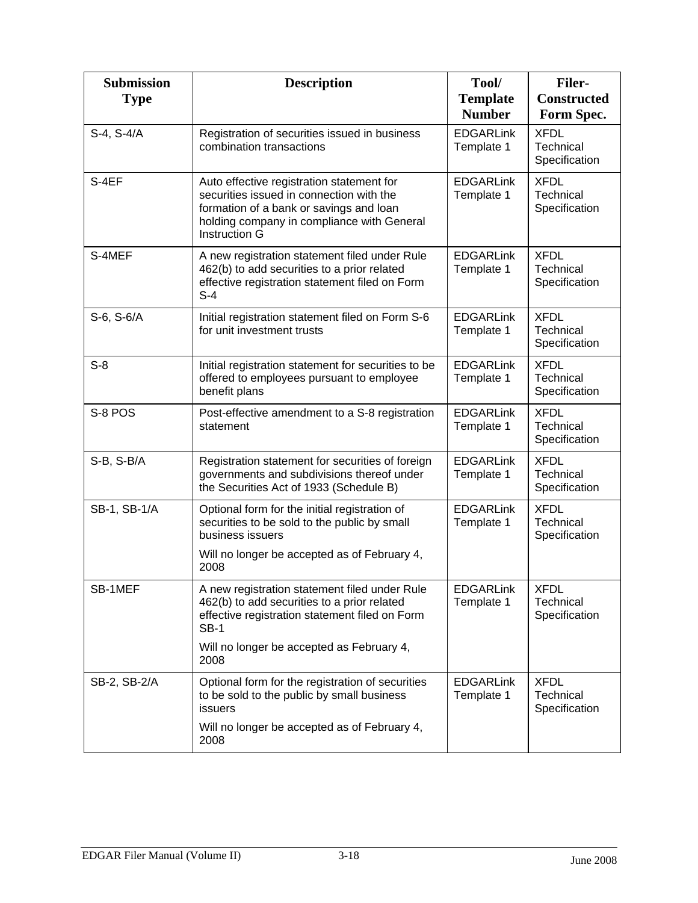| <b>Submission</b><br><b>Type</b> | <b>Description</b>                                                                                                                                                                                     | Tool/<br><b>Template</b><br><b>Number</b> | <b>Filer-</b><br><b>Constructed</b><br>Form Spec. |
|----------------------------------|--------------------------------------------------------------------------------------------------------------------------------------------------------------------------------------------------------|-------------------------------------------|---------------------------------------------------|
| S-4, S-4/A                       | Registration of securities issued in business<br>combination transactions                                                                                                                              | <b>EDGARLink</b><br>Template 1            | <b>XFDL</b><br>Technical<br>Specification         |
| S-4EF                            | Auto effective registration statement for<br>securities issued in connection with the<br>formation of a bank or savings and loan<br>holding company in compliance with General<br><b>Instruction G</b> | <b>EDGARLink</b><br>Template 1            | <b>XFDL</b><br>Technical<br>Specification         |
| S-4MEF                           | A new registration statement filed under Rule<br>462(b) to add securities to a prior related<br>effective registration statement filed on Form<br>$S-4$                                                | <b>EDGARLink</b><br>Template 1            | <b>XFDL</b><br>Technical<br>Specification         |
| S-6, S-6/A                       | Initial registration statement filed on Form S-6<br>for unit investment trusts                                                                                                                         | <b>EDGARLink</b><br>Template 1            | <b>XFDL</b><br>Technical<br>Specification         |
| $S-8$                            | Initial registration statement for securities to be<br>offered to employees pursuant to employee<br>benefit plans                                                                                      | <b>EDGARLink</b><br>Template 1            | <b>XFDL</b><br>Technical<br>Specification         |
| S-8 POS                          | Post-effective amendment to a S-8 registration<br>statement                                                                                                                                            | <b>EDGARLink</b><br>Template 1            | <b>XFDL</b><br>Technical<br>Specification         |
| S-B, S-B/A                       | Registration statement for securities of foreign<br>governments and subdivisions thereof under<br>the Securities Act of 1933 (Schedule B)                                                              | <b>EDGARLink</b><br>Template 1            | <b>XFDL</b><br>Technical<br>Specification         |
| SB-1, SB-1/A                     | Optional form for the initial registration of<br>securities to be sold to the public by small<br>business issuers<br>Will no longer be accepted as of February 4,<br>2008                              | <b>EDGARLink</b><br>Template 1            | <b>XFDL</b><br>Technical<br>Specification         |
| SB-1MEF                          | A new registration statement filed under Rule<br>462(b) to add securities to a prior related<br>effective registration statement filed on Form<br><b>SB-1</b>                                          | <b>EDGARLink</b><br>Template 1            | <b>XFDL</b><br>Technical<br>Specification         |
|                                  | Will no longer be accepted as February 4,<br>2008                                                                                                                                                      |                                           |                                                   |
| SB-2, SB-2/A                     | Optional form for the registration of securities<br>to be sold to the public by small business<br>issuers                                                                                              | <b>EDGARLink</b><br>Template 1            | <b>XFDL</b><br>Technical<br>Specification         |
|                                  | Will no longer be accepted as of February 4,<br>2008                                                                                                                                                   |                                           |                                                   |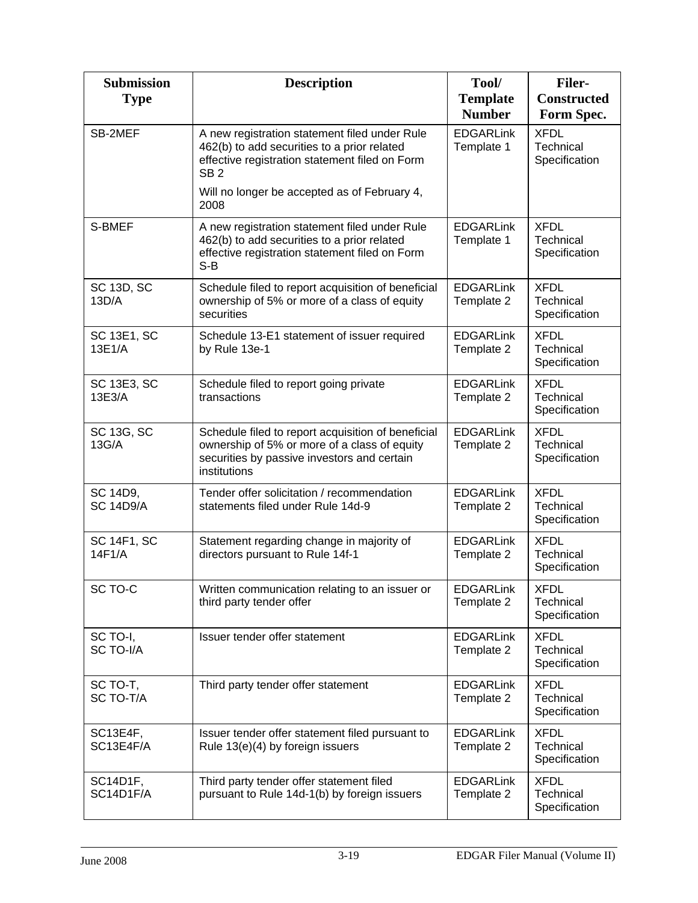| <b>Submission</b><br><b>Type</b> | <b>Description</b>                                                                                                                                                | Tool/<br><b>Template</b><br><b>Number</b> | <b>Filer-</b><br><b>Constructed</b><br>Form Spec. |
|----------------------------------|-------------------------------------------------------------------------------------------------------------------------------------------------------------------|-------------------------------------------|---------------------------------------------------|
| SB-2MEF                          | A new registration statement filed under Rule<br>462(b) to add securities to a prior related<br>effective registration statement filed on Form<br>SB <sub>2</sub> | <b>EDGARLink</b><br>Template 1            | <b>XFDL</b><br>Technical<br>Specification         |
|                                  | Will no longer be accepted as of February 4,<br>2008                                                                                                              |                                           |                                                   |
| S-BMEF                           | A new registration statement filed under Rule<br>462(b) to add securities to a prior related<br>effective registration statement filed on Form<br>$S-B$           | <b>EDGARLink</b><br>Template 1            | <b>XFDL</b><br>Technical<br>Specification         |
| <b>SC 13D, SC</b><br>13D/A       | Schedule filed to report acquisition of beneficial<br>ownership of 5% or more of a class of equity<br>securities                                                  | <b>EDGARLink</b><br>Template 2            | <b>XFDL</b><br>Technical<br>Specification         |
| <b>SC 13E1, SC</b><br>13E1/A     | Schedule 13-E1 statement of issuer required<br>by Rule 13e-1                                                                                                      | <b>EDGARLink</b><br>Template 2            | <b>XFDL</b><br>Technical<br>Specification         |
| <b>SC 13E3, SC</b><br>13E3/A     | Schedule filed to report going private<br>transactions                                                                                                            | <b>EDGARLink</b><br>Template 2            | <b>XFDL</b><br>Technical<br>Specification         |
| SC 13G, SC<br>13G/A              | Schedule filed to report acquisition of beneficial<br>ownership of 5% or more of a class of equity<br>securities by passive investors and certain<br>institutions | <b>EDGARLink</b><br>Template 2            | <b>XFDL</b><br>Technical<br>Specification         |
| SC 14D9,<br><b>SC 14D9/A</b>     | Tender offer solicitation / recommendation<br>statements filed under Rule 14d-9                                                                                   | <b>EDGARLink</b><br>Template 2            | <b>XFDL</b><br><b>Technical</b><br>Specification  |
| <b>SC 14F1, SC</b><br>14F1/A     | Statement regarding change in majority of<br>directors pursuant to Rule 14f-1                                                                                     | <b>EDGARLink</b><br>Template 2            | <b>XFDL</b><br>Technical<br>Specification         |
| SC TO-C                          | Written communication relating to an issuer or<br>third party tender offer                                                                                        | <b>EDGARLink</b><br>Template 2            | <b>XFDL</b><br>Technical<br>Specification         |
| SC TO-I,<br>SC TO-I/A            | Issuer tender offer statement                                                                                                                                     | <b>EDGARLink</b><br>Template 2            | <b>XFDL</b><br>Technical<br>Specification         |
| SC TO-T,<br>SC TO-T/A            | Third party tender offer statement                                                                                                                                | <b>EDGARLink</b><br>Template 2            | <b>XFDL</b><br>Technical<br>Specification         |
| SC13E4F,<br>SC13E4F/A            | Issuer tender offer statement filed pursuant to<br>Rule 13(e)(4) by foreign issuers                                                                               | <b>EDGARLink</b><br>Template 2            | <b>XFDL</b><br>Technical<br>Specification         |
| SC14D1F,<br>SC14D1F/A            | Third party tender offer statement filed<br>pursuant to Rule 14d-1(b) by foreign issuers                                                                          | <b>EDGARLink</b><br>Template 2            | <b>XFDL</b><br>Technical<br>Specification         |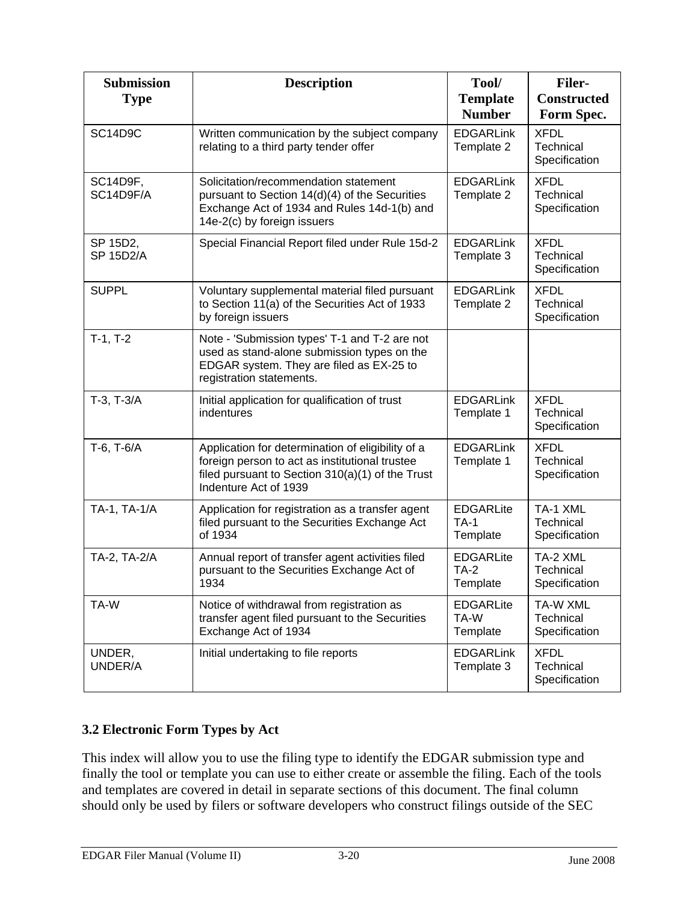| <b>Submission</b><br><b>Type</b> | <b>Description</b>                                                                                                                                                               | Tool/<br><b>Template</b><br><b>Number</b>   | <b>Filer-</b><br><b>Constructed</b><br>Form Spec. |
|----------------------------------|----------------------------------------------------------------------------------------------------------------------------------------------------------------------------------|---------------------------------------------|---------------------------------------------------|
| SC14D9C                          | Written communication by the subject company<br>relating to a third party tender offer                                                                                           | <b>EDGARLink</b><br>Template 2              | <b>XFDL</b><br>Technical<br>Specification         |
| SC14D9F,<br>SC14D9F/A            | Solicitation/recommendation statement<br>pursuant to Section 14(d)(4) of the Securities<br>Exchange Act of 1934 and Rules 14d-1(b) and<br>14e-2(c) by foreign issuers            | <b>EDGARLink</b><br>Template 2              | <b>XFDL</b><br>Technical<br>Specification         |
| SP 15D2,<br><b>SP 15D2/A</b>     | Special Financial Report filed under Rule 15d-2                                                                                                                                  | <b>EDGARLink</b><br>Template 3              | <b>XFDL</b><br>Technical<br>Specification         |
| <b>SUPPL</b>                     | Voluntary supplemental material filed pursuant<br>to Section 11(a) of the Securities Act of 1933<br>by foreign issuers                                                           | <b>EDGARLink</b><br>Template 2              | <b>XFDL</b><br>Technical<br>Specification         |
| $T-1, T-2$                       | Note - 'Submission types' T-1 and T-2 are not<br>used as stand-alone submission types on the<br>EDGAR system. They are filed as EX-25 to<br>registration statements.             |                                             |                                                   |
| $T-3$ , $T-3/A$                  | Initial application for qualification of trust<br>indentures                                                                                                                     | <b>EDGARLink</b><br>Template 1              | <b>XFDL</b><br>Technical<br>Specification         |
| T-6, T-6/A                       | Application for determination of eligibility of a<br>foreign person to act as institutional trustee<br>filed pursuant to Section 310(a)(1) of the Trust<br>Indenture Act of 1939 | <b>EDGARLink</b><br>Template 1              | <b>XFDL</b><br>Technical<br>Specification         |
| TA-1, TA-1/A                     | Application for registration as a transfer agent<br>filed pursuant to the Securities Exchange Act<br>of 1934                                                                     | <b>EDGARLite</b><br>$TA-1$<br>Template      | TA-1 XML<br>Technical<br>Specification            |
| TA-2, TA-2/A                     | Annual report of transfer agent activities filed<br>pursuant to the Securities Exchange Act of<br>1934                                                                           | <b>EDGARLite</b><br><b>TA-2</b><br>Template | TA-2 XML<br>Technical<br>Specification            |
| TA-W                             | Notice of withdrawal from registration as<br>transfer agent filed pursuant to the Securities<br>Exchange Act of 1934                                                             | <b>EDGARLite</b><br>TA-W<br>Template        | TA-W XML<br>Technical<br>Specification            |
| UNDER,<br>UNDER/A                | Initial undertaking to file reports                                                                                                                                              | <b>EDGARLink</b><br>Template 3              | <b>XFDL</b><br>Technical<br>Specification         |

## **3.2 Electronic Form Types by Act**

This index will allow you to use the filing type to identify the EDGAR submission type and finally the tool or template you can use to either create or assemble the filing. Each of the tools and templates are covered in detail in separate sections of this document. The final column should only be used by filers or software developers who construct filings outside of the SEC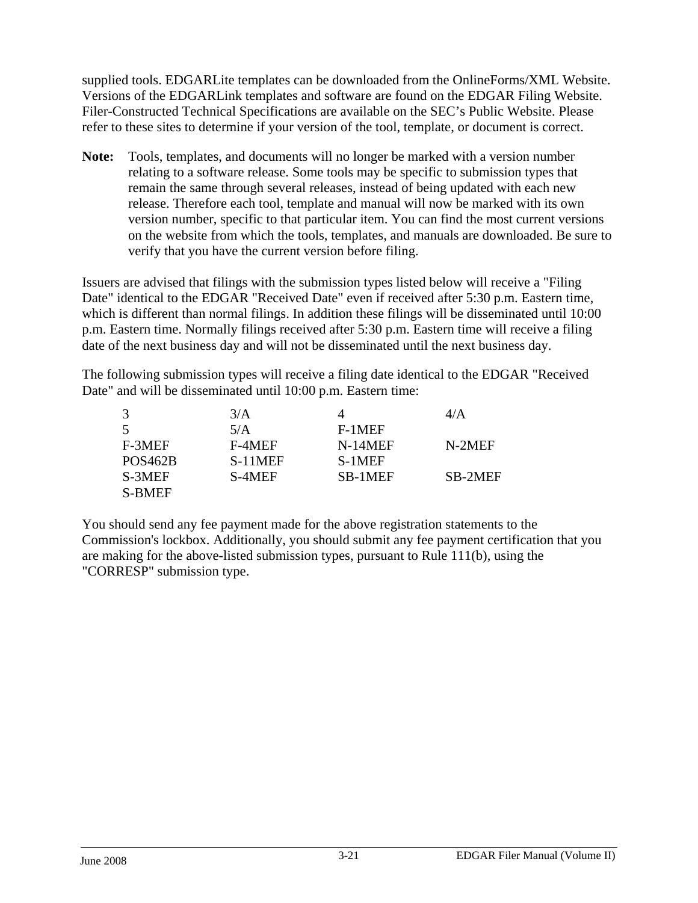supplied tools. EDGARLite templates can be downloaded from the OnlineForms/XML Website. Versions of the EDGARLink templates and software are found on the EDGAR Filing Website. Filer-Constructed Technical Specifications are available on the SEC's Public Website. Please refer to these sites to determine if your version of the tool, template, or document is correct.

**Note:** Tools, templates, and documents will no longer be marked with a version number relating to a software release. Some tools may be specific to submission types that remain the same through several releases, instead of being updated with each new release. Therefore each tool, template and manual will now be marked with its own version number, specific to that particular item. You can find the most current versions on the website from which the tools, templates, and manuals are downloaded. Be sure to verify that you have the current version before filing.

Issuers are advised that filings with the submission types listed below will receive a "Filing Date" identical to the EDGAR "Received Date" even if received after 5:30 p.m. Eastern time, which is different than normal filings. In addition these filings will be disseminated until 10:00 p.m. Eastern time. Normally filings received after 5:30 p.m. Eastern time will receive a filing date of the next business day and will not be disseminated until the next business day.

The following submission types will receive a filing date identical to the EDGAR "Received Date" and will be disseminated until 10:00 p.m. Eastern time:

|                      | 3/A     |         | 4/A     |
|----------------------|---------|---------|---------|
| 5                    | 5/A     | F-1MEF  |         |
| F-3MEF               | F-4MEF  | N-14MEF | N-2MEF  |
| POS <sub>462</sub> B | S-11MEF | S-1MEF  |         |
| S-3MEF               | S-4MEF  | SB-1MEF | SB-2MEF |
| <b>S-BMEF</b>        |         |         |         |

You should send any fee payment made for the above registration statements to the Commission's lockbox. Additionally, you should submit any fee payment certification that you are making for the above-listed submission types, pursuant to Rule 111(b), using the "CORRESP" submission type.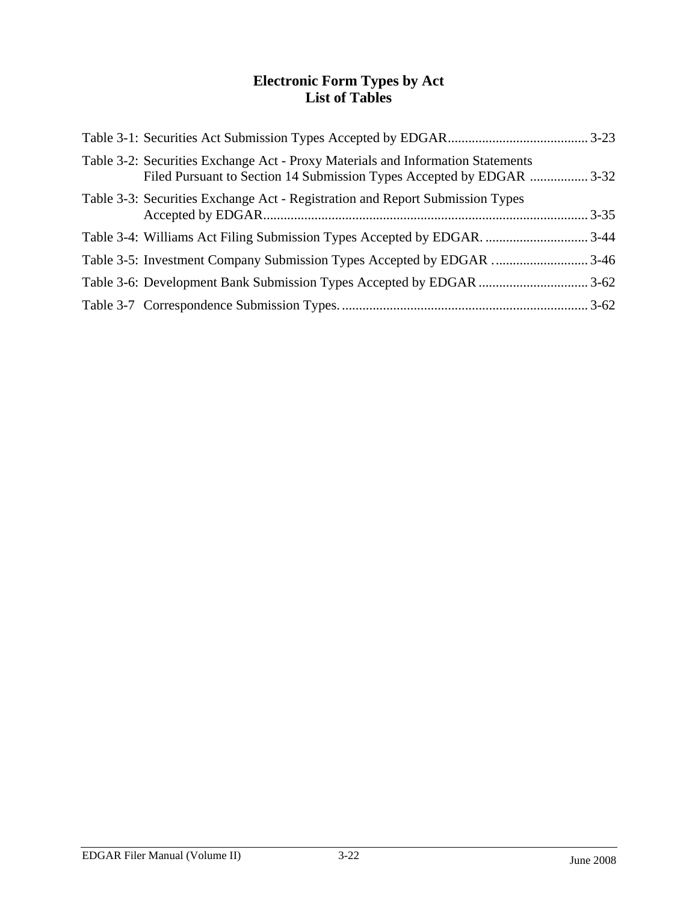## **Electronic Form Types by Act List of Tables**

| Table 3-2: Securities Exchange Act - Proxy Materials and Information Statements<br>Filed Pursuant to Section 14 Submission Types Accepted by EDGAR  3-32 |  |
|----------------------------------------------------------------------------------------------------------------------------------------------------------|--|
| Table 3-3: Securities Exchange Act - Registration and Report Submission Types                                                                            |  |
|                                                                                                                                                          |  |
|                                                                                                                                                          |  |
|                                                                                                                                                          |  |
|                                                                                                                                                          |  |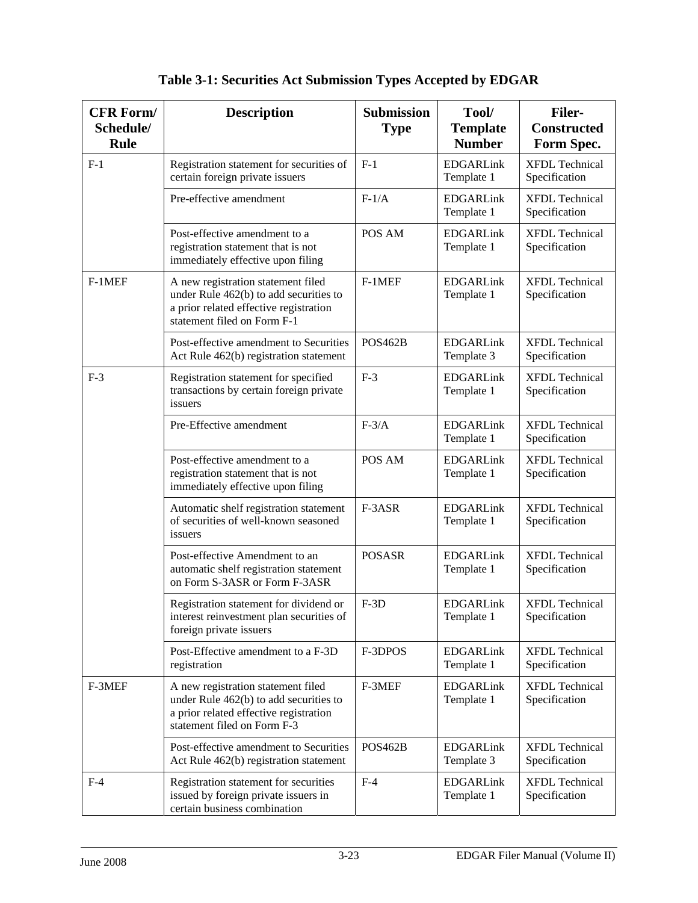| <b>CFR Form/</b><br>Schedule/<br><b>Rule</b> | <b>Description</b>                                                                                                                                    | <b>Submission</b><br><b>Type</b> | Tool/<br><b>Template</b><br><b>Number</b> | <b>Filer-</b><br><b>Constructed</b><br>Form Spec. |
|----------------------------------------------|-------------------------------------------------------------------------------------------------------------------------------------------------------|----------------------------------|-------------------------------------------|---------------------------------------------------|
| $F-1$                                        | Registration statement for securities of<br>certain foreign private issuers                                                                           | $F-1$                            | <b>EDGARLink</b><br>Template 1            | <b>XFDL</b> Technical<br>Specification            |
|                                              | Pre-effective amendment                                                                                                                               | $F-1/A$                          | <b>EDGARLink</b><br>Template 1            | <b>XFDL</b> Technical<br>Specification            |
|                                              | Post-effective amendment to a<br>registration statement that is not<br>immediately effective upon filing                                              | POS AM                           | <b>EDGARLink</b><br>Template 1            | <b>XFDL</b> Technical<br>Specification            |
| $F-1MEF$                                     | A new registration statement filed<br>under Rule 462(b) to add securities to<br>a prior related effective registration<br>statement filed on Form F-1 | $F-1MEF$                         | <b>EDGARLink</b><br>Template 1            | <b>XFDL Technical</b><br>Specification            |
|                                              | Post-effective amendment to Securities<br>Act Rule 462(b) registration statement                                                                      | <b>POS462B</b>                   | <b>EDGARLink</b><br>Template 3            | <b>XFDL</b> Technical<br>Specification            |
| $F-3$                                        | Registration statement for specified<br>transactions by certain foreign private<br>issuers                                                            | $F-3$                            | <b>EDGARLink</b><br>Template 1            | <b>XFDL</b> Technical<br>Specification            |
|                                              | Pre-Effective amendment                                                                                                                               | $F-3/A$                          | <b>EDGARLink</b><br>Template 1            | <b>XFDL Technical</b><br>Specification            |
|                                              | Post-effective amendment to a<br>registration statement that is not<br>immediately effective upon filing                                              | POS AM                           | <b>EDGARLink</b><br>Template 1            | <b>XFDL Technical</b><br>Specification            |
|                                              | Automatic shelf registration statement<br>of securities of well-known seasoned<br>issuers                                                             | F-3ASR                           | <b>EDGARLink</b><br>Template 1            | <b>XFDL Technical</b><br>Specification            |
|                                              | Post-effective Amendment to an<br>automatic shelf registration statement<br>on Form S-3ASR or Form F-3ASR                                             | <b>POSASR</b>                    | <b>EDGARLink</b><br>Template 1            | <b>XFDL Technical</b><br>Specification            |
|                                              | Registration statement for dividend or<br>interest reinvestment plan securities of<br>foreign private issuers                                         | $F-3D$                           | <b>EDGARLink</b><br>Template 1            | <b>XFDL</b> Technical<br>Specification            |
|                                              | Post-Effective amendment to a F-3D<br>registration                                                                                                    | F-3DPOS                          | <b>EDGARLink</b><br>Template 1            | <b>XFDL</b> Technical<br>Specification            |
| F-3MEF                                       | A new registration statement filed<br>under Rule 462(b) to add securities to<br>a prior related effective registration<br>statement filed on Form F-3 | F-3MEF                           | <b>EDGARLink</b><br>Template 1            | <b>XFDL</b> Technical<br>Specification            |
|                                              | Post-effective amendment to Securities<br>Act Rule 462(b) registration statement                                                                      | <b>POS462B</b>                   | <b>EDGARLink</b><br>Template 3            | <b>XFDL</b> Technical<br>Specification            |
| $F-4$                                        | Registration statement for securities<br>issued by foreign private issuers in<br>certain business combination                                         | $F-4$                            | <b>EDGARLink</b><br>Template 1            | <b>XFDL</b> Technical<br>Specification            |

# **Table 3-1: Securities Act Submission Types Accepted by EDGAR**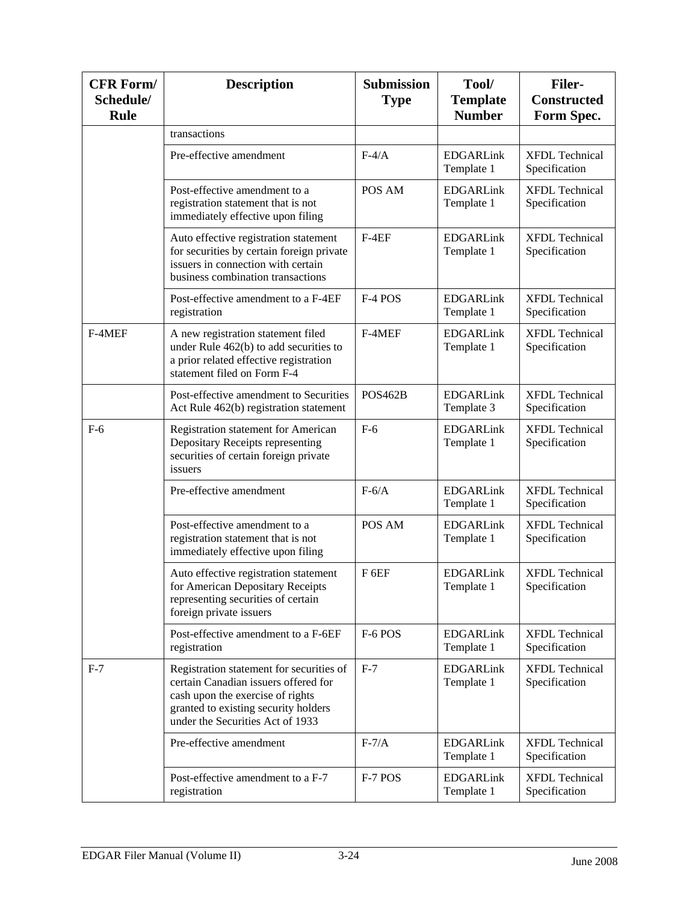| <b>CFR Form/</b><br>Schedule/<br><b>Rule</b> | <b>Description</b>                                                                                                                                                                               | <b>Submission</b><br><b>Type</b> | Tool/<br><b>Template</b><br><b>Number</b> | <b>Filer-</b><br><b>Constructed</b><br>Form Spec. |
|----------------------------------------------|--------------------------------------------------------------------------------------------------------------------------------------------------------------------------------------------------|----------------------------------|-------------------------------------------|---------------------------------------------------|
|                                              | transactions                                                                                                                                                                                     |                                  |                                           |                                                   |
|                                              | Pre-effective amendment                                                                                                                                                                          | $F-4/A$                          | <b>EDGARLink</b><br>Template 1            | <b>XFDL Technical</b><br>Specification            |
|                                              | Post-effective amendment to a<br>registration statement that is not<br>immediately effective upon filing                                                                                         | POS AM                           | <b>EDGARLink</b><br>Template 1            | <b>XFDL Technical</b><br>Specification            |
|                                              | Auto effective registration statement<br>for securities by certain foreign private<br>issuers in connection with certain<br>business combination transactions                                    | $F-4EF$                          | <b>EDGARLink</b><br>Template 1            | <b>XFDL Technical</b><br>Specification            |
|                                              | Post-effective amendment to a F-4EF<br>registration                                                                                                                                              | F-4 POS                          | <b>EDGARLink</b><br>Template 1            | <b>XFDL</b> Technical<br>Specification            |
| F-4MEF                                       | A new registration statement filed<br>under Rule 462(b) to add securities to<br>a prior related effective registration<br>statement filed on Form F-4                                            | F-4MEF                           | <b>EDGARLink</b><br>Template 1            | <b>XFDL Technical</b><br>Specification            |
|                                              | Post-effective amendment to Securities<br>Act Rule 462(b) registration statement                                                                                                                 | <b>POS462B</b>                   | <b>EDGARLink</b><br>Template 3            | <b>XFDL</b> Technical<br>Specification            |
| $F-6$                                        | Registration statement for American<br>Depositary Receipts representing<br>securities of certain foreign private<br>issuers                                                                      | $F-6$                            | <b>EDGARLink</b><br>Template 1            | <b>XFDL</b> Technical<br>Specification            |
|                                              | Pre-effective amendment                                                                                                                                                                          | $F-6/A$                          | <b>EDGARLink</b><br>Template 1            | <b>XFDL</b> Technical<br>Specification            |
|                                              | Post-effective amendment to a<br>registration statement that is not<br>immediately effective upon filing                                                                                         | POS AM                           | <b>EDGARLink</b><br>Template 1            | <b>XFDL</b> Technical<br>Specification            |
|                                              | Auto effective registration statement<br>for American Depositary Receipts<br>representing securities of certain<br>foreign private issuers                                                       | F <sub>6EF</sub>                 | <b>EDGARLink</b><br>Template 1            | <b>XFDL Technical</b><br>Specification            |
|                                              | Post-effective amendment to a F-6EF<br>registration                                                                                                                                              | F-6 POS                          | <b>EDGARLink</b><br>Template 1            | <b>XFDL Technical</b><br>Specification            |
| $F-7$                                        | Registration statement for securities of<br>certain Canadian issuers offered for<br>cash upon the exercise of rights<br>granted to existing security holders<br>under the Securities Act of 1933 | $F-7$                            | <b>EDGARLink</b><br>Template 1            | <b>XFDL Technical</b><br>Specification            |
|                                              | Pre-effective amendment                                                                                                                                                                          | $F-7/A$                          | <b>EDGARLink</b><br>Template 1            | <b>XFDL Technical</b><br>Specification            |
|                                              | Post-effective amendment to a F-7<br>registration                                                                                                                                                | F-7 POS                          | <b>EDGARLink</b><br>Template 1            | <b>XFDL Technical</b><br>Specification            |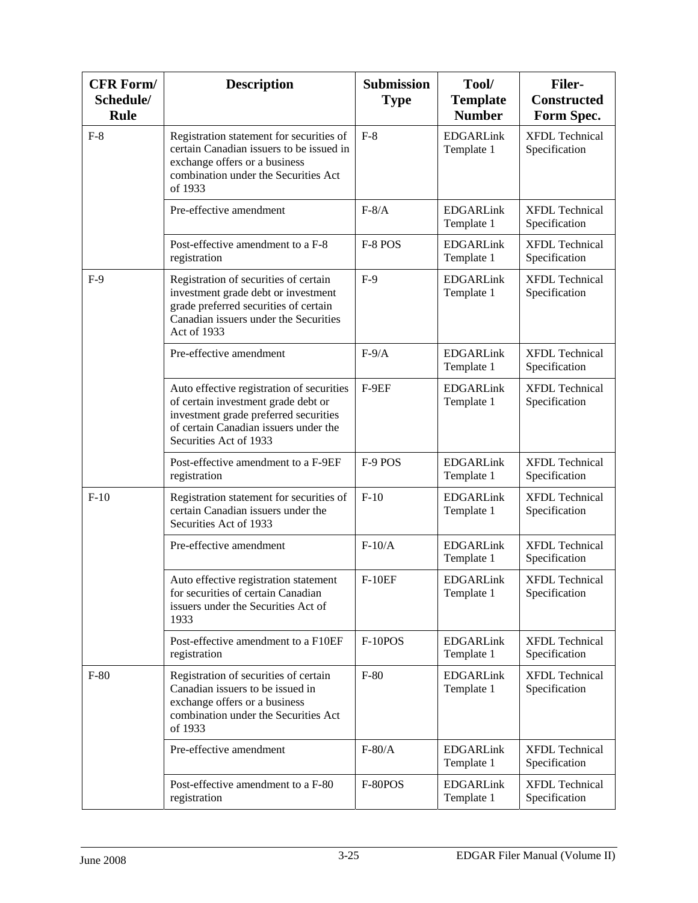| <b>CFR Form/</b><br>Schedule/<br><b>Rule</b> | <b>Description</b>                                                                                                                                                                           | <b>Submission</b><br><b>Type</b> | Tool/<br><b>Template</b><br><b>Number</b> | <b>Filer-</b><br><b>Constructed</b><br>Form Spec. |
|----------------------------------------------|----------------------------------------------------------------------------------------------------------------------------------------------------------------------------------------------|----------------------------------|-------------------------------------------|---------------------------------------------------|
| $F-8$                                        | Registration statement for securities of<br>certain Canadian issuers to be issued in<br>exchange offers or a business<br>combination under the Securities Act<br>of 1933                     | $F-8$                            | <b>EDGARLink</b><br>Template 1            | <b>XFDL Technical</b><br>Specification            |
|                                              | Pre-effective amendment                                                                                                                                                                      | $F-8/A$                          | <b>EDGARLink</b><br>Template 1            | <b>XFDL Technical</b><br>Specification            |
|                                              | Post-effective amendment to a F-8<br>registration                                                                                                                                            | F-8 POS                          | <b>EDGARLink</b><br>Template 1            | <b>XFDL Technical</b><br>Specification            |
| $F-9$                                        | Registration of securities of certain<br>investment grade debt or investment<br>grade preferred securities of certain<br>Canadian issuers under the Securities<br>Act of 1933                | $F-9$                            | <b>EDGARLink</b><br>Template 1            | <b>XFDL Technical</b><br>Specification            |
|                                              | Pre-effective amendment                                                                                                                                                                      | $F-9/A$                          | <b>EDGARLink</b><br>Template 1            | <b>XFDL Technical</b><br>Specification            |
|                                              | Auto effective registration of securities<br>of certain investment grade debt or<br>investment grade preferred securities<br>of certain Canadian issuers under the<br>Securities Act of 1933 | F-9EF                            | <b>EDGARLink</b><br>Template 1            | <b>XFDL Technical</b><br>Specification            |
|                                              | Post-effective amendment to a F-9EF<br>registration                                                                                                                                          | F-9 POS                          | <b>EDGARLink</b><br>Template 1            | <b>XFDL Technical</b><br>Specification            |
| $F-10$                                       | Registration statement for securities of<br>certain Canadian issuers under the<br>Securities Act of 1933                                                                                     | $F-10$                           | <b>EDGARLink</b><br>Template 1            | <b>XFDL Technical</b><br>Specification            |
|                                              | Pre-effective amendment                                                                                                                                                                      | $F-10/A$                         | <b>EDGARLink</b><br>Template 1            | <b>XFDL Technical</b><br>Specification            |
|                                              | Auto effective registration statement<br>for securities of certain Canadian<br>issuers under the Securities Act of<br>1933                                                                   | $F-10EF$                         | EDGARLink<br>Template 1                   | <b>XFDL</b> Technical<br>Specification            |
|                                              | Post-effective amendment to a F10EF<br>registration                                                                                                                                          | $F-10POS$                        | <b>EDGARLink</b><br>Template 1            | <b>XFDL Technical</b><br>Specification            |
| $F-80$                                       | Registration of securities of certain<br>Canadian issuers to be issued in<br>exchange offers or a business<br>combination under the Securities Act<br>of 1933                                | $F-80$                           | <b>EDGARLink</b><br>Template 1            | <b>XFDL</b> Technical<br>Specification            |
|                                              | Pre-effective amendment                                                                                                                                                                      | $F-80/A$                         | <b>EDGARLink</b><br>Template 1            | <b>XFDL Technical</b><br>Specification            |
|                                              | Post-effective amendment to a F-80<br>registration                                                                                                                                           | F-80POS                          | <b>EDGARLink</b><br>Template 1            | <b>XFDL</b> Technical<br>Specification            |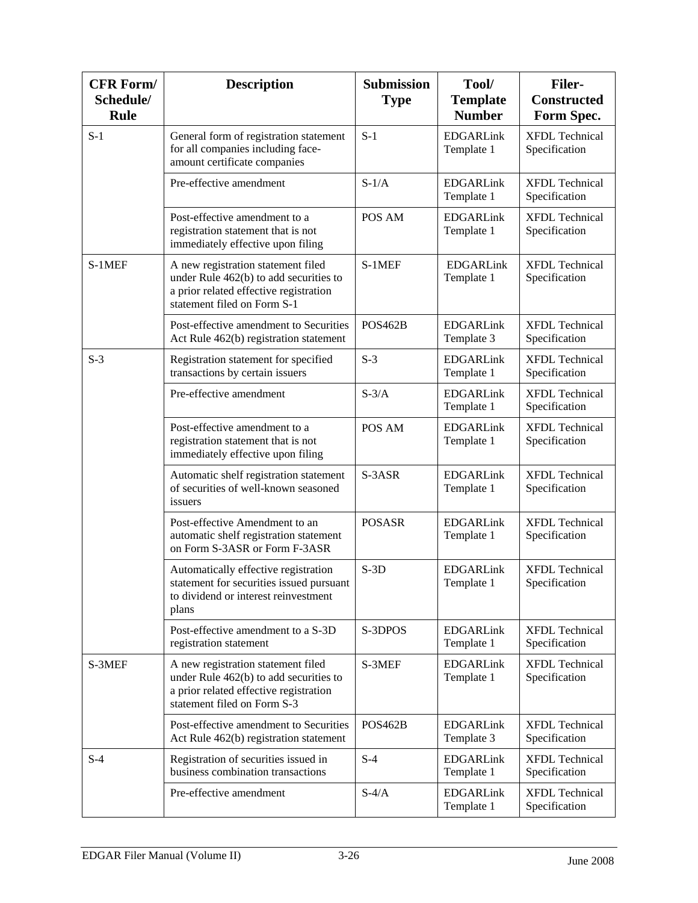| <b>CFR Form/</b><br>Schedule/<br><b>Rule</b> | <b>Description</b>                                                                                                                                    | <b>Submission</b><br><b>Type</b> | Tool/<br><b>Template</b><br><b>Number</b> | <b>Filer-</b><br><b>Constructed</b><br>Form Spec. |
|----------------------------------------------|-------------------------------------------------------------------------------------------------------------------------------------------------------|----------------------------------|-------------------------------------------|---------------------------------------------------|
| $S-1$                                        | General form of registration statement<br>for all companies including face-<br>amount certificate companies                                           | $S-1$                            | <b>EDGARLink</b><br>Template 1            | <b>XFDL</b> Technical<br>Specification            |
|                                              | Pre-effective amendment                                                                                                                               | $S-1/A$                          | <b>EDGARLink</b><br>Template 1            | <b>XFDL Technical</b><br>Specification            |
|                                              | Post-effective amendment to a<br>registration statement that is not<br>immediately effective upon filing                                              | POS AM                           | <b>EDGARLink</b><br>Template 1            | <b>XFDL Technical</b><br>Specification            |
| S-1MEF                                       | A new registration statement filed<br>under Rule 462(b) to add securities to<br>a prior related effective registration<br>statement filed on Form S-1 | S-1MEF                           | <b>EDGARLink</b><br>Template 1            | <b>XFDL</b> Technical<br>Specification            |
|                                              | Post-effective amendment to Securities<br>Act Rule 462(b) registration statement                                                                      | POS <sub>462</sub> B             | <b>EDGARLink</b><br>Template 3            | <b>XFDL Technical</b><br>Specification            |
| $S-3$                                        | Registration statement for specified<br>transactions by certain issuers                                                                               | $S-3$                            | <b>EDGARLink</b><br>Template 1            | <b>XFDL</b> Technical<br>Specification            |
|                                              | Pre-effective amendment                                                                                                                               | $S-3/A$                          | <b>EDGARLink</b><br>Template 1            | <b>XFDL Technical</b><br>Specification            |
|                                              | Post-effective amendment to a<br>registration statement that is not<br>immediately effective upon filing                                              | POS AM                           | <b>EDGARLink</b><br>Template 1            | <b>XFDL Technical</b><br>Specification            |
|                                              | Automatic shelf registration statement<br>of securities of well-known seasoned<br>issuers                                                             | S-3ASR                           | <b>EDGARLink</b><br>Template 1            | <b>XFDL Technical</b><br>Specification            |
|                                              | Post-effective Amendment to an<br>automatic shelf registration statement<br>on Form S-3ASR or Form F-3ASR                                             | <b>POSASR</b>                    | <b>EDGARLink</b><br>Template 1            | <b>XFDL Technical</b><br>Specification            |
|                                              | Automatically effective registration<br>statement for securities issued pursuant<br>to dividend or interest reinvestment<br>plans                     | $S-3D$                           | <b>EDGARLink</b><br>Template 1            | <b>XFDL</b> Technical<br>Specification            |
|                                              | Post-effective amendment to a S-3D<br>registration statement                                                                                          | S-3DPOS                          | <b>EDGARLink</b><br>Template 1            | <b>XFDL Technical</b><br>Specification            |
| S-3MEF                                       | A new registration statement filed<br>under Rule 462(b) to add securities to<br>a prior related effective registration<br>statement filed on Form S-3 | S-3MEF                           | <b>EDGARLink</b><br>Template 1            | <b>XFDL Technical</b><br>Specification            |
|                                              | Post-effective amendment to Securities<br>Act Rule 462(b) registration statement                                                                      | <b>POS462B</b>                   | <b>EDGARLink</b><br>Template 3            | <b>XFDL Technical</b><br>Specification            |
| $S-4$                                        | Registration of securities issued in<br>business combination transactions                                                                             | $S-4$                            | <b>EDGARLink</b><br>Template 1            | <b>XFDL Technical</b><br>Specification            |
|                                              | Pre-effective amendment                                                                                                                               | $S-4/A$                          | <b>EDGARLink</b><br>Template 1            | <b>XFDL Technical</b><br>Specification            |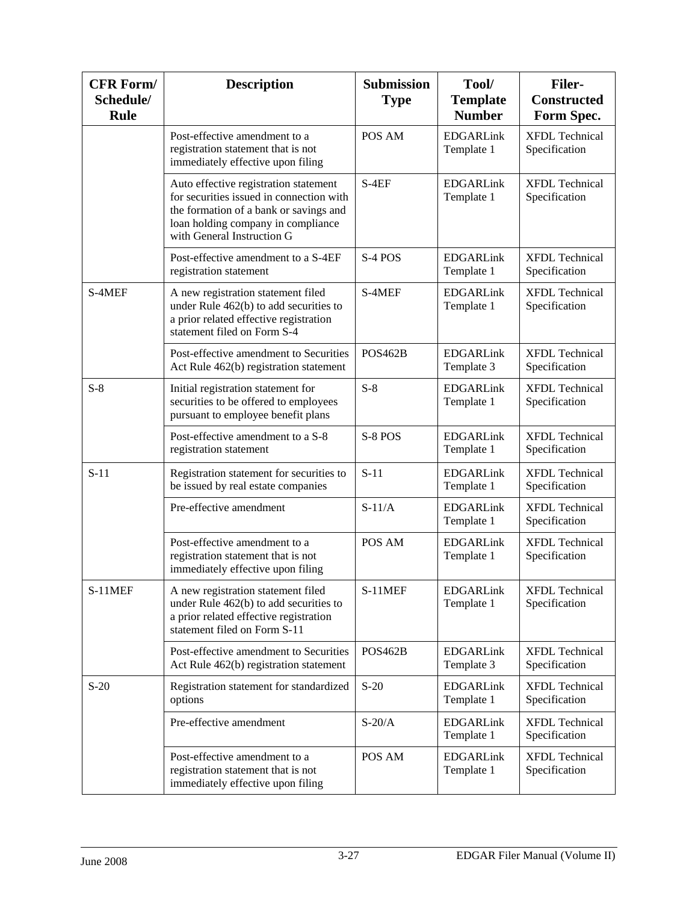| <b>CFR Form/</b><br>Schedule/<br><b>Rule</b> | <b>Description</b>                                                                                                                                                                              | <b>Submission</b><br><b>Type</b> | Tool/<br><b>Template</b><br><b>Number</b> | <b>Filer-</b><br><b>Constructed</b><br>Form Spec. |
|----------------------------------------------|-------------------------------------------------------------------------------------------------------------------------------------------------------------------------------------------------|----------------------------------|-------------------------------------------|---------------------------------------------------|
|                                              | Post-effective amendment to a<br>registration statement that is not<br>immediately effective upon filing                                                                                        | POS AM                           | <b>EDGARLink</b><br>Template 1            | <b>XFDL</b> Technical<br>Specification            |
|                                              | Auto effective registration statement<br>for securities issued in connection with<br>the formation of a bank or savings and<br>loan holding company in compliance<br>with General Instruction G | $S-4EF$                          | <b>EDGARLink</b><br>Template 1            | <b>XFDL Technical</b><br>Specification            |
|                                              | Post-effective amendment to a S-4EF<br>registration statement                                                                                                                                   | S-4 POS                          | <b>EDGARLink</b><br>Template 1            | <b>XFDL</b> Technical<br>Specification            |
| S-4MEF                                       | A new registration statement filed<br>under Rule 462(b) to add securities to<br>a prior related effective registration<br>statement filed on Form S-4                                           | S-4MEF                           | <b>EDGARLink</b><br>Template 1            | <b>XFDL Technical</b><br>Specification            |
|                                              | Post-effective amendment to Securities<br>Act Rule 462(b) registration statement                                                                                                                | <b>POS462B</b>                   | <b>EDGARLink</b><br>Template 3            | <b>XFDL</b> Technical<br>Specification            |
| $S-8$                                        | Initial registration statement for<br>securities to be offered to employees<br>pursuant to employee benefit plans                                                                               | $S-8$                            | <b>EDGARLink</b><br>Template 1            | <b>XFDL</b> Technical<br>Specification            |
|                                              | Post-effective amendment to a S-8<br>registration statement                                                                                                                                     | S-8 POS                          | <b>EDGARLink</b><br>Template 1            | <b>XFDL</b> Technical<br>Specification            |
| $S-11$                                       | Registration statement for securities to<br>be issued by real estate companies                                                                                                                  | $S-11$                           | <b>EDGARLink</b><br>Template 1            | <b>XFDL</b> Technical<br>Specification            |
|                                              | Pre-effective amendment                                                                                                                                                                         | $S-11/A$                         | <b>EDGARLink</b><br>Template 1            | <b>XFDL Technical</b><br>Specification            |
|                                              | Post-effective amendment to a<br>registration statement that is not<br>immediately effective upon filing                                                                                        | POS AM                           | <b>EDGARLink</b><br>Template 1            | <b>XFDL Technical</b><br>Specification            |
| $S-11$ MEF                                   | A new registration statement filed<br>under Rule 462(b) to add securities to<br>a prior related effective registration<br>statement filed on Form S-11                                          | S-11MEF                          | <b>EDGARLink</b><br>Template 1            | <b>XFDL Technical</b><br>Specification            |
|                                              | Post-effective amendment to Securities<br>Act Rule 462(b) registration statement                                                                                                                | <b>POS462B</b>                   | <b>EDGARLink</b><br>Template 3            | <b>XFDL Technical</b><br>Specification            |
| $S-20$                                       | Registration statement for standardized<br>options                                                                                                                                              | $S-20$                           | <b>EDGARLink</b><br>Template 1            | <b>XFDL</b> Technical<br>Specification            |
|                                              | Pre-effective amendment                                                                                                                                                                         | $S-20/A$                         | <b>EDGARLink</b><br>Template 1            | <b>XFDL Technical</b><br>Specification            |
|                                              | Post-effective amendment to a<br>registration statement that is not<br>immediately effective upon filing                                                                                        | POS AM                           | <b>EDGARLink</b><br>Template 1            | <b>XFDL Technical</b><br>Specification            |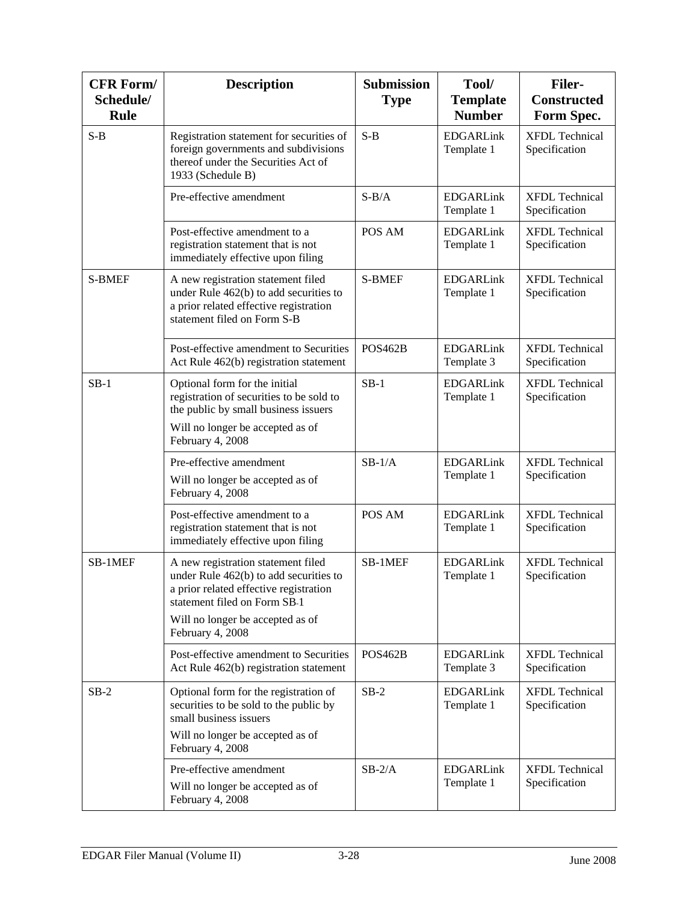| <b>CFR Form/</b><br>Schedule/<br><b>Rule</b> | <b>Description</b>                                                                                                                                                                         | <b>Submission</b><br><b>Type</b> | Tool/<br><b>Template</b><br><b>Number</b> | <b>Filer-</b><br><b>Constructed</b><br>Form Spec. |
|----------------------------------------------|--------------------------------------------------------------------------------------------------------------------------------------------------------------------------------------------|----------------------------------|-------------------------------------------|---------------------------------------------------|
| $S-B$                                        | Registration statement for securities of<br>foreign governments and subdivisions<br>thereof under the Securities Act of<br>1933 (Schedule B)                                               | $S-B$                            | <b>EDGARLink</b><br>Template 1            | <b>XFDL Technical</b><br>Specification            |
|                                              | Pre-effective amendment                                                                                                                                                                    | $S-B/A$                          | <b>EDGARLink</b><br>Template 1            | <b>XFDL</b> Technical<br>Specification            |
|                                              | Post-effective amendment to a<br>registration statement that is not<br>immediately effective upon filing                                                                                   | POS AM                           | <b>EDGARLink</b><br>Template 1            | <b>XFDL Technical</b><br>Specification            |
| <b>S-BMEF</b>                                | A new registration statement filed<br>under Rule 462(b) to add securities to<br>a prior related effective registration<br>statement filed on Form S-B                                      | <b>S-BMEF</b>                    | <b>EDGARLink</b><br>Template 1            | <b>XFDL</b> Technical<br>Specification            |
|                                              | Post-effective amendment to Securities<br>Act Rule 462(b) registration statement                                                                                                           | <b>POS462B</b>                   | <b>EDGARLink</b><br>Template 3            | <b>XFDL Technical</b><br>Specification            |
| $SB-1$                                       | Optional form for the initial<br>registration of securities to be sold to<br>the public by small business issuers                                                                          | $SB-1$                           | <b>EDGARLink</b><br>Template 1            | <b>XFDL Technical</b><br>Specification            |
|                                              | Will no longer be accepted as of<br>February 4, 2008                                                                                                                                       |                                  |                                           |                                                   |
|                                              | Pre-effective amendment<br>Will no longer be accepted as of<br>February 4, 2008                                                                                                            | $SB-1/A$                         | <b>EDGARLink</b><br>Template 1            | <b>XFDL Technical</b><br>Specification            |
|                                              | Post-effective amendment to a<br>registration statement that is not<br>immediately effective upon filing                                                                                   | POS AM                           | <b>EDGARLink</b><br>Template 1            | <b>XFDL</b> Technical<br>Specification            |
| SB-1MEF                                      | A new registration statement filed<br>under Rule 462(b) to add securities to<br>a prior related effective registration<br>statement filed on Form SB-1<br>Will no longer be accepted as of | SB-1MEF                          | <b>EDGARLink</b><br>Template 1            | <b>XFDL Technical</b><br>Specification            |
|                                              | February 4, 2008<br>Post-effective amendment to Securities<br>Act Rule 462(b) registration statement                                                                                       | <b>POS462B</b>                   | <b>EDGARLink</b><br>Template 3            | <b>XFDL Technical</b><br>Specification            |
| $SB-2$                                       | Optional form for the registration of<br>securities to be sold to the public by<br>small business issuers                                                                                  | $SB-2$                           | <b>EDGARLink</b><br>Template 1            | <b>XFDL Technical</b><br>Specification            |
|                                              | Will no longer be accepted as of<br>February 4, 2008                                                                                                                                       |                                  |                                           |                                                   |
|                                              | Pre-effective amendment<br>Will no longer be accepted as of<br>February 4, 2008                                                                                                            | $SB-2/A$                         | <b>EDGARLink</b><br>Template 1            | <b>XFDL Technical</b><br>Specification            |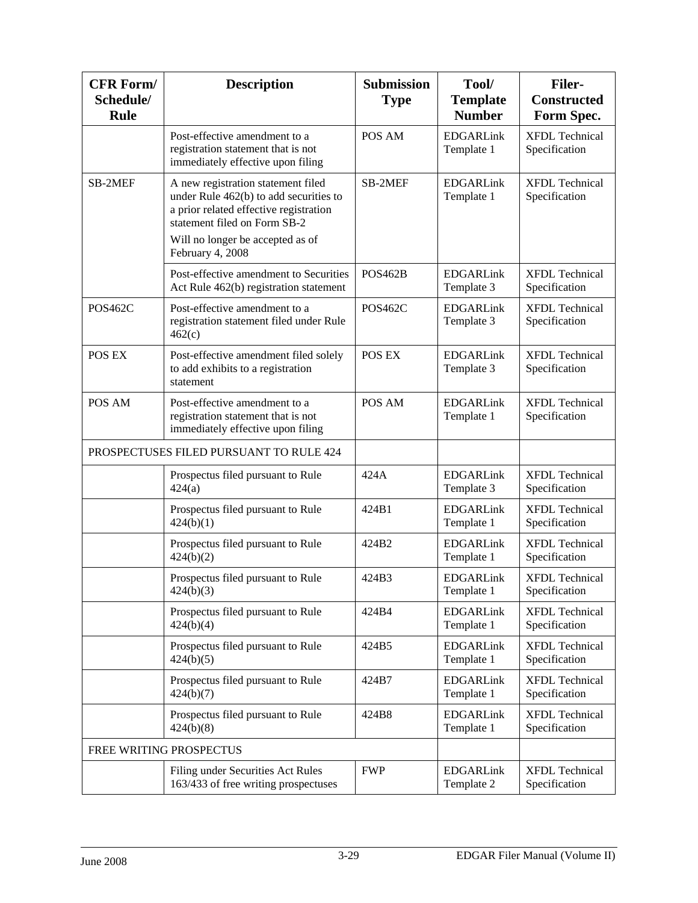| <b>CFR Form/</b><br>Schedule/<br><b>Rule</b> | <b>Description</b>                                                                                                                                                                                             | <b>Submission</b><br><b>Type</b> | Tool/<br><b>Template</b><br><b>Number</b> | <b>Filer-</b><br><b>Constructed</b><br>Form Spec. |
|----------------------------------------------|----------------------------------------------------------------------------------------------------------------------------------------------------------------------------------------------------------------|----------------------------------|-------------------------------------------|---------------------------------------------------|
|                                              | Post-effective amendment to a<br>registration statement that is not<br>immediately effective upon filing                                                                                                       | POS AM                           | <b>EDGARLink</b><br>Template 1            | <b>XFDL Technical</b><br>Specification            |
| SB-2MEF                                      | A new registration statement filed<br>under Rule 462(b) to add securities to<br>a prior related effective registration<br>statement filed on Form SB-2<br>Will no longer be accepted as of<br>February 4, 2008 | SB-2MEF                          | <b>EDGARLink</b><br>Template 1            | <b>XFDL Technical</b><br>Specification            |
|                                              | Post-effective amendment to Securities<br>Act Rule 462(b) registration statement                                                                                                                               | <b>POS462B</b>                   | <b>EDGARLink</b><br>Template 3            | <b>XFDL Technical</b><br>Specification            |
| <b>POS462C</b>                               | Post-effective amendment to a<br>registration statement filed under Rule<br>462(c)                                                                                                                             | <b>POS462C</b>                   | <b>EDGARLink</b><br>Template 3            | <b>XFDL Technical</b><br>Specification            |
| POS EX                                       | Post-effective amendment filed solely<br>to add exhibits to a registration<br>statement                                                                                                                        | POS EX                           | <b>EDGARLink</b><br>Template 3            | <b>XFDL Technical</b><br>Specification            |
| POS AM                                       | Post-effective amendment to a<br>registration statement that is not<br>immediately effective upon filing                                                                                                       | POS AM                           | <b>EDGARLink</b><br>Template 1            | <b>XFDL</b> Technical<br>Specification            |
|                                              | PROSPECTUSES FILED PURSUANT TO RULE 424                                                                                                                                                                        |                                  |                                           |                                                   |
|                                              | Prospectus filed pursuant to Rule<br>424(a)                                                                                                                                                                    | 424A                             | <b>EDGARLink</b><br>Template 3            | <b>XFDL Technical</b><br>Specification            |
|                                              | Prospectus filed pursuant to Rule<br>424(b)(1)                                                                                                                                                                 | 424B1                            | <b>EDGARLink</b><br>Template 1            | <b>XFDL Technical</b><br>Specification            |
|                                              | Prospectus filed pursuant to Rule<br>424(b)(2)                                                                                                                                                                 | 424B2                            | <b>EDGARLink</b><br>Template 1            | <b>XFDL</b> Technical<br>Specification            |
|                                              | Prospectus filed pursuant to Rule<br>424(b)(3)                                                                                                                                                                 | 424B3                            | <b>EDGARLink</b><br>Template 1            | <b>XFDL</b> Technical<br>Specification            |
|                                              | Prospectus filed pursuant to Rule<br>424(b)(4)                                                                                                                                                                 | 424B4                            | <b>EDGARLink</b><br>Template 1            | <b>XFDL Technical</b><br>Specification            |
|                                              | Prospectus filed pursuant to Rule<br>424(b)(5)                                                                                                                                                                 | 424B5                            | <b>EDGARLink</b><br>Template 1            | <b>XFDL</b> Technical<br>Specification            |
|                                              | Prospectus filed pursuant to Rule<br>424(b)(7)                                                                                                                                                                 | 424B7                            | <b>EDGARLink</b><br>Template 1            | <b>XFDL Technical</b><br>Specification            |
|                                              | Prospectus filed pursuant to Rule<br>424(b)(8)                                                                                                                                                                 | 424B8                            | <b>EDGARLink</b><br>Template 1            | <b>XFDL Technical</b><br>Specification            |
|                                              | FREE WRITING PROSPECTUS                                                                                                                                                                                        |                                  |                                           |                                                   |
|                                              | Filing under Securities Act Rules<br>163/433 of free writing prospectuses                                                                                                                                      | <b>FWP</b>                       | <b>EDGARLink</b><br>Template 2            | <b>XFDL Technical</b><br>Specification            |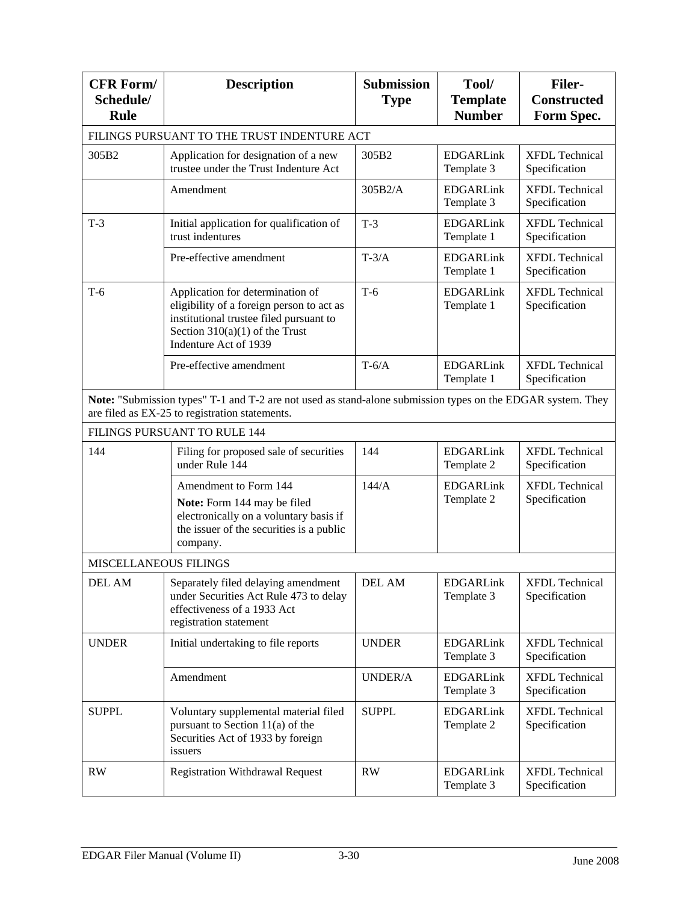| <b>CFR Form/</b><br>Schedule/<br><b>Rule</b> | <b>Description</b>                                                                                                                                                                            | <b>Submission</b><br><b>Type</b> | Tool/<br><b>Template</b><br><b>Number</b> | <b>Filer-</b><br><b>Constructed</b><br>Form Spec. |
|----------------------------------------------|-----------------------------------------------------------------------------------------------------------------------------------------------------------------------------------------------|----------------------------------|-------------------------------------------|---------------------------------------------------|
|                                              | FILINGS PURSUANT TO THE TRUST INDENTURE ACT                                                                                                                                                   |                                  |                                           |                                                   |
| 305B2                                        | Application for designation of a new<br>trustee under the Trust Indenture Act                                                                                                                 | 305B2                            | <b>EDGARLink</b><br>Template 3            | <b>XFDL Technical</b><br>Specification            |
|                                              | Amendment                                                                                                                                                                                     | 305B2/A                          | <b>EDGARLink</b><br>Template 3            | <b>XFDL Technical</b><br>Specification            |
| $T-3$                                        | Initial application for qualification of<br>trust indentures                                                                                                                                  | $T-3$                            | <b>EDGARLink</b><br>Template 1            | <b>XFDL Technical</b><br>Specification            |
|                                              | Pre-effective amendment                                                                                                                                                                       | $T-3/A$                          | <b>EDGARLink</b><br>Template 1            | <b>XFDL Technical</b><br>Specification            |
| $T-6$                                        | Application for determination of<br>eligibility of a foreign person to act as<br>institutional trustee filed pursuant to<br>Section $310(a)(1)$ of the Trust<br>Indenture Act of 1939         | $T-6$                            | <b>EDGARLink</b><br>Template 1            | <b>XFDL Technical</b><br>Specification            |
|                                              | Pre-effective amendment                                                                                                                                                                       | $T-6/A$                          | <b>EDGARLink</b><br>Template 1            | <b>XFDL Technical</b><br>Specification            |
|                                              | Note: "Submission types" T-1 and T-2 are not used as stand-alone submission types on the EDGAR system. They<br>are filed as EX-25 to registration statements.<br>FILINGS PURSUANT TO RULE 144 |                                  |                                           |                                                   |
|                                              |                                                                                                                                                                                               |                                  |                                           |                                                   |
| 144                                          | Filing for proposed sale of securities<br>under Rule 144                                                                                                                                      | 144                              | <b>EDGARLink</b><br>Template 2            | <b>XFDL Technical</b><br>Specification            |
|                                              | Amendment to Form 144<br>Note: Form 144 may be filed<br>electronically on a voluntary basis if<br>the issuer of the securities is a public<br>company.                                        | 144/A                            | <b>EDGARLink</b><br>Template 2            | <b>XFDL Technical</b><br>Specification            |
| <b>MISCELLANEOUS FILINGS</b>                 |                                                                                                                                                                                               |                                  |                                           |                                                   |
| <b>DEL AM</b>                                | Separately filed delaying amendment<br>under Securities Act Rule 473 to delay<br>effectiveness of a 1933 Act<br>registration statement                                                        | <b>DEL AM</b>                    | <b>EDGARLink</b><br>Template 3            | <b>XFDL Technical</b><br>Specification            |
| <b>UNDER</b>                                 | Initial undertaking to file reports                                                                                                                                                           | <b>UNDER</b>                     | <b>EDGARLink</b><br>Template 3            | <b>XFDL Technical</b><br>Specification            |
|                                              | Amendment                                                                                                                                                                                     | UNDER/A                          | <b>EDGARLink</b><br>Template 3            | <b>XFDL Technical</b><br>Specification            |
| <b>SUPPL</b>                                 | Voluntary supplemental material filed<br>pursuant to Section 11(a) of the<br>Securities Act of 1933 by foreign<br>issuers                                                                     | <b>SUPPL</b>                     | <b>EDGARLink</b><br>Template 2            | <b>XFDL Technical</b><br>Specification            |
| RW                                           | <b>Registration Withdrawal Request</b>                                                                                                                                                        | RW                               | <b>EDGARLink</b><br>Template 3            | <b>XFDL Technical</b><br>Specification            |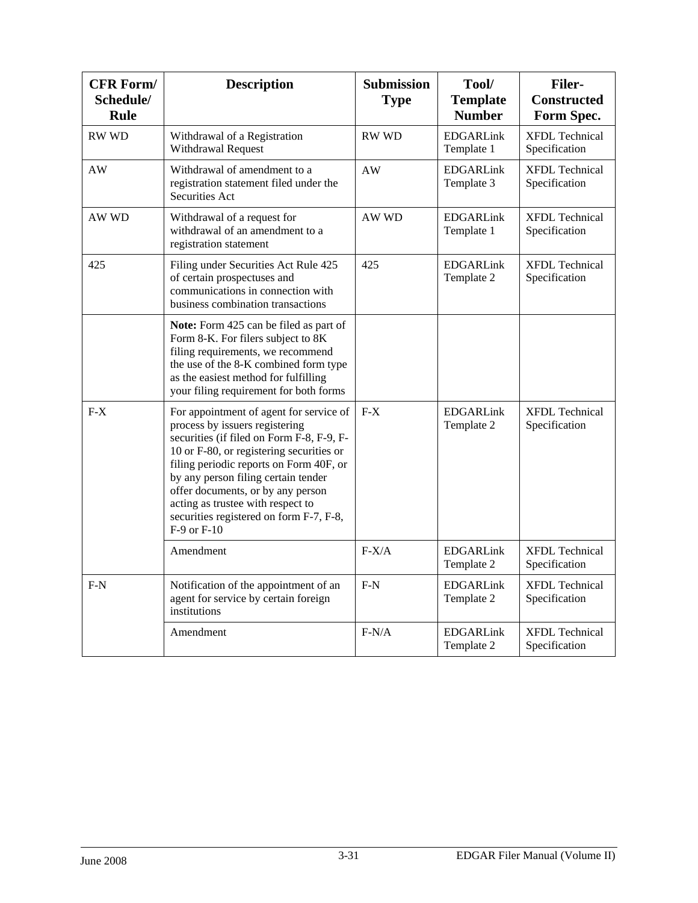| <b>CFR Form/</b><br>Schedule/<br><b>Rule</b> | <b>Description</b>                                                                                                                                                                                                                                                                                                                                                                           | <b>Submission</b><br><b>Type</b> | Tool/<br><b>Template</b><br><b>Number</b> | <b>Filer-</b><br><b>Constructed</b><br>Form Spec. |
|----------------------------------------------|----------------------------------------------------------------------------------------------------------------------------------------------------------------------------------------------------------------------------------------------------------------------------------------------------------------------------------------------------------------------------------------------|----------------------------------|-------------------------------------------|---------------------------------------------------|
| <b>RW WD</b>                                 | Withdrawal of a Registration<br>Withdrawal Request                                                                                                                                                                                                                                                                                                                                           | <b>RW WD</b>                     | <b>EDGARLink</b><br>Template 1            | <b>XFDL</b> Technical<br>Specification            |
| AW                                           | Withdrawal of amendment to a<br>registration statement filed under the<br>Securities Act                                                                                                                                                                                                                                                                                                     | AW                               | <b>EDGARLink</b><br>Template 3            | <b>XFDL</b> Technical<br>Specification            |
| AW WD                                        | Withdrawal of a request for<br>withdrawal of an amendment to a<br>registration statement                                                                                                                                                                                                                                                                                                     | AW WD                            | <b>EDGARLink</b><br>Template 1            | <b>XFDL</b> Technical<br>Specification            |
| 425                                          | Filing under Securities Act Rule 425<br>of certain prospectuses and<br>communications in connection with<br>business combination transactions                                                                                                                                                                                                                                                | 425                              | <b>EDGARLink</b><br>Template 2            | <b>XFDL Technical</b><br>Specification            |
|                                              | Note: Form 425 can be filed as part of<br>Form 8-K. For filers subject to 8K<br>filing requirements, we recommend<br>the use of the 8-K combined form type<br>as the easiest method for fulfilling<br>your filing requirement for both forms                                                                                                                                                 |                                  |                                           |                                                   |
| $F-X$                                        | For appointment of agent for service of<br>process by issuers registering<br>securities (if filed on Form F-8, F-9, F-<br>10 or F-80, or registering securities or<br>filing periodic reports on Form 40F, or<br>by any person filing certain tender<br>offer documents, or by any person<br>acting as trustee with respect to<br>securities registered on form F-7, F-8,<br>$F-9$ or $F-10$ | $F-X$                            | <b>EDGARLink</b><br>Template 2            | <b>XFDL Technical</b><br>Specification            |
|                                              | Amendment                                                                                                                                                                                                                                                                                                                                                                                    | $F-X/A$                          | <b>EDGARLink</b><br>Template 2            | <b>XFDL Technical</b><br>Specification            |
| $F-N$                                        | Notification of the appointment of an<br>agent for service by certain foreign<br>institutions                                                                                                                                                                                                                                                                                                | $F-N$                            | <b>EDGARLink</b><br>Template 2            | <b>XFDL</b> Technical<br>Specification            |
|                                              | Amendment                                                                                                                                                                                                                                                                                                                                                                                    | $F-N/A$                          | <b>EDGARLink</b><br>Template 2            | <b>XFDL Technical</b><br>Specification            |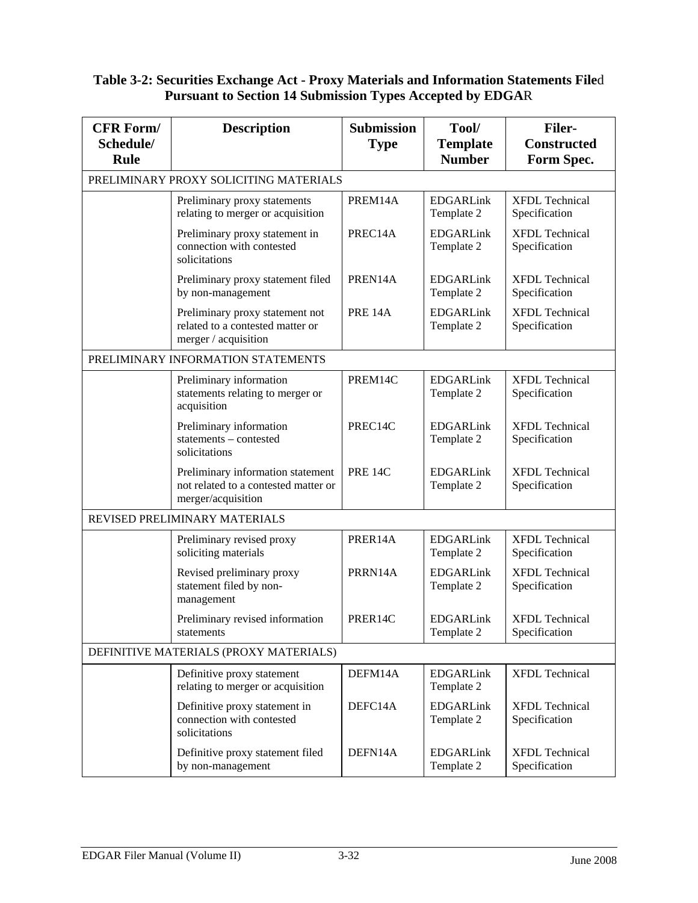#### **Table 3-2: Securities Exchange Act - Proxy Materials and Information Statements File**d **Pursuant to Section 14 Submission Types Accepted by EDGA**R

| <b>CFR Form/</b><br>Schedule/<br><b>Rule</b> | <b>Description</b>                                                                              | <b>Submission</b><br><b>Type</b> | Tool/<br><b>Template</b><br><b>Number</b> | <b>Filer-</b><br><b>Constructed</b><br>Form Spec. |
|----------------------------------------------|-------------------------------------------------------------------------------------------------|----------------------------------|-------------------------------------------|---------------------------------------------------|
|                                              | PRELIMINARY PROXY SOLICITING MATERIALS                                                          |                                  |                                           |                                                   |
|                                              | Preliminary proxy statements<br>relating to merger or acquisition                               | PREM14A                          | <b>EDGARLink</b><br>Template 2            | <b>XFDL</b> Technical<br>Specification            |
|                                              | Preliminary proxy statement in<br>connection with contested<br>solicitations                    | PREC14A                          | <b>EDGARLink</b><br>Template 2            | <b>XFDL Technical</b><br>Specification            |
|                                              | Preliminary proxy statement filed<br>by non-management                                          | PREN14A                          | <b>EDGARLink</b><br>Template 2            | <b>XFDL Technical</b><br>Specification            |
|                                              | Preliminary proxy statement not<br>related to a contested matter or<br>merger / acquisition     | <b>PRE 14A</b>                   | <b>EDGARLink</b><br>Template 2            | <b>XFDL Technical</b><br>Specification            |
|                                              | PRELIMINARY INFORMATION STATEMENTS                                                              |                                  |                                           |                                                   |
|                                              | Preliminary information<br>statements relating to merger or<br>acquisition                      | PREM14C                          | <b>EDGARLink</b><br>Template 2            | <b>XFDL Technical</b><br>Specification            |
|                                              | Preliminary information<br>statements - contested<br>solicitations                              | PREC14C                          | <b>EDGARLink</b><br>Template 2            | <b>XFDL Technical</b><br>Specification            |
|                                              | Preliminary information statement<br>not related to a contested matter or<br>merger/acquisition | <b>PRE 14C</b>                   | <b>EDGARLink</b><br>Template 2            | <b>XFDL Technical</b><br>Specification            |
|                                              | REVISED PRELIMINARY MATERIALS                                                                   |                                  |                                           |                                                   |
|                                              | Preliminary revised proxy<br>soliciting materials                                               | PRER14A                          | <b>EDGARLink</b><br>Template 2            | <b>XFDL</b> Technical<br>Specification            |
|                                              | Revised preliminary proxy<br>statement filed by non-<br>management                              | PRRN14A                          | <b>EDGARLink</b><br>Template 2            | <b>XFDL Technical</b><br>Specification            |
|                                              | Preliminary revised information<br>statements                                                   | PRER14C                          | <b>EDGARLink</b><br>Template 2            | <b>XFDL Technical</b><br>Specification            |
|                                              | DEFINITIVE MATERIALS (PROXY MATERIALS)                                                          |                                  |                                           |                                                   |
|                                              | Definitive proxy statement<br>relating to merger or acquisition                                 | DEFM14A                          | <b>EDGARLink</b><br>Template 2            | <b>XFDL Technical</b>                             |
|                                              | Definitive proxy statement in<br>connection with contested<br>solicitations                     | DEFC14A                          | <b>EDGARLink</b><br>Template 2            | <b>XFDL</b> Technical<br>Specification            |
|                                              | Definitive proxy statement filed<br>by non-management                                           | DEFN14A                          | <b>EDGARLink</b><br>Template 2            | <b>XFDL</b> Technical<br>Specification            |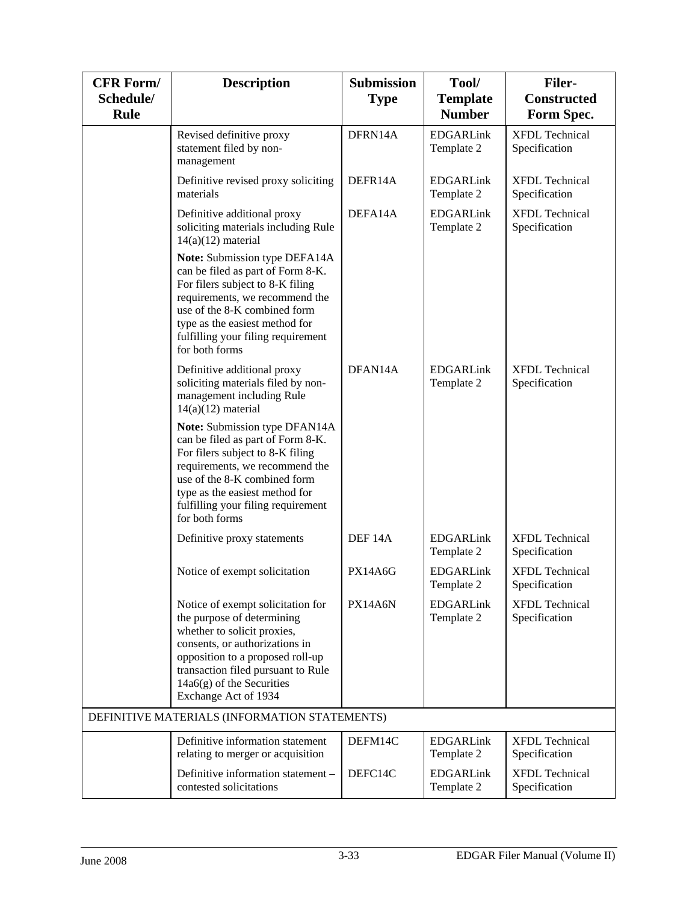| <b>CFR Form/</b>         | <b>Description</b>                                                                                                                                                                                                                                                 | <b>Submission</b>  | Tool/                            | <b>Filer-</b>                          |
|--------------------------|--------------------------------------------------------------------------------------------------------------------------------------------------------------------------------------------------------------------------------------------------------------------|--------------------|----------------------------------|----------------------------------------|
| Schedule/<br><b>Rule</b> |                                                                                                                                                                                                                                                                    | <b>Type</b>        | <b>Template</b><br><b>Number</b> | <b>Constructed</b><br>Form Spec.       |
|                          | Revised definitive proxy<br>statement filed by non-<br>management                                                                                                                                                                                                  | DFRN14A            | <b>EDGARLink</b><br>Template 2   | <b>XFDL Technical</b><br>Specification |
|                          | Definitive revised proxy soliciting<br>materials                                                                                                                                                                                                                   | DEFR14A            | <b>EDGARLink</b><br>Template 2   | <b>XFDL</b> Technical<br>Specification |
|                          | Definitive additional proxy<br>soliciting materials including Rule<br>$14(a)(12)$ material                                                                                                                                                                         | DEFA14A            | <b>EDGARLink</b><br>Template 2   | <b>XFDL Technical</b><br>Specification |
|                          | Note: Submission type DEFA14A<br>can be filed as part of Form 8-K.<br>For filers subject to 8-K filing<br>requirements, we recommend the<br>use of the 8-K combined form<br>type as the easiest method for<br>fulfilling your filing requirement<br>for both forms |                    |                                  |                                        |
|                          | Definitive additional proxy<br>soliciting materials filed by non-<br>management including Rule<br>$14(a)(12)$ material                                                                                                                                             | DFAN14A            | <b>EDGARLink</b><br>Template 2   | <b>XFDL Technical</b><br>Specification |
|                          | Note: Submission type DFAN14A<br>can be filed as part of Form 8-K.<br>For filers subject to 8-K filing<br>requirements, we recommend the<br>use of the 8-K combined form<br>type as the easiest method for<br>fulfilling your filing requirement<br>for both forms |                    |                                  |                                        |
|                          | Definitive proxy statements                                                                                                                                                                                                                                        | DEF <sub>14A</sub> | <b>EDGARLink</b><br>Template 2   | <b>XFDL Technical</b><br>Specification |
|                          | Notice of exempt solicitation                                                                                                                                                                                                                                      | <b>PX14A6G</b>     | <b>EDGARLink</b><br>Template 2   | <b>XFDL Technical</b><br>Specification |
|                          | Notice of exempt solicitation for<br>the purpose of determining<br>whether to solicit proxies,<br>consents, or authorizations in<br>opposition to a proposed roll-up<br>transaction filed pursuant to Rule<br>$14a6(g)$ of the Securities<br>Exchange Act of 1934  | PX14A6N            | <b>EDGARLink</b><br>Template 2   | <b>XFDL Technical</b><br>Specification |
|                          | DEFINITIVE MATERIALS (INFORMATION STATEMENTS)                                                                                                                                                                                                                      |                    |                                  |                                        |
|                          | Definitive information statement<br>relating to merger or acquisition                                                                                                                                                                                              | DEFM14C            | <b>EDGARLink</b><br>Template 2   | <b>XFDL Technical</b><br>Specification |
|                          | Definitive information statement -<br>contested solicitations                                                                                                                                                                                                      | DEFC14C            | <b>EDGARLink</b><br>Template 2   | <b>XFDL Technical</b><br>Specification |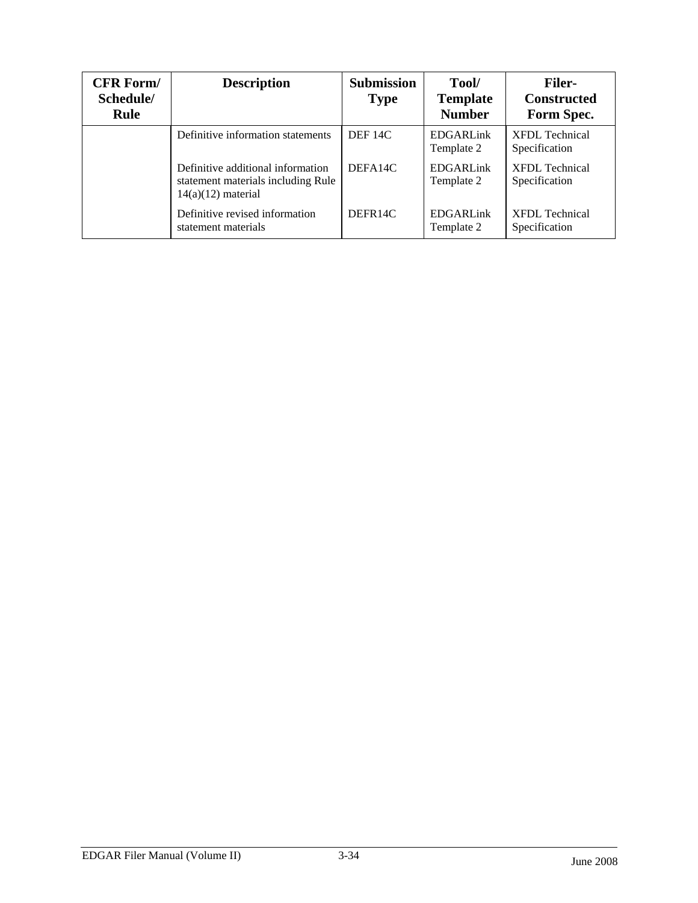| <b>CFR Form/</b><br>Schedule/<br><b>Rule</b> | <b>Description</b>                                                                              | <b>Submission</b><br><b>Type</b> | Tool/<br><b>Template</b><br><b>Number</b> | <b>Filer-</b><br><b>Constructed</b><br>Form Spec. |
|----------------------------------------------|-------------------------------------------------------------------------------------------------|----------------------------------|-------------------------------------------|---------------------------------------------------|
|                                              | Definitive information statements                                                               | DEF <sub>14C</sub>               | <b>EDGARLink</b><br>Template 2            | <b>XFDL Technical</b><br>Specification            |
|                                              | Definitive additional information<br>statement materials including Rule<br>$14(a)(12)$ material | DEFA <sub>14</sub> C             | <b>EDGARLink</b><br>Template 2            | <b>XFDL</b> Technical<br>Specification            |
|                                              | Definitive revised information<br>statement materials                                           | DEFR14C                          | <b>EDGARLink</b><br>Template 2            | <b>XFDL</b> Technical<br>Specification            |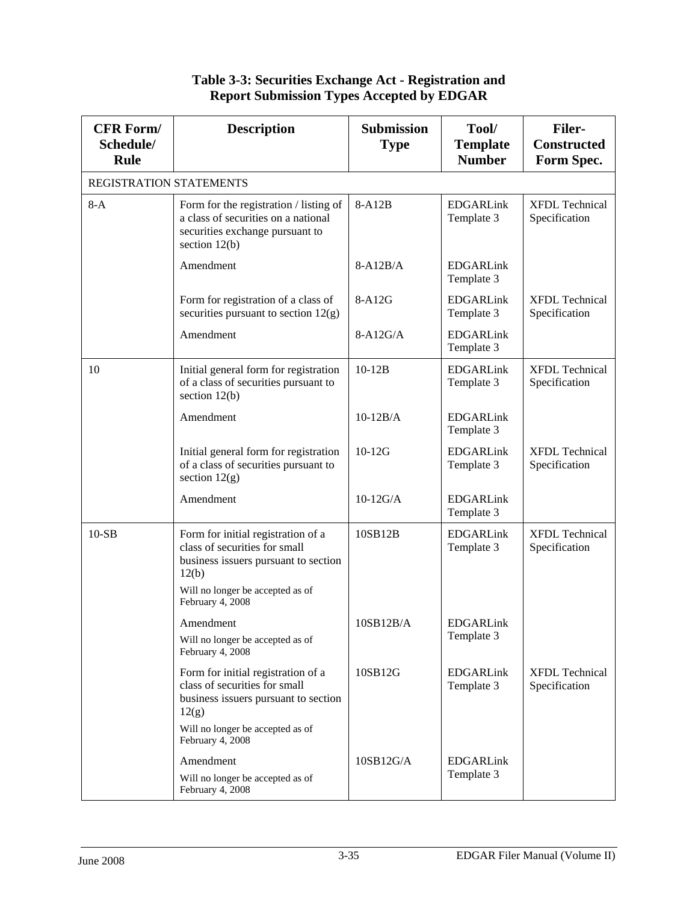| <b>CFR Form/</b><br>Schedule/<br><b>Rule</b> | <b>Description</b>                                                                                                                                                           | <b>Submission</b><br><b>Type</b> | Tool/<br><b>Template</b><br><b>Number</b> | <b>Filer-</b><br><b>Constructed</b><br>Form Spec. |
|----------------------------------------------|------------------------------------------------------------------------------------------------------------------------------------------------------------------------------|----------------------------------|-------------------------------------------|---------------------------------------------------|
| REGISTRATION STATEMENTS                      |                                                                                                                                                                              |                                  |                                           |                                                   |
| $8-A$                                        | Form for the registration / listing of<br>a class of securities on a national<br>securities exchange pursuant to<br>section $12(b)$                                          | 8-A12B                           | <b>EDGARLink</b><br>Template 3            | <b>XFDL Technical</b><br>Specification            |
|                                              | Amendment                                                                                                                                                                    | $8-A12B/A$                       | <b>EDGARLink</b><br>Template 3            |                                                   |
|                                              | Form for registration of a class of<br>securities pursuant to section 12(g)                                                                                                  | 8-A12G                           | <b>EDGARLink</b><br>Template 3            | <b>XFDL</b> Technical<br>Specification            |
|                                              | Amendment                                                                                                                                                                    | $8-A12G/A$                       | <b>EDGARLink</b><br>Template 3            |                                                   |
| 10                                           | Initial general form for registration<br>of a class of securities pursuant to<br>section $12(b)$                                                                             | $10-12B$                         | <b>EDGARLink</b><br>Template 3            | <b>XFDL Technical</b><br>Specification            |
|                                              | Amendment                                                                                                                                                                    | $10-12B/A$                       | <b>EDGARLink</b><br>Template 3            |                                                   |
|                                              | Initial general form for registration<br>of a class of securities pursuant to<br>section $12(g)$                                                                             | $10-12G$                         | <b>EDGARLink</b><br>Template 3            | <b>XFDL Technical</b><br>Specification            |
|                                              | Amendment                                                                                                                                                                    | $10-12G/A$                       | <b>EDGARLink</b><br>Template 3            |                                                   |
| $10-SB$                                      | Form for initial registration of a<br>class of securities for small<br>business issuers pursuant to section<br>12(b)<br>Will no longer be accepted as of<br>February 4, 2008 | 10SB12B                          | <b>EDGARLink</b><br>Template 3            | <b>XFDL Technical</b><br>Specification            |
|                                              | Amendment<br>Will no longer be accepted as of<br>February 4, 2008                                                                                                            | 10SB12B/A                        | <b>EDGARLink</b><br>Template 3            |                                                   |
|                                              | Form for initial registration of a<br>class of securities for small<br>business issuers pursuant to section<br>12(g)<br>Will no longer be accepted as of                     | 10SB12G                          | <b>EDGARLink</b><br>Template 3            | <b>XFDL Technical</b><br>Specification            |
|                                              | February 4, 2008<br>Amendment<br>Will no longer be accepted as of<br>February 4, 2008                                                                                        | 10SB12G/A                        | <b>EDGARLink</b><br>Template 3            |                                                   |

#### **Table 3-3: Securities Exchange Act - Registration and Report Submission Types Accepted by EDGAR**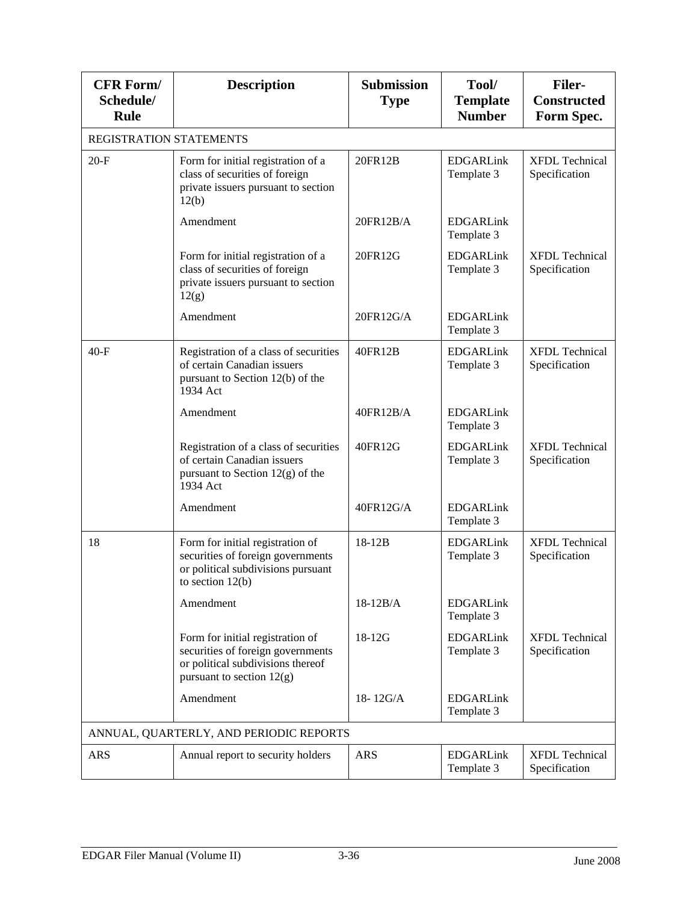| <b>CFR Form/</b><br>Schedule/<br>Rule | <b>Description</b>                                                                                                                        | <b>Submission</b><br><b>Type</b> | Tool/<br><b>Template</b><br><b>Number</b> | <b>Filer-</b><br><b>Constructed</b><br>Form Spec. |
|---------------------------------------|-------------------------------------------------------------------------------------------------------------------------------------------|----------------------------------|-------------------------------------------|---------------------------------------------------|
| REGISTRATION STATEMENTS               |                                                                                                                                           |                                  |                                           |                                                   |
| $20-F$                                | Form for initial registration of a<br>class of securities of foreign<br>private issuers pursuant to section<br>12(b)                      | 20FR12B                          | <b>EDGARLink</b><br>Template 3            | <b>XFDL</b> Technical<br>Specification            |
|                                       | Amendment                                                                                                                                 | 20FR12B/A                        | <b>EDGARLink</b><br>Template 3            |                                                   |
|                                       | Form for initial registration of a<br>class of securities of foreign<br>private issuers pursuant to section<br>12(g)                      | 20FR12G                          | <b>EDGARLink</b><br>Template 3            | <b>XFDL</b> Technical<br>Specification            |
|                                       | Amendment                                                                                                                                 | 20FR12G/A                        | <b>EDGARLink</b><br>Template 3            |                                                   |
| $40-F$                                | Registration of a class of securities<br>of certain Canadian issuers<br>pursuant to Section 12(b) of the<br>1934 Act                      | 40FR12B                          | <b>EDGARLink</b><br>Template 3            | <b>XFDL</b> Technical<br>Specification            |
|                                       | Amendment                                                                                                                                 | 40FR12B/A                        | <b>EDGARLink</b><br>Template 3            |                                                   |
|                                       | Registration of a class of securities<br>of certain Canadian issuers<br>pursuant to Section $12(g)$ of the<br>1934 Act                    | 40FR12G                          | <b>EDGARLink</b><br>Template 3            | <b>XFDL Technical</b><br>Specification            |
|                                       | Amendment                                                                                                                                 | 40FR12G/A                        | <b>EDGARLink</b><br>Template 3            |                                                   |
| 18                                    | Form for initial registration of<br>securities of foreign governments<br>or political subdivisions pursuant<br>to section $12(b)$         | 18-12B                           | <b>EDGARLink</b><br>Template 3            | <b>XFDL Technical</b><br>Specification            |
|                                       | Amendment                                                                                                                                 | $18-12B/A$                       | <b>EDGARLink</b><br>Template 3            |                                                   |
|                                       | Form for initial registration of<br>securities of foreign governments<br>or political subdivisions thereof<br>pursuant to section $12(g)$ | $18-12G$                         | <b>EDGARLink</b><br>Template 3            | <b>XFDL Technical</b><br>Specification            |
|                                       | Amendment                                                                                                                                 | $18 - 12G/A$                     | <b>EDGARLink</b><br>Template 3            |                                                   |
|                                       | ANNUAL, QUARTERLY, AND PERIODIC REPORTS                                                                                                   |                                  |                                           |                                                   |
| <b>ARS</b>                            | Annual report to security holders                                                                                                         | <b>ARS</b>                       | <b>EDGARLink</b><br>Template 3            | <b>XFDL</b> Technical<br>Specification            |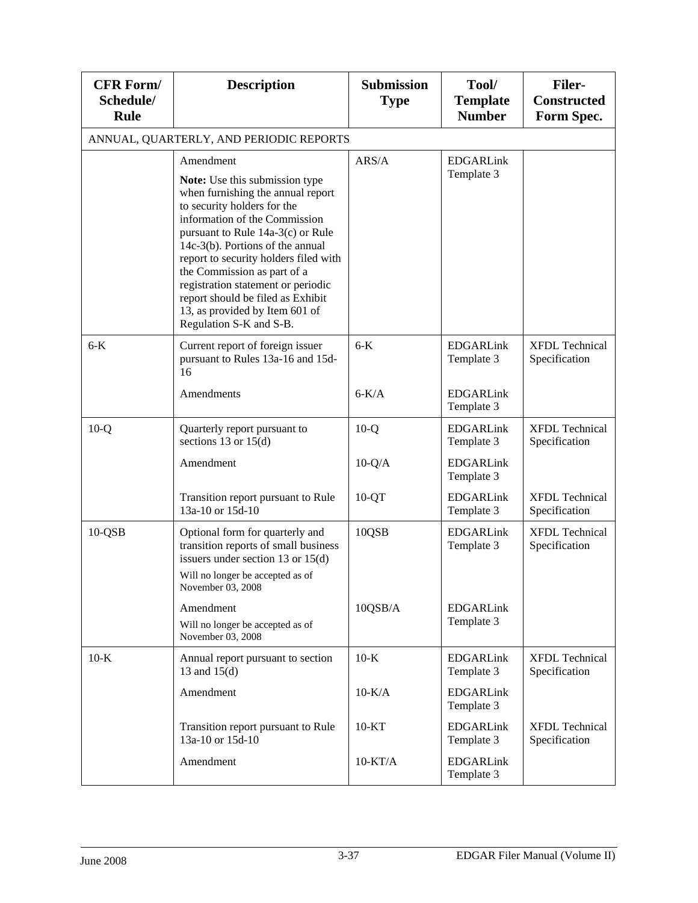| <b>CFR Form/</b><br>Schedule/<br><b>Rule</b> | <b>Description</b>                                                                                                                                                                                                                                                                                                                                                                                                                        | <b>Submission</b><br><b>Type</b> | Tool/<br><b>Template</b><br><b>Number</b> | <b>Filer-</b><br><b>Constructed</b><br>Form Spec. |
|----------------------------------------------|-------------------------------------------------------------------------------------------------------------------------------------------------------------------------------------------------------------------------------------------------------------------------------------------------------------------------------------------------------------------------------------------------------------------------------------------|----------------------------------|-------------------------------------------|---------------------------------------------------|
|                                              | ANNUAL, QUARTERLY, AND PERIODIC REPORTS                                                                                                                                                                                                                                                                                                                                                                                                   |                                  |                                           |                                                   |
|                                              | Amendment<br>Note: Use this submission type<br>when furnishing the annual report<br>to security holders for the<br>information of the Commission<br>pursuant to Rule 14a-3(c) or Rule<br>14c-3(b). Portions of the annual<br>report to security holders filed with<br>the Commission as part of a<br>registration statement or periodic<br>report should be filed as Exhibit<br>13, as provided by Item 601 of<br>Regulation S-K and S-B. | ARS/A                            | <b>EDGARLink</b><br>Template 3            |                                                   |
| $6-K$                                        | Current report of foreign issuer<br>pursuant to Rules 13a-16 and 15d-<br>16                                                                                                                                                                                                                                                                                                                                                               | $6-K$                            | <b>EDGARLink</b><br>Template 3            | <b>XFDL Technical</b><br>Specification            |
|                                              | Amendments                                                                                                                                                                                                                                                                                                                                                                                                                                | $6-K/A$                          | <b>EDGARLink</b><br>Template 3            |                                                   |
| $10-Q$                                       | Quarterly report pursuant to<br>sections 13 or $15(d)$                                                                                                                                                                                                                                                                                                                                                                                    | $10-Q$                           | <b>EDGARLink</b><br>Template 3            | <b>XFDL Technical</b><br>Specification            |
|                                              | Amendment                                                                                                                                                                                                                                                                                                                                                                                                                                 | $10-Q/A$                         | <b>EDGARLink</b><br>Template 3            |                                                   |
|                                              | Transition report pursuant to Rule<br>13a-10 or 15d-10                                                                                                                                                                                                                                                                                                                                                                                    | $10-QT$                          | <b>EDGARLink</b><br>Template 3            | <b>XFDL Technical</b><br>Specification            |
| $10-QSB$                                     | Optional form for quarterly and<br>transition reports of small business<br>issuers under section 13 or $15(d)$<br>Will no longer be accepted as of<br>November 03, 2008                                                                                                                                                                                                                                                                   | 10QSB                            | <b>EDGARLink</b><br>Template 3            | <b>XFDL Technical</b><br>Specification            |
|                                              | Amendment<br>Will no longer be accepted as of<br>November 03, 2008                                                                                                                                                                                                                                                                                                                                                                        | 10QSB/A                          | <b>EDGARLink</b><br>Template 3            |                                                   |
| $10-K$                                       | Annual report pursuant to section<br>13 and 15(d)                                                                                                                                                                                                                                                                                                                                                                                         | $10-K$                           | <b>EDGARLink</b><br>Template 3            | <b>XFDL Technical</b><br>Specification            |
|                                              | Amendment                                                                                                                                                                                                                                                                                                                                                                                                                                 | $10-K/A$                         | <b>EDGARLink</b><br>Template 3            |                                                   |
|                                              | Transition report pursuant to Rule<br>13a-10 or 15d-10                                                                                                                                                                                                                                                                                                                                                                                    | $10 - KT$                        | <b>EDGARLink</b><br>Template 3            | <b>XFDL Technical</b><br>Specification            |
|                                              | Amendment                                                                                                                                                                                                                                                                                                                                                                                                                                 | $10-KT/A$                        | <b>EDGARLink</b><br>Template 3            |                                                   |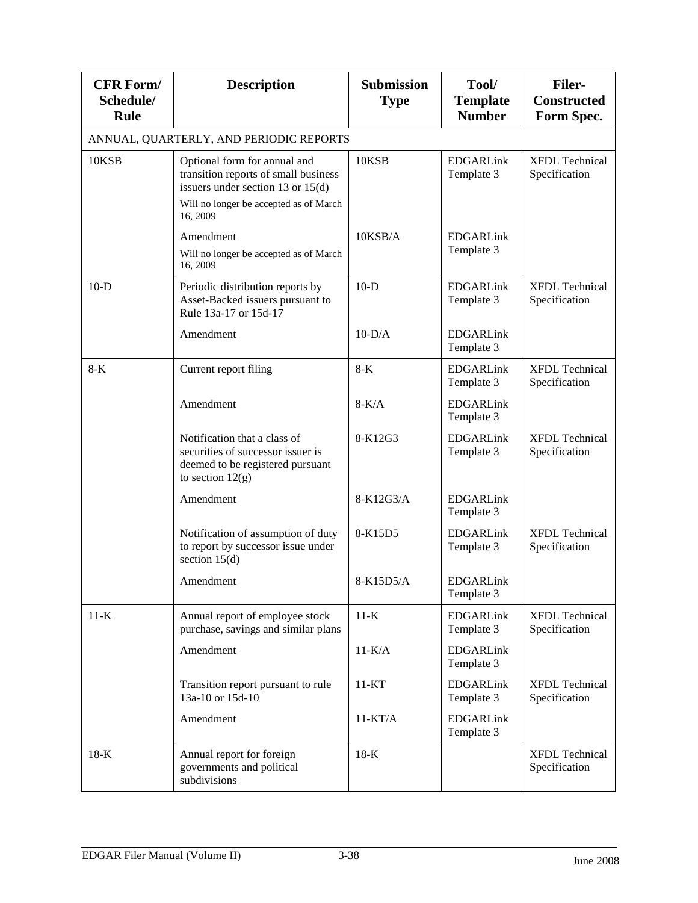| <b>CFR Form/</b><br>Schedule/<br><b>Rule</b> | <b>Description</b>                                                                                                                                    | <b>Submission</b><br><b>Type</b> | Tool/<br><b>Template</b><br><b>Number</b> | <b>Filer-</b><br><b>Constructed</b><br>Form Spec. |
|----------------------------------------------|-------------------------------------------------------------------------------------------------------------------------------------------------------|----------------------------------|-------------------------------------------|---------------------------------------------------|
|                                              | ANNUAL, QUARTERLY, AND PERIODIC REPORTS                                                                                                               |                                  |                                           |                                                   |
| 10KSB                                        | Optional form for annual and<br>transition reports of small business<br>issuers under section 13 or $15(d)$<br>Will no longer be accepted as of March | 10KSB                            | <b>EDGARLink</b><br>Template 3            | <b>XFDL Technical</b><br>Specification            |
|                                              | 16, 2009                                                                                                                                              |                                  |                                           |                                                   |
|                                              | Amendment<br>Will no longer be accepted as of March<br>16, 2009                                                                                       | 10KSB/A                          | <b>EDGARLink</b><br>Template 3            |                                                   |
| $10-D$                                       | Periodic distribution reports by<br>Asset-Backed issuers pursuant to<br>Rule 13a-17 or 15d-17                                                         | $10-D$                           | <b>EDGARLink</b><br>Template 3            | <b>XFDL Technical</b><br>Specification            |
|                                              | Amendment                                                                                                                                             | $10-D/A$                         | <b>EDGARLink</b><br>Template 3            |                                                   |
| $8-K$                                        | Current report filing                                                                                                                                 | $8-K$                            | <b>EDGARLink</b><br>Template 3            | <b>XFDL</b> Technical<br>Specification            |
|                                              | Amendment                                                                                                                                             | $8-K/A$                          | <b>EDGARLink</b><br>Template 3            |                                                   |
|                                              | Notification that a class of<br>securities of successor issuer is<br>deemed to be registered pursuant<br>to section $12(g)$                           | 8-K12G3                          | <b>EDGARLink</b><br>Template 3            | <b>XFDL</b> Technical<br>Specification            |
|                                              | Amendment                                                                                                                                             | 8-K12G3/A                        | <b>EDGARLink</b><br>Template 3            |                                                   |
|                                              | Notification of assumption of duty<br>to report by successor issue under<br>section $15(d)$                                                           | 8-K15D5                          | <b>EDGARLink</b><br>Template 3            | <b>XFDL</b> Technical<br>Specification            |
|                                              | Amendment                                                                                                                                             | 8-K15D5/A                        | <b>EDGARLink</b><br>Template 3            |                                                   |
| $11-K$                                       | Annual report of employee stock<br>purchase, savings and similar plans                                                                                | $11-K$                           | <b>EDGARLink</b><br>Template 3            | <b>XFDL Technical</b><br>Specification            |
|                                              | Amendment                                                                                                                                             | $11-K/A$                         | <b>EDGARLink</b><br>Template 3            |                                                   |
|                                              | Transition report pursuant to rule<br>13a-10 or 15d-10                                                                                                | $11 - KT$                        | <b>EDGARLink</b><br>Template 3            | <b>XFDL</b> Technical<br>Specification            |
|                                              | Amendment                                                                                                                                             | $11-KT/A$                        | <b>EDGARLink</b><br>Template 3            |                                                   |
| $18-K$                                       | Annual report for foreign<br>governments and political<br>subdivisions                                                                                | $18-K$                           |                                           | <b>XFDL Technical</b><br>Specification            |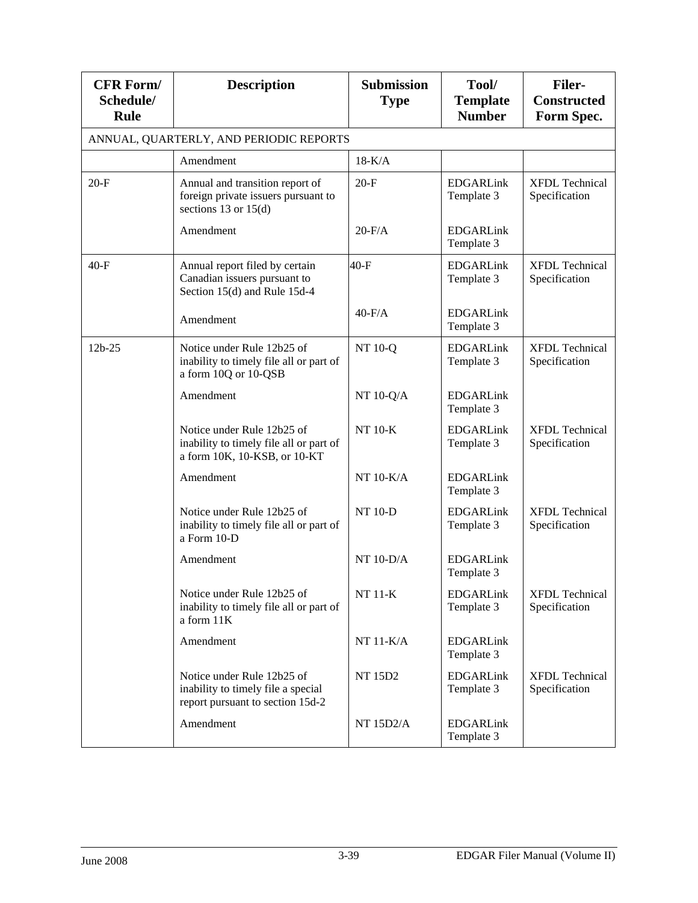| <b>CFR Form/</b><br>Schedule/<br>Rule | <b>Description</b>                                                                                    | <b>Submission</b><br><b>Type</b> | Tool/<br><b>Template</b><br><b>Number</b> | <b>Filer-</b><br><b>Constructed</b><br>Form Spec. |
|---------------------------------------|-------------------------------------------------------------------------------------------------------|----------------------------------|-------------------------------------------|---------------------------------------------------|
|                                       | ANNUAL, QUARTERLY, AND PERIODIC REPORTS                                                               |                                  |                                           |                                                   |
|                                       | Amendment                                                                                             | $18-K/A$                         |                                           |                                                   |
| $20-F$                                | Annual and transition report of<br>foreign private issuers pursuant to<br>sections 13 or $15(d)$      | $20-F$                           | <b>EDGARLink</b><br>Template 3            | <b>XFDL Technical</b><br>Specification            |
|                                       | Amendment                                                                                             | $20-F/A$                         | <b>EDGARLink</b><br>Template 3            |                                                   |
| $40-F$                                | Annual report filed by certain<br>Canadian issuers pursuant to<br>Section 15(d) and Rule 15d-4        | $40-F$                           | <b>EDGARLink</b><br>Template 3            | <b>XFDL Technical</b><br>Specification            |
|                                       | Amendment                                                                                             | $40-F/A$                         | <b>EDGARLink</b><br>Template 3            |                                                   |
| $12b - 25$                            | Notice under Rule 12b25 of<br>inability to timely file all or part of<br>a form 10Q or 10-QSB         | <b>NT 10-Q</b>                   | <b>EDGARLink</b><br>Template 3            | <b>XFDL</b> Technical<br>Specification            |
|                                       | Amendment                                                                                             | NT 10-Q/A                        | <b>EDGARLink</b><br>Template 3            |                                                   |
|                                       | Notice under Rule 12b25 of<br>inability to timely file all or part of<br>a form 10K, 10-KSB, or 10-KT | <b>NT 10-K</b>                   | <b>EDGARLink</b><br>Template 3            | <b>XFDL Technical</b><br>Specification            |
|                                       | Amendment                                                                                             | NT $10-K/A$                      | <b>EDGARLink</b><br>Template 3            |                                                   |
|                                       | Notice under Rule 12b25 of<br>inability to timely file all or part of<br>a Form 10-D                  | <b>NT 10-D</b>                   | <b>EDGARLink</b><br>Template 3            | <b>XFDL Technical</b><br>Specification            |
|                                       | Amendment                                                                                             | $NT 10-D/A$                      | <b>EDGARLink</b><br>Template 3            |                                                   |
|                                       | Notice under Rule 12b25 of<br>inability to timely file all or part of<br>a form 11K                   | <b>NT 11-K</b>                   | <b>EDGARLink</b><br>Template 3            | <b>XFDL Technical</b><br>Specification            |
|                                       | Amendment                                                                                             | $NT 11-K/A$                      | <b>EDGARLink</b><br>Template 3            |                                                   |
|                                       | Notice under Rule 12b25 of<br>inability to timely file a special<br>report pursuant to section 15d-2  | NT 15D2                          | <b>EDGARLink</b><br>Template 3            | <b>XFDL Technical</b><br>Specification            |
|                                       | Amendment                                                                                             | <b>NT 15D2/A</b>                 | <b>EDGARLink</b><br>Template 3            |                                                   |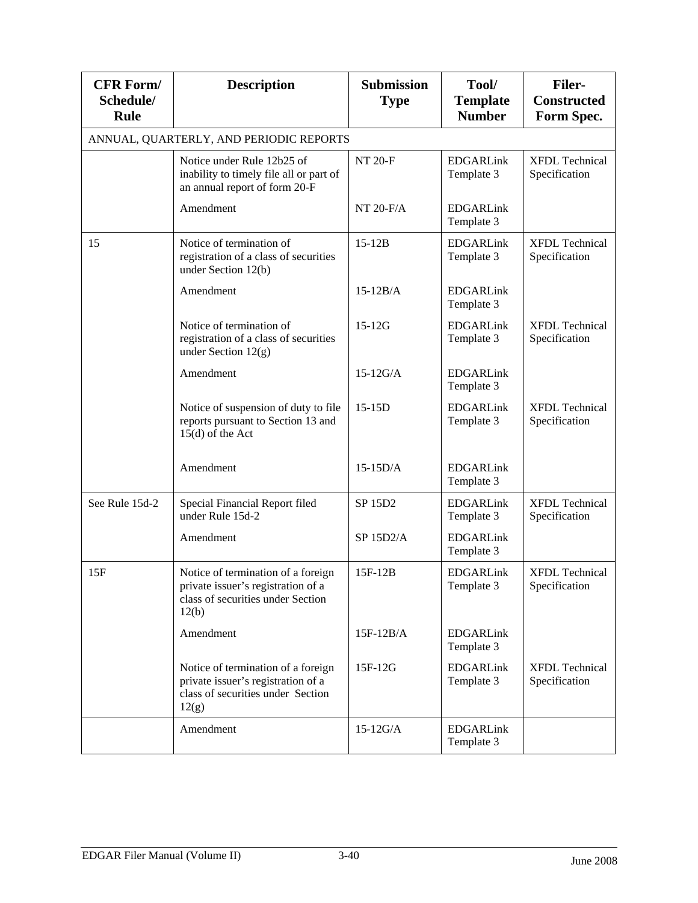| <b>CFR Form/</b><br>Schedule/<br><b>Rule</b> | <b>Description</b>                                                                                                     | <b>Submission</b><br><b>Type</b> | Tool/<br><b>Template</b><br><b>Number</b> | <b>Filer-</b><br><b>Constructed</b><br>Form Spec. |
|----------------------------------------------|------------------------------------------------------------------------------------------------------------------------|----------------------------------|-------------------------------------------|---------------------------------------------------|
|                                              | ANNUAL, QUARTERLY, AND PERIODIC REPORTS                                                                                |                                  |                                           |                                                   |
|                                              | Notice under Rule 12b25 of<br>inability to timely file all or part of<br>an annual report of form 20-F                 | <b>NT 20-F</b>                   | <b>EDGARLink</b><br>Template 3            | <b>XFDL Technical</b><br>Specification            |
|                                              | Amendment                                                                                                              | $NT 20-F/A$                      | <b>EDGARLink</b><br>Template 3            |                                                   |
| 15                                           | Notice of termination of<br>registration of a class of securities<br>under Section 12(b)                               | $15-12B$                         | <b>EDGARLink</b><br>Template 3            | <b>XFDL</b> Technical<br>Specification            |
|                                              | Amendment                                                                                                              | $15-12B/A$                       | <b>EDGARLink</b><br>Template 3            |                                                   |
|                                              | Notice of termination of<br>registration of a class of securities<br>under Section 12(g)                               | $15-12G$                         | <b>EDGARLink</b><br>Template 3            | <b>XFDL</b> Technical<br>Specification            |
|                                              | Amendment                                                                                                              | $15-12G/A$                       | <b>EDGARLink</b><br>Template 3            |                                                   |
|                                              | Notice of suspension of duty to file<br>reports pursuant to Section 13 and<br>$15(d)$ of the Act                       | $15-15D$                         | <b>EDGARLink</b><br>Template 3            | <b>XFDL</b> Technical<br>Specification            |
|                                              | Amendment                                                                                                              | $15-15D/A$                       | <b>EDGARLink</b><br>Template 3            |                                                   |
| See Rule 15d-2                               | Special Financial Report filed<br>under Rule 15d-2                                                                     | SP 15D2                          | <b>EDGARLink</b><br>Template 3            | <b>XFDL</b> Technical<br>Specification            |
|                                              | Amendment                                                                                                              | SP 15D2/A                        | <b>EDGARLink</b><br>Template 3            |                                                   |
| 15F                                          | Notice of termination of a foreign<br>private issuer's registration of a<br>class of securities under Section<br>12(b) | $15F-12B$                        | <b>EDGARLink</b><br>Template 3            | <b>XFDL Technical</b><br>Specification            |
|                                              | Amendment                                                                                                              | $15F-12B/A$                      | <b>EDGARLink</b><br>Template 3            |                                                   |
|                                              | Notice of termination of a foreign<br>private issuer's registration of a<br>class of securities under Section<br>12(g) | 15F-12G                          | <b>EDGARLink</b><br>Template 3            | <b>XFDL</b> Technical<br>Specification            |
|                                              | Amendment                                                                                                              | $15-12G/A$                       | <b>EDGARLink</b><br>Template 3            |                                                   |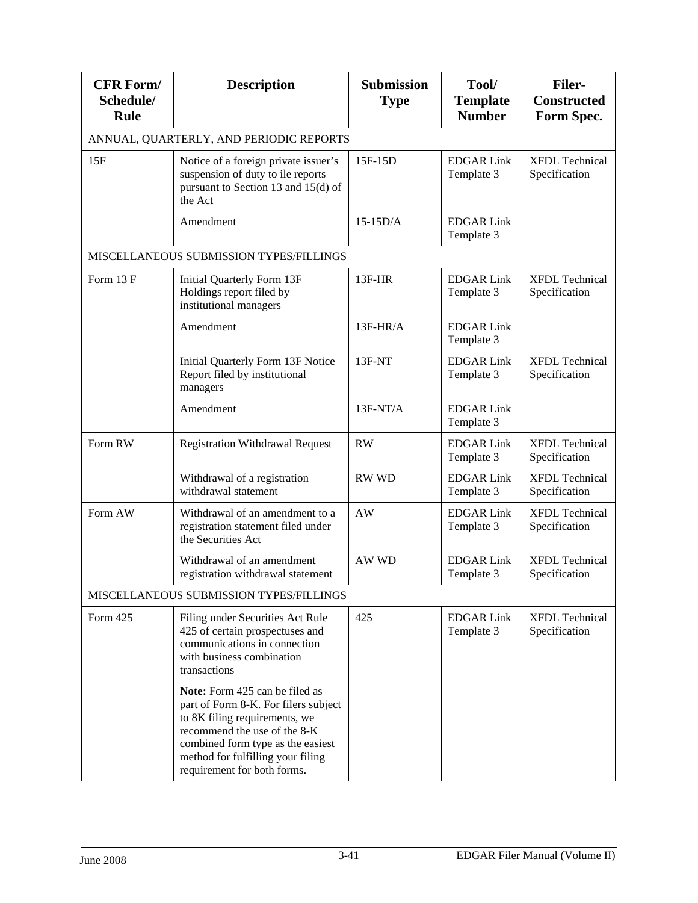| <b>CFR Form/</b><br>Schedule/<br>Rule | <b>Description</b>                                                                                                                                                                                                                               | <b>Submission</b><br><b>Type</b> | Tool/<br><b>Template</b><br><b>Number</b> | <b>Filer-</b><br><b>Constructed</b><br>Form Spec. |
|---------------------------------------|--------------------------------------------------------------------------------------------------------------------------------------------------------------------------------------------------------------------------------------------------|----------------------------------|-------------------------------------------|---------------------------------------------------|
|                                       | ANNUAL, QUARTERLY, AND PERIODIC REPORTS                                                                                                                                                                                                          |                                  |                                           |                                                   |
| 15F                                   | Notice of a foreign private issuer's<br>suspension of duty to ile reports<br>pursuant to Section 13 and 15(d) of<br>the Act                                                                                                                      | 15F-15D                          | <b>EDGAR Link</b><br>Template 3           | <b>XFDL Technical</b><br>Specification            |
|                                       | Amendment                                                                                                                                                                                                                                        | $15-15D/A$                       | <b>EDGAR Link</b><br>Template 3           |                                                   |
|                                       | MISCELLANEOUS SUBMISSION TYPES/FILLINGS                                                                                                                                                                                                          |                                  |                                           |                                                   |
| Form 13 F                             | Initial Quarterly Form 13F<br>Holdings report filed by<br>institutional managers                                                                                                                                                                 | $13F-HR$                         | <b>EDGAR Link</b><br>Template 3           | <b>XFDL Technical</b><br>Specification            |
|                                       | Amendment                                                                                                                                                                                                                                        | $13F-HR/A$                       | <b>EDGAR Link</b><br>Template 3           |                                                   |
|                                       | Initial Quarterly Form 13F Notice<br>Report filed by institutional<br>managers                                                                                                                                                                   | $13F-NT$                         | <b>EDGAR Link</b><br>Template 3           | <b>XFDL</b> Technical<br>Specification            |
|                                       | Amendment                                                                                                                                                                                                                                        | $13F-NT/A$                       | <b>EDGAR Link</b><br>Template 3           |                                                   |
| Form RW                               | <b>Registration Withdrawal Request</b>                                                                                                                                                                                                           | <b>RW</b>                        | <b>EDGAR Link</b><br>Template 3           | <b>XFDL Technical</b><br>Specification            |
|                                       | Withdrawal of a registration<br>withdrawal statement                                                                                                                                                                                             | <b>RW WD</b>                     | <b>EDGAR Link</b><br>Template 3           | <b>XFDL</b> Technical<br>Specification            |
| Form AW                               | Withdrawal of an amendment to a<br>registration statement filed under<br>the Securities Act                                                                                                                                                      | AW                               | <b>EDGAR Link</b><br>Template 3           | <b>XFDL</b> Technical<br>Specification            |
|                                       | Withdrawal of an amendment<br>registration withdrawal statement                                                                                                                                                                                  | AW WD                            | <b>EDGAR Link</b><br>Template 3           | <b>XFDL Technical</b><br>Specification            |
|                                       | MISCELLANEOUS SUBMISSION TYPES/FILLINGS                                                                                                                                                                                                          |                                  |                                           |                                                   |
| Form 425                              | Filing under Securities Act Rule<br>425 of certain prospectuses and<br>communications in connection<br>with business combination<br>transactions                                                                                                 | 425                              | <b>EDGAR Link</b><br>Template 3           | <b>XFDL Technical</b><br>Specification            |
|                                       | Note: Form 425 can be filed as<br>part of Form 8-K. For filers subject<br>to 8K filing requirements, we<br>recommend the use of the 8-K<br>combined form type as the easiest<br>method for fulfilling your filing<br>requirement for both forms. |                                  |                                           |                                                   |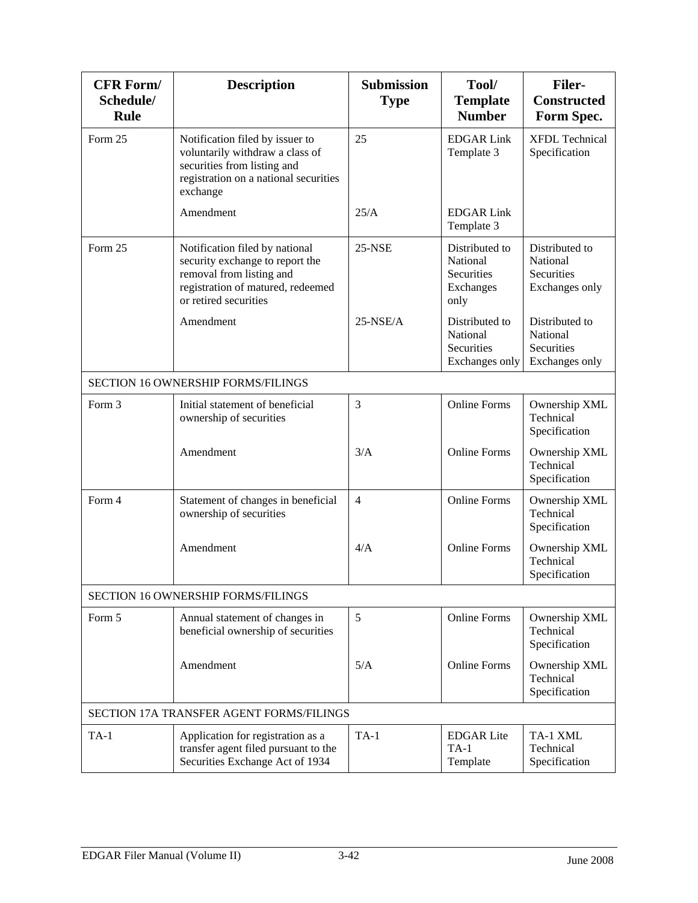| <b>CFR Form/</b><br>Schedule/<br><b>Rule</b> | <b>Description</b>                                                                                                                                          | <b>Submission</b><br><b>Type</b> | Tool/<br><b>Template</b><br><b>Number</b>                         | <b>Filer-</b><br><b>Constructed</b><br>Form Spec.          |
|----------------------------------------------|-------------------------------------------------------------------------------------------------------------------------------------------------------------|----------------------------------|-------------------------------------------------------------------|------------------------------------------------------------|
| Form 25                                      | Notification filed by issuer to<br>voluntarily withdraw a class of<br>securities from listing and<br>registration on a national securities<br>exchange      | 25                               | <b>EDGAR Link</b><br>Template 3                                   | <b>XFDL</b> Technical<br>Specification                     |
|                                              | Amendment                                                                                                                                                   | 25/A                             | <b>EDGAR Link</b><br>Template 3                                   |                                                            |
| Form 25                                      | Notification filed by national<br>security exchange to report the<br>removal from listing and<br>registration of matured, redeemed<br>or retired securities | <b>25-NSE</b>                    | Distributed to<br>National<br>Securities<br>Exchanges<br>only     | Distributed to<br>National<br>Securities<br>Exchanges only |
|                                              | Amendment                                                                                                                                                   | $25-NSE/A$                       | Distributed to<br>National<br><b>Securities</b><br>Exchanges only | Distributed to<br>National<br>Securities<br>Exchanges only |
|                                              | SECTION 16 OWNERSHIP FORMS/FILINGS                                                                                                                          |                                  |                                                                   |                                                            |
| Form 3                                       | Initial statement of beneficial<br>ownership of securities                                                                                                  | 3                                | <b>Online Forms</b>                                               | Ownership XML<br>Technical<br>Specification                |
|                                              | Amendment                                                                                                                                                   | 3/A                              | <b>Online Forms</b>                                               | Ownership XML<br>Technical<br>Specification                |
| Form 4                                       | Statement of changes in beneficial<br>ownership of securities                                                                                               | $\overline{4}$                   | <b>Online Forms</b>                                               | Ownership XML<br>Technical<br>Specification                |
|                                              | Amendment                                                                                                                                                   | 4/A                              | <b>Online Forms</b>                                               | Ownership XML<br>Technical<br>Specification                |
|                                              | SECTION 16 OWNERSHIP FORMS/FILINGS                                                                                                                          |                                  |                                                                   |                                                            |
| Form 5                                       | Annual statement of changes in<br>beneficial ownership of securities                                                                                        | 5                                | <b>Online Forms</b>                                               | Ownership XML<br>Technical<br>Specification                |
|                                              | Amendment                                                                                                                                                   | 5/A                              | <b>Online Forms</b>                                               | Ownership XML<br>Technical<br>Specification                |
|                                              | SECTION 17A TRANSFER AGENT FORMS/FILINGS                                                                                                                    |                                  |                                                                   |                                                            |
| $TA-1$                                       | Application for registration as a<br>transfer agent filed pursuant to the<br>Securities Exchange Act of 1934                                                | $TA-1$                           | <b>EDGAR</b> Lite<br>$TA-1$<br>Template                           | TA-1 XML<br>Technical<br>Specification                     |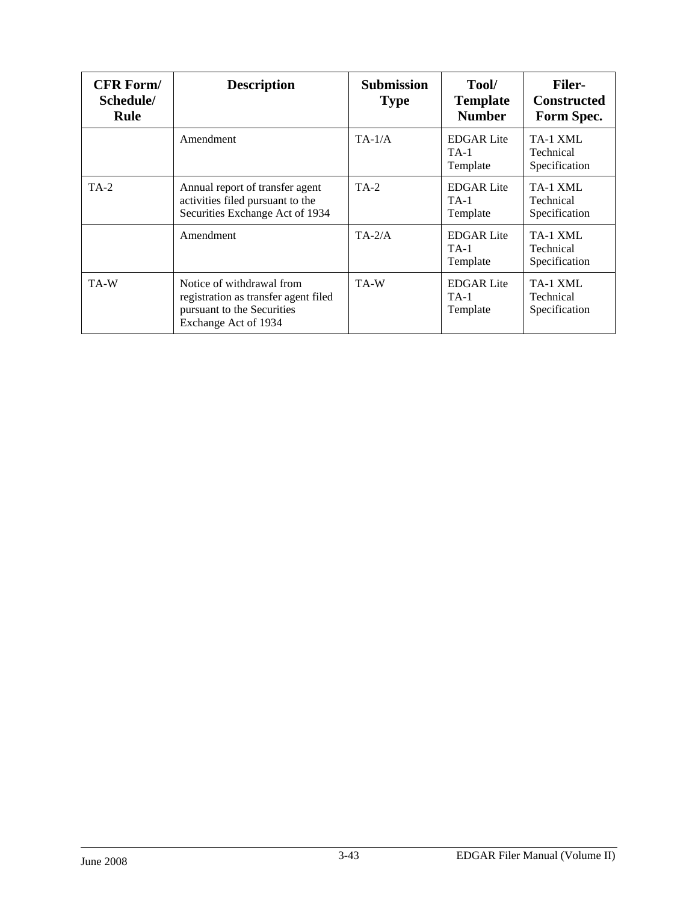| <b>CFR Form/</b><br>Schedule/<br>Rule | <b>Description</b>                                                                                                      | <b>Submission</b><br><b>Type</b> | Tool/<br><b>Template</b><br><b>Number</b> | <b>Filer-</b><br><b>Constructed</b><br>Form Spec. |
|---------------------------------------|-------------------------------------------------------------------------------------------------------------------------|----------------------------------|-------------------------------------------|---------------------------------------------------|
|                                       | Amendment                                                                                                               | $TA-1/A$                         | <b>EDGAR</b> Lite<br>$TA-1$<br>Template   | TA-1 XML<br>Technical<br>Specification            |
| $TA-2$                                | Annual report of transfer agent<br>activities filed pursuant to the<br>Securities Exchange Act of 1934                  | TA-2                             | <b>EDGAR</b> Lite<br>$TA-1$<br>Template   | TA-1 XML<br>Technical<br>Specification            |
|                                       | Amendment                                                                                                               | $TA-2/A$                         | <b>EDGAR</b> Lite<br>$TA-1$<br>Template   | TA-1 XML<br>Technical<br>Specification            |
| TA-W                                  | Notice of withdrawal from<br>registration as transfer agent filed<br>pursuant to the Securities<br>Exchange Act of 1934 | TA-W                             | <b>EDGAR</b> Lite<br>$TA-1$<br>Template   | TA-1 XML<br>Technical<br>Specification            |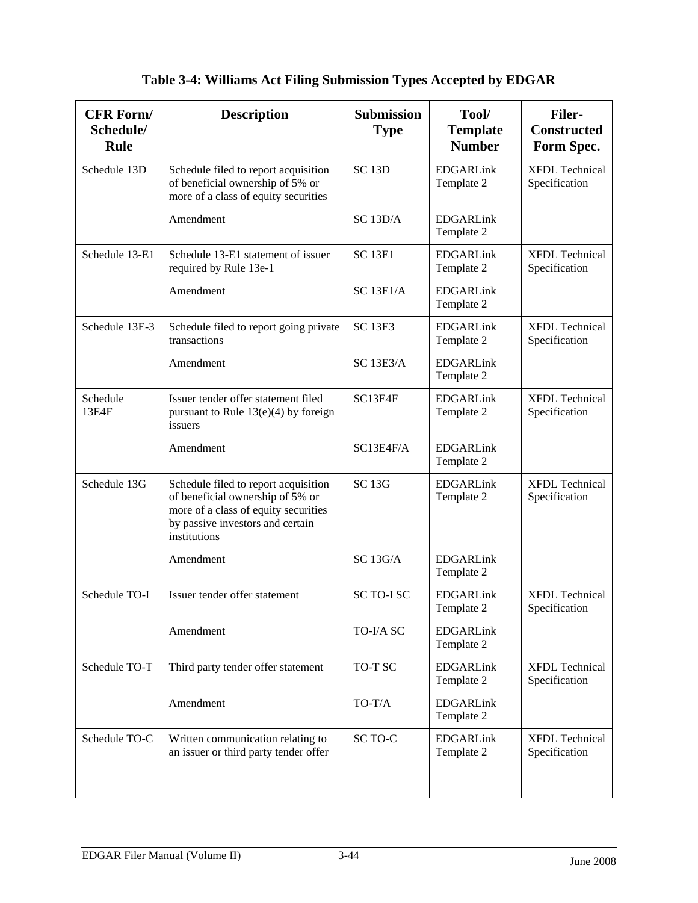| <b>CFR Form/</b><br>Schedule/<br>Rule | <b>Description</b>                                                                                                                                                   | <b>Submission</b><br><b>Type</b> | Tool/<br><b>Template</b><br><b>Number</b> | <b>Filer-</b><br><b>Constructed</b><br>Form Spec. |
|---------------------------------------|----------------------------------------------------------------------------------------------------------------------------------------------------------------------|----------------------------------|-------------------------------------------|---------------------------------------------------|
| Schedule 13D                          | Schedule filed to report acquisition<br>of beneficial ownership of 5% or<br>more of a class of equity securities                                                     | <b>SC 13D</b>                    | <b>EDGARLink</b><br>Template 2            | <b>XFDL</b> Technical<br>Specification            |
|                                       | Amendment                                                                                                                                                            | SC 13D/A                         | <b>EDGARLink</b><br>Template 2            |                                                   |
| Schedule 13-E1                        | Schedule 13-E1 statement of issuer<br>required by Rule 13e-1                                                                                                         | <b>SC 13E1</b>                   | <b>EDGARLink</b><br>Template 2            | <b>XFDL Technical</b><br>Specification            |
|                                       | Amendment                                                                                                                                                            | <b>SC 13E1/A</b>                 | <b>EDGARLink</b><br>Template 2            |                                                   |
| Schedule 13E-3                        | Schedule filed to report going private<br>transactions                                                                                                               | <b>SC 13E3</b>                   | <b>EDGARLink</b><br>Template 2            | <b>XFDL</b> Technical<br>Specification            |
|                                       | Amendment                                                                                                                                                            | <b>SC 13E3/A</b>                 | <b>EDGARLink</b><br>Template 2            |                                                   |
| Schedule<br>13E4F                     | Issuer tender offer statement filed<br>pursuant to Rule $13(e)(4)$ by foreign<br>issuers                                                                             | SC13E4F                          | <b>EDGARLink</b><br>Template 2            | <b>XFDL</b> Technical<br>Specification            |
|                                       | Amendment                                                                                                                                                            | SC13E4F/A                        | <b>EDGARLink</b><br>Template 2            |                                                   |
| Schedule 13G                          | Schedule filed to report acquisition<br>of beneficial ownership of 5% or<br>more of a class of equity securities<br>by passive investors and certain<br>institutions | <b>SC 13G</b>                    | <b>EDGARLink</b><br>Template 2            | <b>XFDL Technical</b><br>Specification            |
|                                       | Amendment                                                                                                                                                            | SC 13G/A                         | <b>EDGARLink</b><br>Template 2            |                                                   |
| Schedule TO-I                         | Issuer tender offer statement                                                                                                                                        | SC TO-I SC                       | <b>EDGARLink</b><br>Template 2            | <b>XFDL</b> Technical<br>Specification            |
|                                       | Amendment                                                                                                                                                            | TO-I/A SC                        | <b>EDGARLink</b><br>Template 2            |                                                   |
| Schedule TO-T                         | Third party tender offer statement                                                                                                                                   | TO-T SC                          | <b>EDGARLink</b><br>Template 2            | <b>XFDL Technical</b><br>Specification            |
|                                       | Amendment                                                                                                                                                            | TO-T/A                           | <b>EDGARLink</b><br>Template 2            |                                                   |
| Schedule TO-C                         | Written communication relating to<br>an issuer or third party tender offer                                                                                           | SC TO-C                          | <b>EDGARLink</b><br>Template 2            | <b>XFDL</b> Technical<br>Specification            |

# **Table 3-4: Williams Act Filing Submission Types Accepted by EDGAR**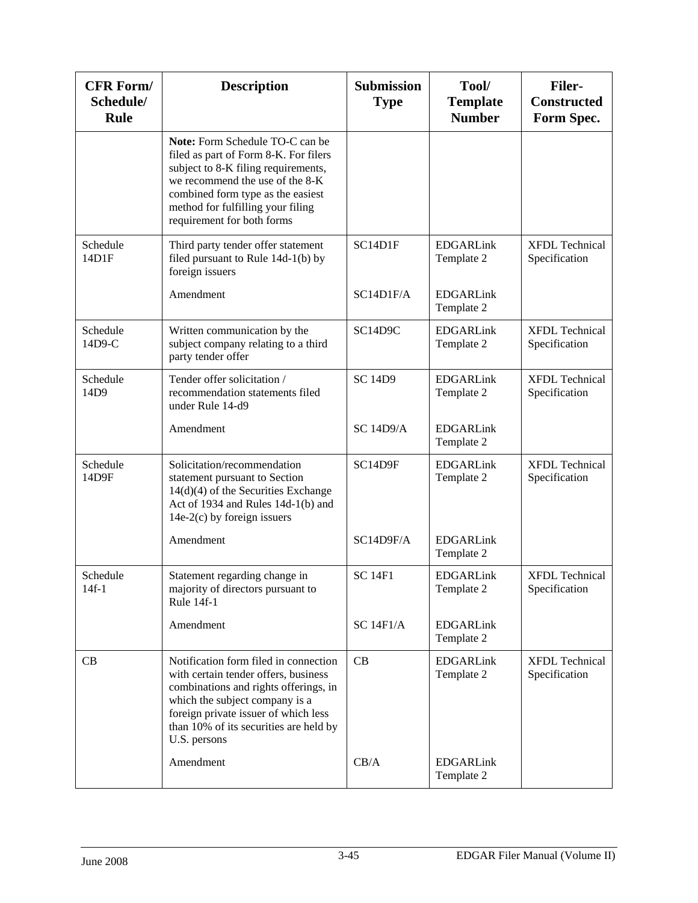| <b>CFR Form/</b><br>Schedule/<br>Rule | <b>Description</b>                                                                                                                                                                                                                                         | <b>Submission</b><br><b>Type</b> | Tool/<br><b>Template</b><br><b>Number</b> | <b>Filer-</b><br><b>Constructed</b><br>Form Spec. |
|---------------------------------------|------------------------------------------------------------------------------------------------------------------------------------------------------------------------------------------------------------------------------------------------------------|----------------------------------|-------------------------------------------|---------------------------------------------------|
|                                       | Note: Form Schedule TO-C can be<br>filed as part of Form 8-K. For filers<br>subject to 8-K filing requirements,<br>we recommend the use of the 8-K<br>combined form type as the easiest<br>method for fulfilling your filing<br>requirement for both forms |                                  |                                           |                                                   |
| Schedule<br>14D1F                     | Third party tender offer statement<br>filed pursuant to Rule 14d-1(b) by<br>foreign issuers                                                                                                                                                                | SC14D1F                          | <b>EDGARLink</b><br>Template 2            | <b>XFDL Technical</b><br>Specification            |
|                                       | Amendment                                                                                                                                                                                                                                                  | SC14D1F/A                        | <b>EDGARLink</b><br>Template 2            |                                                   |
| Schedule<br>14D9-C                    | Written communication by the<br>subject company relating to a third<br>party tender offer                                                                                                                                                                  | SC14D9C                          | <b>EDGARLink</b><br>Template 2            | <b>XFDL Technical</b><br>Specification            |
| Schedule<br>14D9                      | Tender offer solicitation /<br>recommendation statements filed<br>under Rule 14-d9                                                                                                                                                                         | <b>SC 14D9</b>                   | <b>EDGARLink</b><br>Template 2            | <b>XFDL</b> Technical<br>Specification            |
|                                       | Amendment                                                                                                                                                                                                                                                  | <b>SC 14D9/A</b>                 | <b>EDGARLink</b><br>Template 2            |                                                   |
| Schedule<br>14D9F                     | Solicitation/recommendation<br>statement pursuant to Section<br>$14(d)(4)$ of the Securities Exchange<br>Act of 1934 and Rules 14d-1(b) and<br>$14e-2(c)$ by foreign issuers                                                                               | SC14D9F                          | <b>EDGARLink</b><br>Template 2            | <b>XFDL Technical</b><br>Specification            |
|                                       | Amendment                                                                                                                                                                                                                                                  | SC14D9F/A                        | <b>EDGARLink</b><br>Template 2            |                                                   |
| Schedule<br>$14f-1$                   | Statement regarding change in<br>majority of directors pursuant to<br>Rule 14f-1                                                                                                                                                                           | <b>SC 14F1</b>                   | <b>EDGARLink</b><br>Template 2            | <b>XFDL Technical</b><br>Specification            |
|                                       | Amendment                                                                                                                                                                                                                                                  | <b>SC 14F1/A</b>                 | <b>EDGARLink</b><br>Template 2            |                                                   |
| CВ                                    | Notification form filed in connection<br>with certain tender offers, business<br>combinations and rights offerings, in<br>which the subject company is a<br>foreign private issuer of which less<br>than 10% of its securities are held by<br>U.S. persons | CB                               | <b>EDGARLink</b><br>Template 2            | <b>XFDL Technical</b><br>Specification            |
|                                       | Amendment                                                                                                                                                                                                                                                  | CB/A                             | <b>EDGARLink</b><br>Template 2            |                                                   |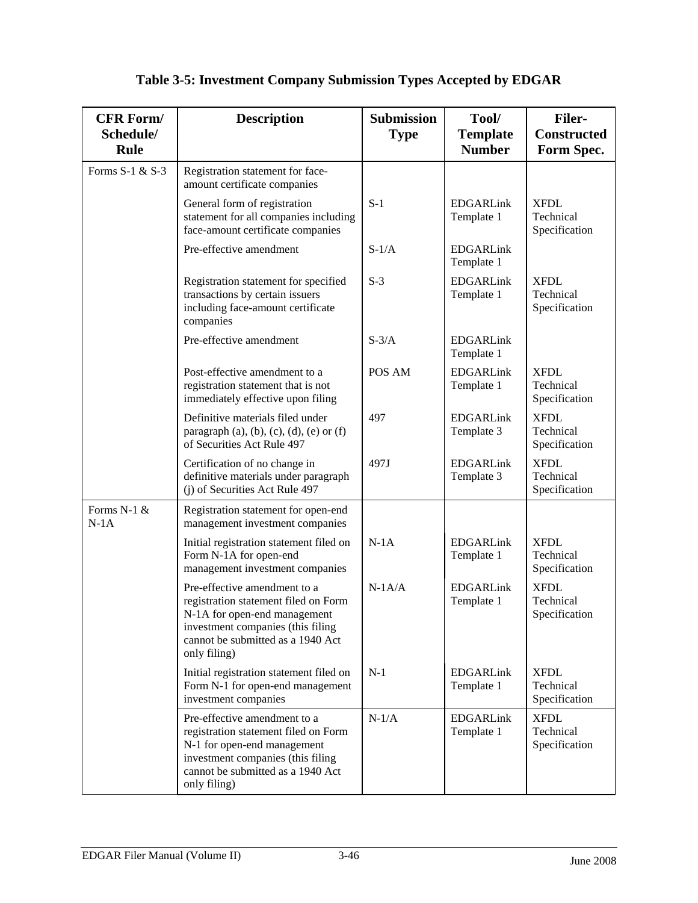## **Table 3-5: Investment Company Submission Types Accepted by EDGAR**

| <b>CFR Form/</b><br>Schedule/<br>Rule | <b>Description</b>                                                                                                                                                                             | <b>Submission</b><br><b>Type</b> | Tool/<br><b>Template</b><br><b>Number</b> | <b>Filer-</b><br><b>Constructed</b><br>Form Spec. |
|---------------------------------------|------------------------------------------------------------------------------------------------------------------------------------------------------------------------------------------------|----------------------------------|-------------------------------------------|---------------------------------------------------|
| Forms S-1 & S-3                       | Registration statement for face-<br>amount certificate companies                                                                                                                               |                                  |                                           |                                                   |
|                                       | General form of registration<br>statement for all companies including<br>face-amount certificate companies                                                                                     | $S-1$                            | <b>EDGARLink</b><br>Template 1            | <b>XFDL</b><br>Technical<br>Specification         |
|                                       | Pre-effective amendment                                                                                                                                                                        | $S-1/A$                          | <b>EDGARLink</b><br>Template 1            |                                                   |
|                                       | Registration statement for specified<br>transactions by certain issuers<br>including face-amount certificate<br>companies                                                                      | $S-3$                            | <b>EDGARLink</b><br>Template 1            | <b>XFDL</b><br>Technical<br>Specification         |
|                                       | Pre-effective amendment                                                                                                                                                                        | $S-3/A$                          | <b>EDGARLink</b><br>Template 1            |                                                   |
|                                       | Post-effective amendment to a<br>registration statement that is not<br>immediately effective upon filing                                                                                       | POS AM                           | <b>EDGARLink</b><br>Template 1            | <b>XFDL</b><br>Technical<br>Specification         |
|                                       | Definitive materials filed under<br>paragraph $(a)$ , $(b)$ , $(c)$ , $(d)$ , $(e)$ or $(f)$<br>of Securities Act Rule 497                                                                     | 497                              | <b>EDGARLink</b><br>Template 3            | <b>XFDL</b><br>Technical<br>Specification         |
|                                       | Certification of no change in<br>definitive materials under paragraph<br>(j) of Securities Act Rule 497                                                                                        | 497J                             | <b>EDGARLink</b><br>Template 3            | <b>XFDL</b><br>Technical<br>Specification         |
| Forms N-1 &<br>$N-1A$                 | Registration statement for open-end<br>management investment companies                                                                                                                         |                                  |                                           |                                                   |
|                                       | Initial registration statement filed on<br>Form N-1A for open-end<br>management investment companies                                                                                           | $N-1A$                           | <b>EDGARLink</b><br>Template 1            | <b>XFDL</b><br>Technical<br>Specification         |
|                                       | Pre-effective amendment to a<br>registration statement filed on Form<br>N-1A for open-end management<br>investment companies (this filing<br>cannot be submitted as a 1940 Act<br>only filing) | $N-1A/A$                         | <b>EDGARLink</b><br>Template 1            | <b>XFDL</b><br>Technical<br>Specification         |
|                                       | Initial registration statement filed on<br>Form N-1 for open-end management<br>investment companies                                                                                            | $N-1$                            | <b>EDGARLink</b><br>Template 1            | <b>XFDL</b><br>Technical<br>Specification         |
|                                       | Pre-effective amendment to a<br>registration statement filed on Form<br>N-1 for open-end management<br>investment companies (this filing<br>cannot be submitted as a 1940 Act<br>only filing)  | $N-1/A$                          | <b>EDGARLink</b><br>Template 1            | <b>XFDL</b><br>Technical<br>Specification         |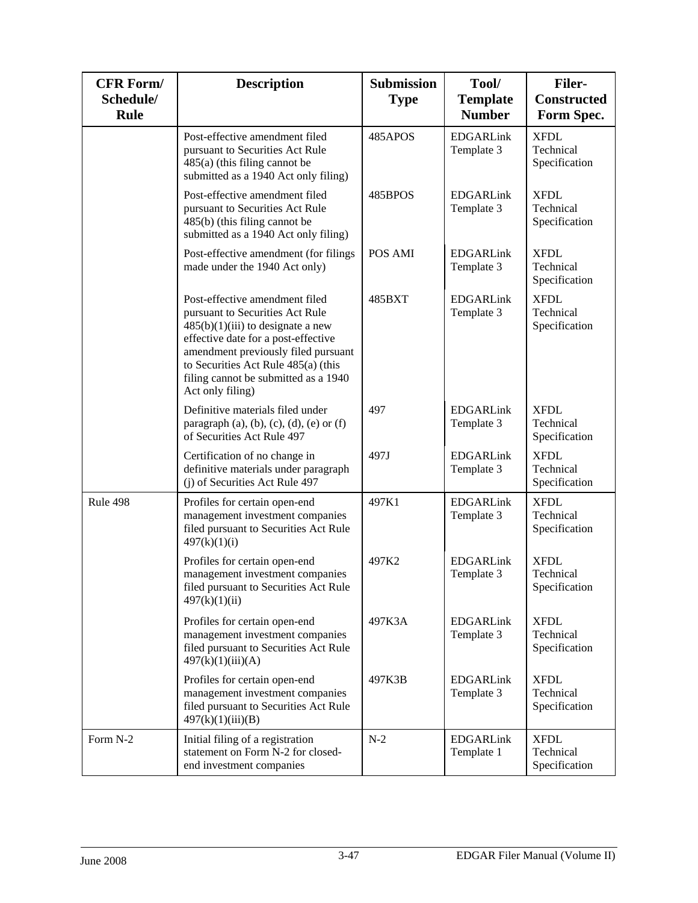| <b>CFR Form/</b><br>Schedule/<br>Rule | <b>Description</b>                                                                                                                                                                                                                                                                        | <b>Submission</b><br><b>Type</b> | Tool/<br><b>Template</b><br><b>Number</b> | <b>Filer-</b><br><b>Constructed</b><br>Form Spec. |
|---------------------------------------|-------------------------------------------------------------------------------------------------------------------------------------------------------------------------------------------------------------------------------------------------------------------------------------------|----------------------------------|-------------------------------------------|---------------------------------------------------|
|                                       | Post-effective amendment filed<br>pursuant to Securities Act Rule<br>$485(a)$ (this filing cannot be<br>submitted as a 1940 Act only filing)                                                                                                                                              | 485APOS                          | <b>EDGARLink</b><br>Template 3            | <b>XFDL</b><br>Technical<br>Specification         |
|                                       | Post-effective amendment filed<br>pursuant to Securities Act Rule<br>$485(b)$ (this filing cannot be<br>submitted as a 1940 Act only filing)                                                                                                                                              | 485BPOS                          | <b>EDGARLink</b><br>Template 3            | <b>XFDL</b><br>Technical<br>Specification         |
|                                       | Post-effective amendment (for filings<br>made under the 1940 Act only)                                                                                                                                                                                                                    | POS AMI                          | <b>EDGARLink</b><br>Template 3            | <b>XFDL</b><br>Technical<br>Specification         |
|                                       | Post-effective amendment filed<br>pursuant to Securities Act Rule<br>$485(b)(1)(iii)$ to designate a new<br>effective date for a post-effective<br>amendment previously filed pursuant<br>to Securities Act Rule 485(a) (this<br>filing cannot be submitted as a 1940<br>Act only filing) | 485BXT                           | <b>EDGARLink</b><br>Template 3            | <b>XFDL</b><br>Technical<br>Specification         |
|                                       | Definitive materials filed under<br>paragraph $(a)$ , $(b)$ , $(c)$ , $(d)$ , $(e)$ or $(f)$<br>of Securities Act Rule 497                                                                                                                                                                | 497                              | <b>EDGARLink</b><br>Template 3            | <b>XFDL</b><br>Technical<br>Specification         |
|                                       | Certification of no change in<br>definitive materials under paragraph<br>(j) of Securities Act Rule 497                                                                                                                                                                                   | 497J                             | <b>EDGARLink</b><br>Template 3            | <b>XFDL</b><br>Technical<br>Specification         |
| Rule 498                              | Profiles for certain open-end<br>management investment companies<br>filed pursuant to Securities Act Rule<br>497(k)(1)(i)                                                                                                                                                                 | 497K1                            | <b>EDGARLink</b><br>Template 3            | <b>XFDL</b><br>Technical<br>Specification         |
|                                       | Profiles for certain open-end<br>management investment companies<br>filed pursuant to Securities Act Rule<br>497(k)(1)(ii)                                                                                                                                                                | 497K2                            | <b>EDGARLink</b><br>Template 3            | <b>XFDL</b><br>Technical<br>Specification         |
|                                       | Profiles for certain open-end<br>management investment companies<br>filed pursuant to Securities Act Rule<br>497(k)(1)(iii)(A)                                                                                                                                                            | 497K3A                           | <b>EDGARLink</b><br>Template 3            | <b>XFDL</b><br>Technical<br>Specification         |
|                                       | Profiles for certain open-end<br>management investment companies<br>filed pursuant to Securities Act Rule<br>497(k)(1)(iii)(B)                                                                                                                                                            | 497K3B                           | <b>EDGARLink</b><br>Template 3            | <b>XFDL</b><br>Technical<br>Specification         |
| Form N-2                              | Initial filing of a registration<br>statement on Form N-2 for closed-<br>end investment companies                                                                                                                                                                                         | $N-2$                            | <b>EDGARLink</b><br>Template 1            | <b>XFDL</b><br>Technical<br>Specification         |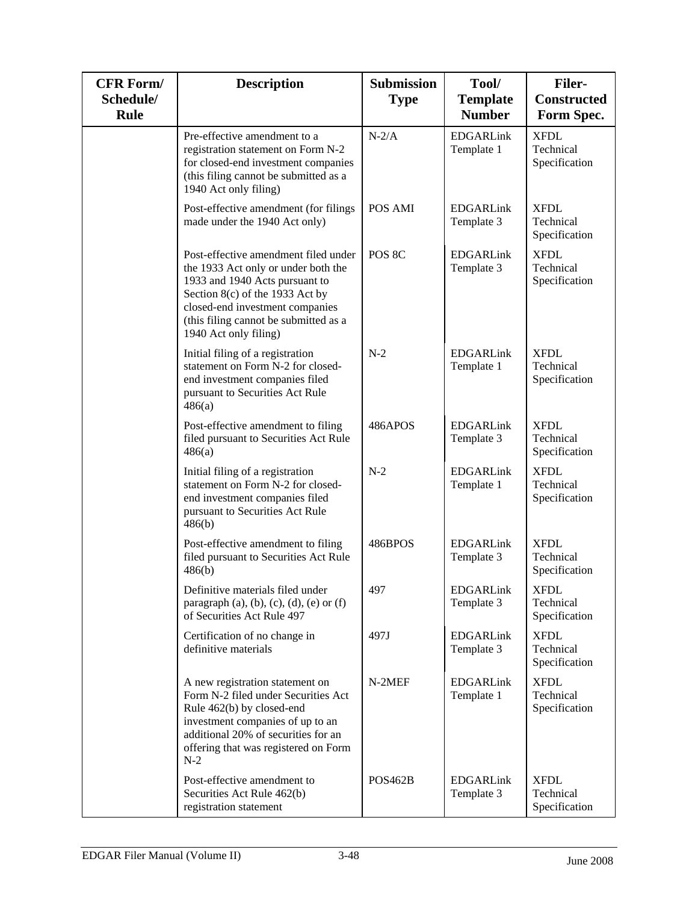| <b>CFR Form/</b><br>Schedule/<br>Rule | <b>Description</b>                                                                                                                                                                                                                                    | <b>Submission</b><br><b>Type</b> | Tool/<br><b>Template</b><br><b>Number</b> | <b>Filer-</b><br><b>Constructed</b><br>Form Spec. |
|---------------------------------------|-------------------------------------------------------------------------------------------------------------------------------------------------------------------------------------------------------------------------------------------------------|----------------------------------|-------------------------------------------|---------------------------------------------------|
|                                       | Pre-effective amendment to a<br>registration statement on Form N-2<br>for closed-end investment companies<br>(this filing cannot be submitted as a<br>1940 Act only filing)                                                                           | $N-2/A$                          | <b>EDGARLink</b><br>Template 1            | <b>XFDL</b><br>Technical<br>Specification         |
|                                       | Post-effective amendment (for filings<br>made under the 1940 Act only)                                                                                                                                                                                | POS AMI                          | <b>EDGARLink</b><br>Template 3            | <b>XFDL</b><br>Technical<br>Specification         |
|                                       | Post-effective amendment filed under<br>the 1933 Act only or under both the<br>1933 and 1940 Acts pursuant to<br>Section 8(c) of the 1933 Act by<br>closed-end investment companies<br>(this filing cannot be submitted as a<br>1940 Act only filing) | POS 8C                           | <b>EDGARLink</b><br>Template 3            | <b>XFDL</b><br>Technical<br>Specification         |
|                                       | Initial filing of a registration<br>statement on Form N-2 for closed-<br>end investment companies filed<br>pursuant to Securities Act Rule<br>486(a)                                                                                                  | $N-2$                            | <b>EDGARLink</b><br>Template 1            | <b>XFDL</b><br>Technical<br>Specification         |
|                                       | Post-effective amendment to filing<br>filed pursuant to Securities Act Rule<br>486(a)                                                                                                                                                                 | 486APOS                          | <b>EDGARLink</b><br>Template 3            | <b>XFDL</b><br>Technical<br>Specification         |
|                                       | Initial filing of a registration<br>statement on Form N-2 for closed-<br>end investment companies filed<br>pursuant to Securities Act Rule<br>486(b)                                                                                                  | $N-2$                            | <b>EDGARLink</b><br>Template 1            | <b>XFDL</b><br>Technical<br>Specification         |
|                                       | Post-effective amendment to filing<br>filed pursuant to Securities Act Rule<br>486(b)                                                                                                                                                                 | 486BPOS                          | <b>EDGARLink</b><br>Template 3            | <b>XFDL</b><br>Technical<br>Specification         |
|                                       | Definitive materials filed under<br>paragraph $(a)$ , $(b)$ , $(c)$ , $(d)$ , $(e)$ or $(f)$<br>of Securities Act Rule 497                                                                                                                            | 497                              | <b>EDGARLink</b><br>Template 3            | <b>XFDL</b><br>Technical<br>Specification         |
|                                       | Certification of no change in<br>definitive materials                                                                                                                                                                                                 | 497J                             | <b>EDGARLink</b><br>Template 3            | <b>XFDL</b><br>Technical<br>Specification         |
|                                       | A new registration statement on<br>Form N-2 filed under Securities Act<br>Rule 462(b) by closed-end<br>investment companies of up to an<br>additional 20% of securities for an<br>offering that was registered on Form<br>$N-2$                       | N-2MEF                           | <b>EDGARLink</b><br>Template 1            | <b>XFDL</b><br>Technical<br>Specification         |
|                                       | Post-effective amendment to<br>Securities Act Rule 462(b)<br>registration statement                                                                                                                                                                   | POS <sub>462</sub> B             | <b>EDGARLink</b><br>Template 3            | <b>XFDL</b><br>Technical<br>Specification         |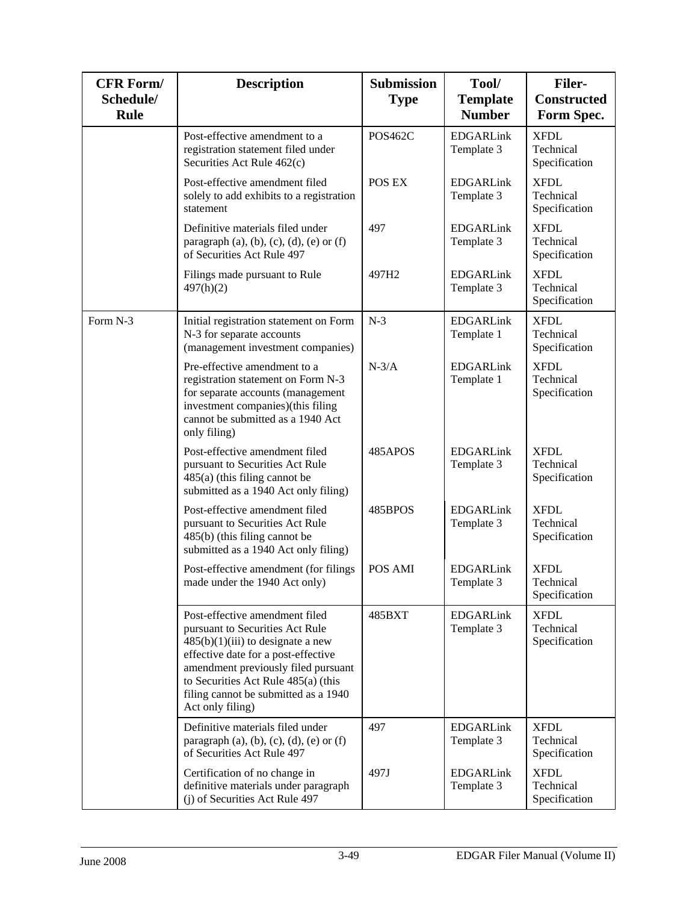| <b>CFR Form/</b><br>Schedule/<br>Rule | <b>Description</b>                                                                                                                                                                                                                                                                        | <b>Submission</b><br><b>Type</b> | Tool/<br><b>Template</b><br><b>Number</b> | <b>Filer-</b><br><b>Constructed</b><br>Form Spec. |
|---------------------------------------|-------------------------------------------------------------------------------------------------------------------------------------------------------------------------------------------------------------------------------------------------------------------------------------------|----------------------------------|-------------------------------------------|---------------------------------------------------|
|                                       | Post-effective amendment to a<br>registration statement filed under<br>Securities Act Rule 462(c)                                                                                                                                                                                         | POS462C                          | <b>EDGARLink</b><br>Template 3            | <b>XFDL</b><br>Technical<br>Specification         |
|                                       | Post-effective amendment filed<br>solely to add exhibits to a registration<br>statement                                                                                                                                                                                                   | POS EX                           | <b>EDGARLink</b><br>Template 3            | <b>XFDL</b><br>Technical<br>Specification         |
|                                       | Definitive materials filed under<br>paragraph $(a)$ , $(b)$ , $(c)$ , $(d)$ , $(e)$ or $(f)$<br>of Securities Act Rule 497                                                                                                                                                                | 497                              | <b>EDGARLink</b><br>Template 3            | <b>XFDL</b><br>Technical<br>Specification         |
|                                       | Filings made pursuant to Rule<br>497(h)(2)                                                                                                                                                                                                                                                | 497H2                            | <b>EDGARLink</b><br>Template 3            | <b>XFDL</b><br>Technical<br>Specification         |
| Form N-3                              | Initial registration statement on Form<br>N-3 for separate accounts<br>(management investment companies)                                                                                                                                                                                  | $N-3$                            | <b>EDGARLink</b><br>Template 1            | <b>XFDL</b><br>Technical<br>Specification         |
|                                       | Pre-effective amendment to a<br>registration statement on Form N-3<br>for separate accounts (management<br>investment companies)(this filing<br>cannot be submitted as a 1940 Act<br>only filing)                                                                                         | $N-3/A$                          | <b>EDGARLink</b><br>Template 1            | <b>XFDL</b><br>Technical<br>Specification         |
|                                       | Post-effective amendment filed<br>pursuant to Securities Act Rule<br>$485(a)$ (this filing cannot be<br>submitted as a 1940 Act only filing)                                                                                                                                              | 485APOS                          | <b>EDGARLink</b><br>Template 3            | <b>XFDL</b><br>Technical<br>Specification         |
|                                       | Post-effective amendment filed<br>pursuant to Securities Act Rule<br>485(b) (this filing cannot be<br>submitted as a 1940 Act only filing)                                                                                                                                                | 485BPOS                          | <b>EDGARLink</b><br>Template 3            | <b>XFDL</b><br>Technical<br>Specification         |
|                                       | Post-effective amendment (for filings<br>made under the 1940 Act only)                                                                                                                                                                                                                    | POS AMI                          | <b>EDGARLink</b><br>Template 3            | <b>XFDL</b><br>Technical<br>Specification         |
|                                       | Post-effective amendment filed<br>pursuant to Securities Act Rule<br>$485(b)(1)(iii)$ to designate a new<br>effective date for a post-effective<br>amendment previously filed pursuant<br>to Securities Act Rule 485(a) (this<br>filing cannot be submitted as a 1940<br>Act only filing) | 485BXT                           | <b>EDGARLink</b><br>Template 3            | <b>XFDL</b><br>Technical<br>Specification         |
|                                       | Definitive materials filed under<br>paragraph $(a)$ , $(b)$ , $(c)$ , $(d)$ , $(e)$ or $(f)$<br>of Securities Act Rule 497                                                                                                                                                                | 497                              | <b>EDGARLink</b><br>Template 3            | <b>XFDL</b><br>Technical<br>Specification         |
|                                       | Certification of no change in<br>definitive materials under paragraph<br>(j) of Securities Act Rule 497                                                                                                                                                                                   | 497J                             | <b>EDGARLink</b><br>Template 3            | <b>XFDL</b><br>Technical<br>Specification         |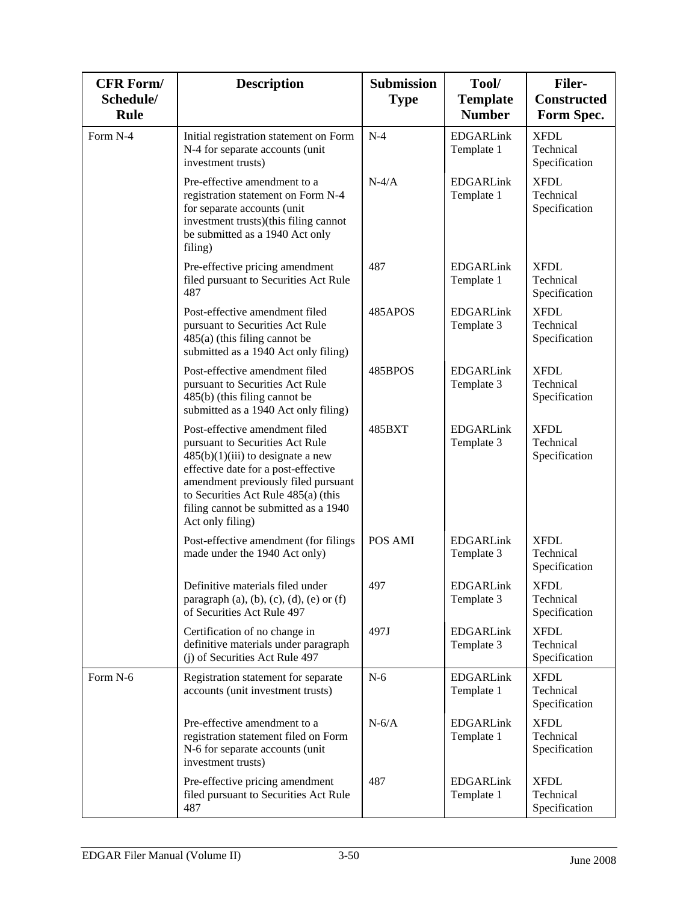| <b>CFR Form/</b><br>Schedule/<br><b>Rule</b> | <b>Description</b>                                                                                                                                                                                                                                                                        | <b>Submission</b><br><b>Type</b> | Tool/<br><b>Template</b><br><b>Number</b> | <b>Filer-</b><br><b>Constructed</b><br>Form Spec. |
|----------------------------------------------|-------------------------------------------------------------------------------------------------------------------------------------------------------------------------------------------------------------------------------------------------------------------------------------------|----------------------------------|-------------------------------------------|---------------------------------------------------|
| Form N-4                                     | Initial registration statement on Form<br>N-4 for separate accounts (unit<br>investment trusts)                                                                                                                                                                                           | $N-4$                            | <b>EDGARLink</b><br>Template 1            | <b>XFDL</b><br>Technical<br>Specification         |
|                                              | Pre-effective amendment to a<br>registration statement on Form N-4<br>for separate accounts (unit<br>investment trusts)(this filing cannot<br>be submitted as a 1940 Act only<br>filing)                                                                                                  | $N-4/A$                          | <b>EDGARLink</b><br>Template 1            | <b>XFDL</b><br>Technical<br>Specification         |
|                                              | Pre-effective pricing amendment<br>filed pursuant to Securities Act Rule<br>487                                                                                                                                                                                                           | 487                              | <b>EDGARLink</b><br>Template 1            | <b>XFDL</b><br>Technical<br>Specification         |
|                                              | Post-effective amendment filed<br>pursuant to Securities Act Rule<br>$485(a)$ (this filing cannot be<br>submitted as a 1940 Act only filing)                                                                                                                                              | 485APOS                          | <b>EDGARLink</b><br>Template 3            | <b>XFDL</b><br>Technical<br>Specification         |
|                                              | Post-effective amendment filed<br>pursuant to Securities Act Rule<br>485(b) (this filing cannot be<br>submitted as a 1940 Act only filing)                                                                                                                                                | 485BPOS                          | <b>EDGARLink</b><br>Template 3            | <b>XFDL</b><br>Technical<br>Specification         |
|                                              | Post-effective amendment filed<br>pursuant to Securities Act Rule<br>$485(b)(1)(iii)$ to designate a new<br>effective date for a post-effective<br>amendment previously filed pursuant<br>to Securities Act Rule 485(a) (this<br>filing cannot be submitted as a 1940<br>Act only filing) | 485BXT                           | <b>EDGARLink</b><br>Template 3            | <b>XFDL</b><br>Technical<br>Specification         |
|                                              | Post-effective amendment (for filings<br>made under the 1940 Act only)                                                                                                                                                                                                                    | POS AMI                          | <b>EDGARLink</b><br>Template 3            | <b>XFDL</b><br>Technical<br>Specification         |
|                                              | Definitive materials filed under<br>paragraph $(a)$ , $(b)$ , $(c)$ , $(d)$ , $(e)$ or $(f)$<br>of Securities Act Rule 497                                                                                                                                                                | 497                              | <b>EDGARLink</b><br>Template 3            | <b>XFDL</b><br>Technical<br>Specification         |
|                                              | Certification of no change in<br>definitive materials under paragraph<br>(j) of Securities Act Rule 497                                                                                                                                                                                   | 497J                             | <b>EDGARLink</b><br>Template 3            | XFDL<br>Technical<br>Specification                |
| Form N-6                                     | Registration statement for separate<br>accounts (unit investment trusts)                                                                                                                                                                                                                  | $N-6$                            | <b>EDGARLink</b><br>Template 1            | <b>XFDL</b><br>Technical<br>Specification         |
|                                              | Pre-effective amendment to a<br>registration statement filed on Form<br>N-6 for separate accounts (unit<br>investment trusts)                                                                                                                                                             | $N-6/A$                          | <b>EDGARLink</b><br>Template 1            | <b>XFDL</b><br>Technical<br>Specification         |
|                                              | Pre-effective pricing amendment<br>filed pursuant to Securities Act Rule<br>487                                                                                                                                                                                                           | 487                              | <b>EDGARLink</b><br>Template 1            | <b>XFDL</b><br>Technical<br>Specification         |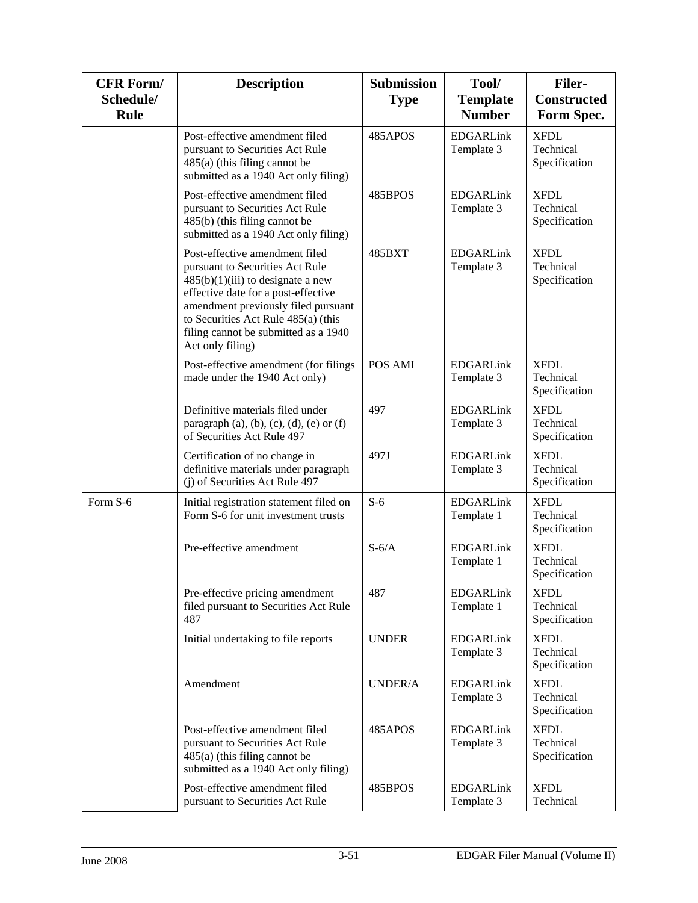| <b>CFR Form/</b><br>Schedule/<br><b>Rule</b> | <b>Description</b>                                                                                                                                                                                                                                                                        | <b>Submission</b><br><b>Type</b> | Tool/<br><b>Template</b><br><b>Number</b> | <b>Filer-</b><br><b>Constructed</b><br>Form Spec. |
|----------------------------------------------|-------------------------------------------------------------------------------------------------------------------------------------------------------------------------------------------------------------------------------------------------------------------------------------------|----------------------------------|-------------------------------------------|---------------------------------------------------|
|                                              | Post-effective amendment filed<br>pursuant to Securities Act Rule<br>$485(a)$ (this filing cannot be<br>submitted as a 1940 Act only filing)                                                                                                                                              | 485APOS                          | <b>EDGARLink</b><br>Template 3            | <b>XFDL</b><br>Technical<br>Specification         |
|                                              | Post-effective amendment filed<br>pursuant to Securities Act Rule<br>$485(b)$ (this filing cannot be<br>submitted as a 1940 Act only filing)                                                                                                                                              | 485BPOS                          | <b>EDGARLink</b><br>Template 3            | <b>XFDL</b><br>Technical<br>Specification         |
|                                              | Post-effective amendment filed<br>pursuant to Securities Act Rule<br>$485(b)(1)(iii)$ to designate a new<br>effective date for a post-effective<br>amendment previously filed pursuant<br>to Securities Act Rule 485(a) (this<br>filing cannot be submitted as a 1940<br>Act only filing) | 485BXT                           | <b>EDGARLink</b><br>Template 3            | <b>XFDL</b><br>Technical<br>Specification         |
|                                              | Post-effective amendment (for filings<br>made under the 1940 Act only)                                                                                                                                                                                                                    | POS AMI                          | <b>EDGARLink</b><br>Template 3            | <b>XFDL</b><br>Technical<br>Specification         |
|                                              | Definitive materials filed under<br>paragraph $(a)$ , $(b)$ , $(c)$ , $(d)$ , $(e)$ or $(f)$<br>of Securities Act Rule 497                                                                                                                                                                | 497                              | <b>EDGARLink</b><br>Template 3            | <b>XFDL</b><br>Technical<br>Specification         |
|                                              | Certification of no change in<br>definitive materials under paragraph<br>(i) of Securities Act Rule 497                                                                                                                                                                                   | 497J                             | <b>EDGARLink</b><br>Template 3            | <b>XFDL</b><br>Technical<br>Specification         |
| Form S-6                                     | Initial registration statement filed on<br>Form S-6 for unit investment trusts                                                                                                                                                                                                            | $S-6$                            | <b>EDGARLink</b><br>Template 1            | <b>XFDL</b><br>Technical<br>Specification         |
|                                              | Pre-effective amendment                                                                                                                                                                                                                                                                   | $S-6/A$                          | <b>EDGARLink</b><br>Template 1            | <b>XFDL</b><br>Technical<br>Specification         |
|                                              | Pre-effective pricing amendment<br>filed pursuant to Securities Act Rule<br>487                                                                                                                                                                                                           | 487                              | <b>EDGARLink</b><br>Template 1            | <b>XFDL</b><br>Technical<br>Specification         |
|                                              | Initial undertaking to file reports                                                                                                                                                                                                                                                       | <b>UNDER</b>                     | <b>EDGARLink</b><br>Template 3            | <b>XFDL</b><br>Technical<br>Specification         |
|                                              | Amendment                                                                                                                                                                                                                                                                                 | <b>UNDER/A</b>                   | <b>EDGARLink</b><br>Template 3            | <b>XFDL</b><br>Technical<br>Specification         |
|                                              | Post-effective amendment filed<br>pursuant to Securities Act Rule<br>$485(a)$ (this filing cannot be<br>submitted as a 1940 Act only filing)                                                                                                                                              | 485APOS                          | <b>EDGARLink</b><br>Template 3            | <b>XFDL</b><br>Technical<br>Specification         |
|                                              | Post-effective amendment filed<br>pursuant to Securities Act Rule                                                                                                                                                                                                                         | 485BPOS                          | <b>EDGARLink</b><br>Template 3            | <b>XFDL</b><br>Technical                          |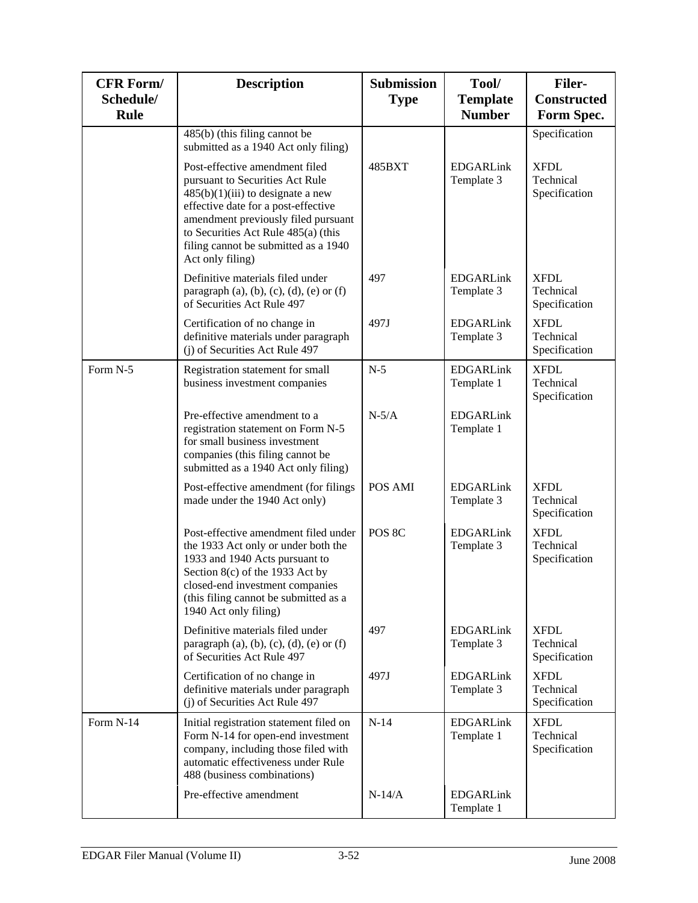| <b>CFR Form/</b><br>Schedule/<br>Rule | <b>Description</b>                                                                                                                                                                                                                                                                        | <b>Submission</b><br><b>Type</b> | Tool/<br><b>Template</b><br><b>Number</b> | <b>Filer-</b><br><b>Constructed</b><br>Form Spec. |
|---------------------------------------|-------------------------------------------------------------------------------------------------------------------------------------------------------------------------------------------------------------------------------------------------------------------------------------------|----------------------------------|-------------------------------------------|---------------------------------------------------|
|                                       | $485(b)$ (this filing cannot be<br>submitted as a 1940 Act only filing)                                                                                                                                                                                                                   |                                  |                                           | Specification                                     |
|                                       | Post-effective amendment filed<br>pursuant to Securities Act Rule<br>$485(b)(1)(iii)$ to designate a new<br>effective date for a post-effective<br>amendment previously filed pursuant<br>to Securities Act Rule 485(a) (this<br>filing cannot be submitted as a 1940<br>Act only filing) | 485BXT                           | <b>EDGARLink</b><br>Template 3            | <b>XFDL</b><br>Technical<br>Specification         |
|                                       | Definitive materials filed under<br>paragraph $(a)$ , $(b)$ , $(c)$ , $(d)$ , $(e)$ or $(f)$<br>of Securities Act Rule 497                                                                                                                                                                | 497                              | <b>EDGARLink</b><br>Template 3            | <b>XFDL</b><br>Technical<br>Specification         |
|                                       | Certification of no change in<br>definitive materials under paragraph<br>(j) of Securities Act Rule 497                                                                                                                                                                                   | 497J                             | <b>EDGARLink</b><br>Template 3            | <b>XFDL</b><br>Technical<br>Specification         |
| Form N-5                              | Registration statement for small<br>business investment companies                                                                                                                                                                                                                         | $N-5$                            | <b>EDGARLink</b><br>Template 1            | <b>XFDL</b><br>Technical<br>Specification         |
|                                       | Pre-effective amendment to a<br>registration statement on Form N-5<br>for small business investment<br>companies (this filing cannot be<br>submitted as a 1940 Act only filing)                                                                                                           | $N-5/A$                          | <b>EDGARLink</b><br>Template 1            |                                                   |
|                                       | Post-effective amendment (for filings<br>made under the 1940 Act only)                                                                                                                                                                                                                    | POS AMI                          | <b>EDGARLink</b><br>Template 3            | <b>XFDL</b><br>Technical<br>Specification         |
|                                       | Post-effective amendment filed under<br>the 1933 Act only or under both the<br>1933 and 1940 Acts pursuant to<br>Section 8(c) of the 1933 Act by<br>closed-end investment companies<br>(this filing cannot be submitted as a<br>1940 Act only filing)                                     | POS 8C                           | <b>EDGARLink</b><br>Template 3            | <b>XFDL</b><br>Technical<br>Specification         |
|                                       | Definitive materials filed under<br>paragraph (a), (b), (c), (d), (e) or (f)<br>of Securities Act Rule 497                                                                                                                                                                                | 497                              | <b>EDGARLink</b><br>Template 3            | <b>XFDL</b><br>Technical<br>Specification         |
|                                       | Certification of no change in<br>definitive materials under paragraph<br>(j) of Securities Act Rule 497                                                                                                                                                                                   | 497J                             | <b>EDGARLink</b><br>Template 3            | <b>XFDL</b><br>Technical<br>Specification         |
| Form N-14                             | Initial registration statement filed on<br>Form N-14 for open-end investment<br>company, including those filed with<br>automatic effectiveness under Rule<br>488 (business combinations)                                                                                                  | $N-14$                           | <b>EDGARLink</b><br>Template 1            | <b>XFDL</b><br>Technical<br>Specification         |
|                                       | Pre-effective amendment                                                                                                                                                                                                                                                                   | $N-14/A$                         | <b>EDGARLink</b><br>Template 1            |                                                   |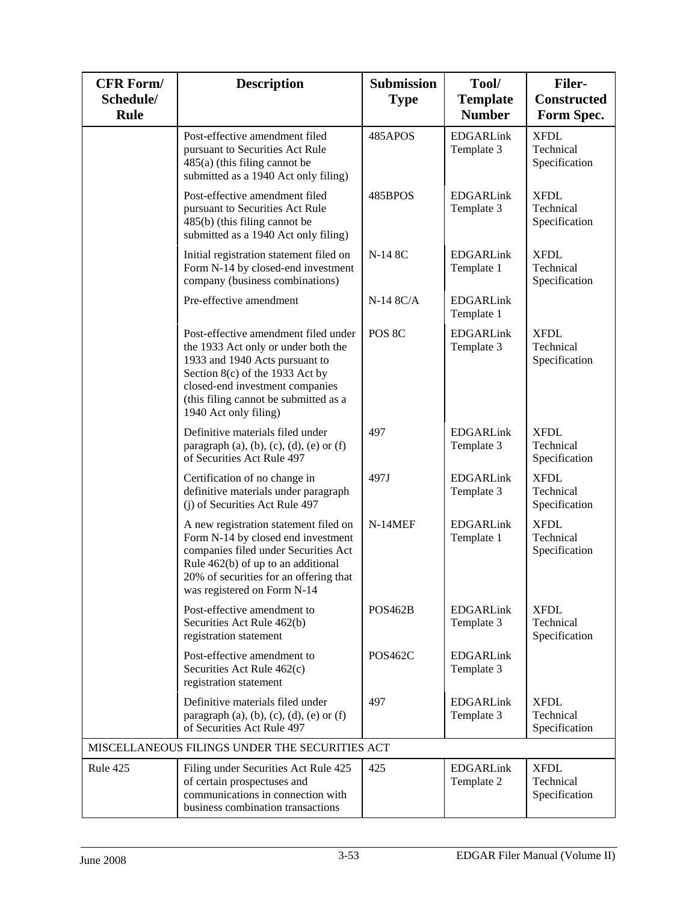| <b>CFR Form/</b><br>Schedule/<br>Rule | <b>Description</b>                                                                                                                                                                                                                                    | <b>Submission</b><br><b>Type</b> | Tool/<br><b>Template</b><br><b>Number</b> | <b>Filer-</b><br><b>Constructed</b><br>Form Spec. |
|---------------------------------------|-------------------------------------------------------------------------------------------------------------------------------------------------------------------------------------------------------------------------------------------------------|----------------------------------|-------------------------------------------|---------------------------------------------------|
|                                       | Post-effective amendment filed<br>pursuant to Securities Act Rule<br>$485(a)$ (this filing cannot be<br>submitted as a 1940 Act only filing)                                                                                                          | 485APOS                          | <b>EDGARLink</b><br>Template 3            | <b>XFDL</b><br>Technical<br>Specification         |
|                                       | Post-effective amendment filed<br>pursuant to Securities Act Rule<br>485(b) (this filing cannot be<br>submitted as a 1940 Act only filing)                                                                                                            | 485BPOS                          | <b>EDGARLink</b><br>Template 3            | <b>XFDL</b><br>Technical<br>Specification         |
|                                       | Initial registration statement filed on<br>Form N-14 by closed-end investment<br>company (business combinations)                                                                                                                                      | N-14 8C                          | <b>EDGARLink</b><br>Template 1            | <b>XFDL</b><br>Technical<br>Specification         |
|                                       | Pre-effective amendment                                                                                                                                                                                                                               | $N-14$ $8C/A$                    | <b>EDGARLink</b><br>Template 1            |                                                   |
|                                       | Post-effective amendment filed under<br>the 1933 Act only or under both the<br>1933 and 1940 Acts pursuant to<br>Section 8(c) of the 1933 Act by<br>closed-end investment companies<br>(this filing cannot be submitted as a<br>1940 Act only filing) | POS 8C                           | <b>EDGARLink</b><br>Template 3            | <b>XFDL</b><br>Technical<br>Specification         |
|                                       | Definitive materials filed under<br>paragraph $(a)$ , $(b)$ , $(c)$ , $(d)$ , $(e)$ or $(f)$<br>of Securities Act Rule 497                                                                                                                            | 497                              | <b>EDGARLink</b><br>Template 3            | <b>XFDL</b><br>Technical<br>Specification         |
|                                       | Certification of no change in<br>definitive materials under paragraph<br>(j) of Securities Act Rule 497                                                                                                                                               | 497J                             | <b>EDGARLink</b><br>Template 3            | <b>XFDL</b><br>Technical<br>Specification         |
|                                       | A new registration statement filed on<br>Form N-14 by closed end investment<br>companies filed under Securities Act<br>Rule 462(b) of up to an additional<br>20% of securities for an offering that<br>was registered on Form N-14                    | $N-14MEF$                        | <b>EDGARLink</b><br>Template 1            | <b>XFDL</b><br>Technical<br>Specification         |
|                                       | Post-effective amendment to<br>Securities Act Rule 462(b)<br>registration statement                                                                                                                                                                   | <b>POS462B</b>                   | <b>EDGARLink</b><br>Template 3            | <b>XFDL</b><br>Technical<br>Specification         |
|                                       | Post-effective amendment to<br>Securities Act Rule 462(c)<br>registration statement                                                                                                                                                                   | <b>POS462C</b>                   | <b>EDGARLink</b><br>Template 3            |                                                   |
|                                       | Definitive materials filed under<br>paragraph $(a)$ , $(b)$ , $(c)$ , $(d)$ , $(e)$ or $(f)$<br>of Securities Act Rule 497                                                                                                                            | 497                              | <b>EDGARLink</b><br>Template 3            | <b>XFDL</b><br>Technical<br>Specification         |
|                                       | MISCELLANEOUS FILINGS UNDER THE SECURITIES ACT                                                                                                                                                                                                        |                                  |                                           |                                                   |
| Rule 425                              | Filing under Securities Act Rule 425<br>of certain prospectuses and<br>communications in connection with<br>business combination transactions                                                                                                         | 425                              | <b>EDGARLink</b><br>Template 2            | <b>XFDL</b><br>Technical<br>Specification         |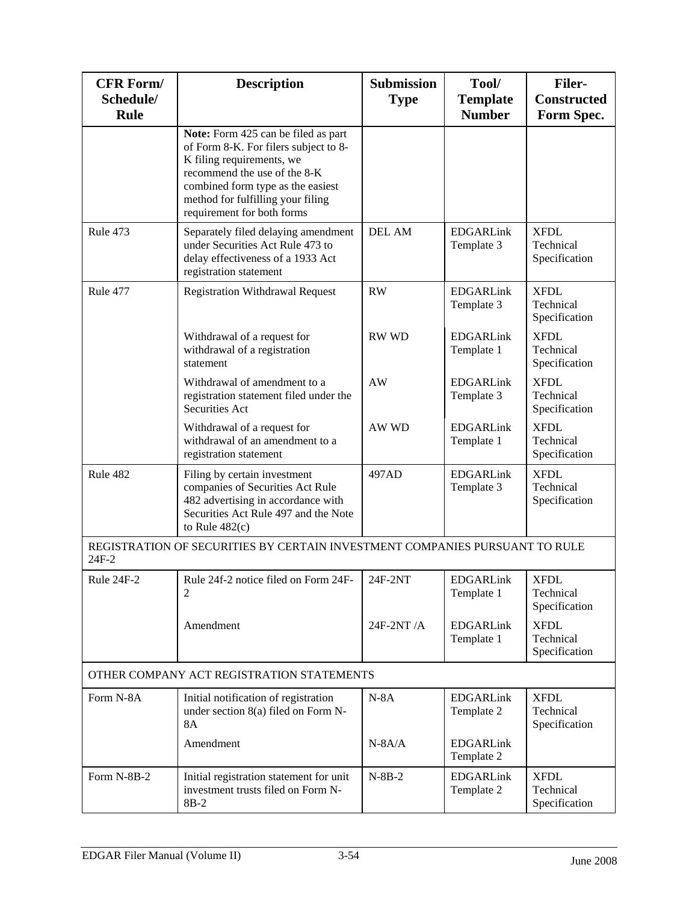| <b>CFR Form/</b><br>Schedule/<br>Rule | <b>Description</b>                                                                                                                                                                                                                                | <b>Submission</b><br><b>Type</b> | Tool/<br><b>Template</b><br><b>Number</b> | <b>Filer-</b><br><b>Constructed</b><br>Form Spec. |  |  |
|---------------------------------------|---------------------------------------------------------------------------------------------------------------------------------------------------------------------------------------------------------------------------------------------------|----------------------------------|-------------------------------------------|---------------------------------------------------|--|--|
|                                       | Note: Form 425 can be filed as part<br>of Form 8-K. For filers subject to 8-<br>K filing requirements, we<br>recommend the use of the 8-K<br>combined form type as the easiest<br>method for fulfilling your filing<br>requirement for both forms |                                  |                                           |                                                   |  |  |
| Rule 473                              | Separately filed delaying amendment<br>under Securities Act Rule 473 to<br>delay effectiveness of a 1933 Act<br>registration statement                                                                                                            | <b>DEL AM</b>                    | <b>EDGARLink</b><br>Template 3            | <b>XFDL</b><br>Technical<br>Specification         |  |  |
| Rule 477                              | <b>Registration Withdrawal Request</b>                                                                                                                                                                                                            | RW                               | <b>EDGARLink</b><br>Template 3            | <b>XFDL</b><br>Technical<br>Specification         |  |  |
|                                       | Withdrawal of a request for<br>withdrawal of a registration<br>statement                                                                                                                                                                          | <b>RW WD</b>                     | <b>EDGARLink</b><br>Template 1            | <b>XFDL</b><br>Technical<br>Specification         |  |  |
|                                       | Withdrawal of amendment to a<br>registration statement filed under the<br>Securities Act                                                                                                                                                          | <b>AW</b>                        | <b>EDGARLink</b><br>Template 3            | <b>XFDL</b><br>Technical<br>Specification         |  |  |
|                                       | Withdrawal of a request for<br>withdrawal of an amendment to a<br>registration statement                                                                                                                                                          | AW WD                            | <b>EDGARLink</b><br>Template 1            | <b>XFDL</b><br>Technical<br>Specification         |  |  |
| Rule 482                              | Filing by certain investment<br>companies of Securities Act Rule<br>482 advertising in accordance with<br>Securities Act Rule 497 and the Note<br>to Rule $482(c)$                                                                                | 497AD                            | <b>EDGARLink</b><br>Template 3            | <b>XFDL</b><br>Technical<br>Specification         |  |  |
| 24F-2                                 | REGISTRATION OF SECURITIES BY CERTAIN INVESTMENT COMPANIES PURSUANT TO RULE                                                                                                                                                                       |                                  |                                           |                                                   |  |  |
| Rule 24F-2                            | Rule 24f-2 notice filed on Form 24F-<br>2                                                                                                                                                                                                         | 24F-2NT                          | <b>EDGARLink</b><br>Template 1            | <b>XFDL</b><br>Technical<br>Specification         |  |  |
|                                       | Amendment                                                                                                                                                                                                                                         | 24F-2NT/A                        | <b>EDGARLink</b><br>Template 1            | <b>XFDL</b><br>Technical<br>Specification         |  |  |
|                                       | OTHER COMPANY ACT REGISTRATION STATEMENTS                                                                                                                                                                                                         |                                  |                                           |                                                   |  |  |
| Form N-8A                             | Initial notification of registration<br>under section 8(a) filed on Form N-<br><b>8A</b>                                                                                                                                                          | $N-8A$                           | <b>EDGARLink</b><br>Template 2            | <b>XFDL</b><br>Technical<br>Specification         |  |  |
|                                       | Amendment                                                                                                                                                                                                                                         | $N-8A/A$                         | <b>EDGARLink</b><br>Template 2            |                                                   |  |  |
| Form N-8B-2                           | Initial registration statement for unit<br>investment trusts filed on Form N-<br>$8B-2$                                                                                                                                                           | $N-8B-2$                         | <b>EDGARLink</b><br>Template 2            | <b>XFDL</b><br>Technical<br>Specification         |  |  |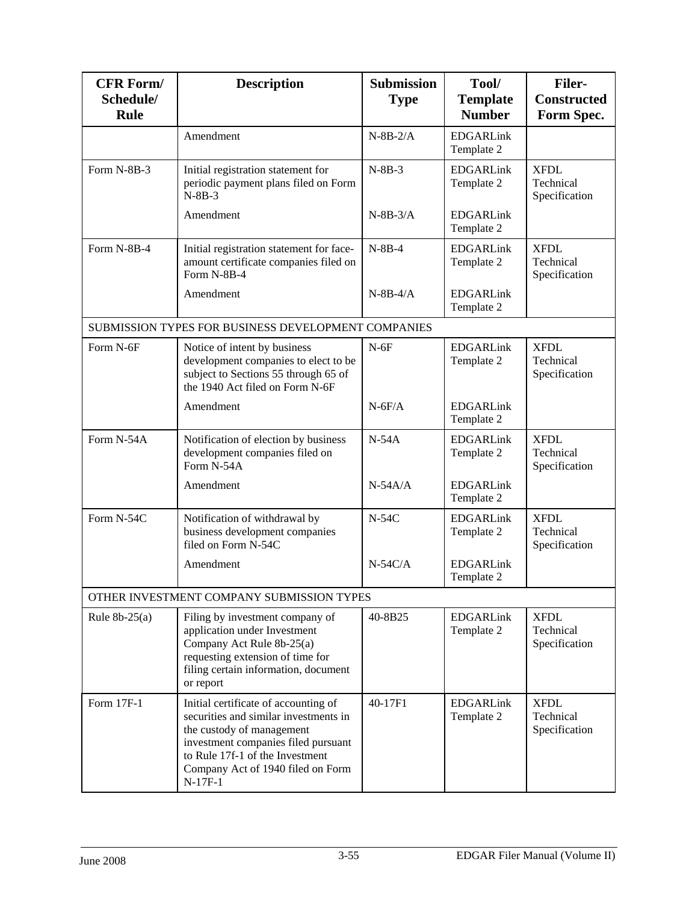| <b>CFR Form/</b><br>Schedule/<br><b>Rule</b> | <b>Description</b>                                                                                                                                                                                                                     | <b>Submission</b><br><b>Type</b> | Tool/<br><b>Template</b><br><b>Number</b> | <b>Filer-</b><br><b>Constructed</b><br>Form Spec. |
|----------------------------------------------|----------------------------------------------------------------------------------------------------------------------------------------------------------------------------------------------------------------------------------------|----------------------------------|-------------------------------------------|---------------------------------------------------|
|                                              | Amendment                                                                                                                                                                                                                              | $N-8B-2/A$                       | <b>EDGARLink</b><br>Template 2            |                                                   |
| Form N-8B-3                                  | Initial registration statement for<br>periodic payment plans filed on Form<br>$N-8B-3$                                                                                                                                                 | $N-8B-3$                         | <b>EDGARLink</b><br>Template 2            | <b>XFDL</b><br>Technical<br>Specification         |
|                                              | Amendment                                                                                                                                                                                                                              | $N-8B-3/A$                       | <b>EDGARLink</b><br>Template 2            |                                                   |
| Form N-8B-4                                  | Initial registration statement for face-<br>amount certificate companies filed on<br>Form N-8B-4                                                                                                                                       | $N-8B-4$                         | <b>EDGARLink</b><br>Template 2            | <b>XFDL</b><br>Technical<br>Specification         |
|                                              | Amendment                                                                                                                                                                                                                              | $N-8B-4/A$                       | <b>EDGARLink</b><br>Template 2            |                                                   |
|                                              | SUBMISSION TYPES FOR BUSINESS DEVELOPMENT COMPANIES                                                                                                                                                                                    |                                  |                                           |                                                   |
| Form N-6F                                    | Notice of intent by business<br>development companies to elect to be<br>subject to Sections 55 through 65 of<br>the 1940 Act filed on Form N-6F                                                                                        | $N-6F$                           | <b>EDGARLink</b><br>Template 2            | <b>XFDL</b><br>Technical<br>Specification         |
|                                              | Amendment                                                                                                                                                                                                                              | $N-6F/A$                         | <b>EDGARLink</b><br>Template 2            |                                                   |
| Form N-54A                                   | Notification of election by business<br>development companies filed on<br>Form N-54A                                                                                                                                                   | $N-54A$                          | <b>EDGARLink</b><br>Template 2            | <b>XFDL</b><br>Technical<br>Specification         |
|                                              | Amendment                                                                                                                                                                                                                              | $N-54A/A$                        | <b>EDGARLink</b><br>Template 2            |                                                   |
| Form N-54C                                   | Notification of withdrawal by<br>business development companies<br>filed on Form N-54C                                                                                                                                                 | $N-54C$                          | <b>EDGARLink</b><br>Template 2            | <b>XFDL</b><br>Technical<br>Specification         |
|                                              | Amendment                                                                                                                                                                                                                              | $N-54C/A$                        | <b>EDGARLink</b><br>Template 2            |                                                   |
|                                              | OTHER INVESTMENT COMPANY SUBMISSION TYPES                                                                                                                                                                                              |                                  |                                           |                                                   |
| Rule $8b-25(a)$                              | Filing by investment company of<br>application under Investment<br>Company Act Rule 8b-25(a)<br>requesting extension of time for<br>filing certain information, document<br>or report                                                  | 40-8B25                          | <b>EDGARLink</b><br>Template 2            | <b>XFDL</b><br>Technical<br>Specification         |
| Form 17F-1                                   | Initial certificate of accounting of<br>securities and similar investments in<br>the custody of management<br>investment companies filed pursuant<br>to Rule 17f-1 of the Investment<br>Company Act of 1940 filed on Form<br>$N-17F-1$ | 40-17F1                          | <b>EDGARLink</b><br>Template 2            | <b>XFDL</b><br>Technical<br>Specification         |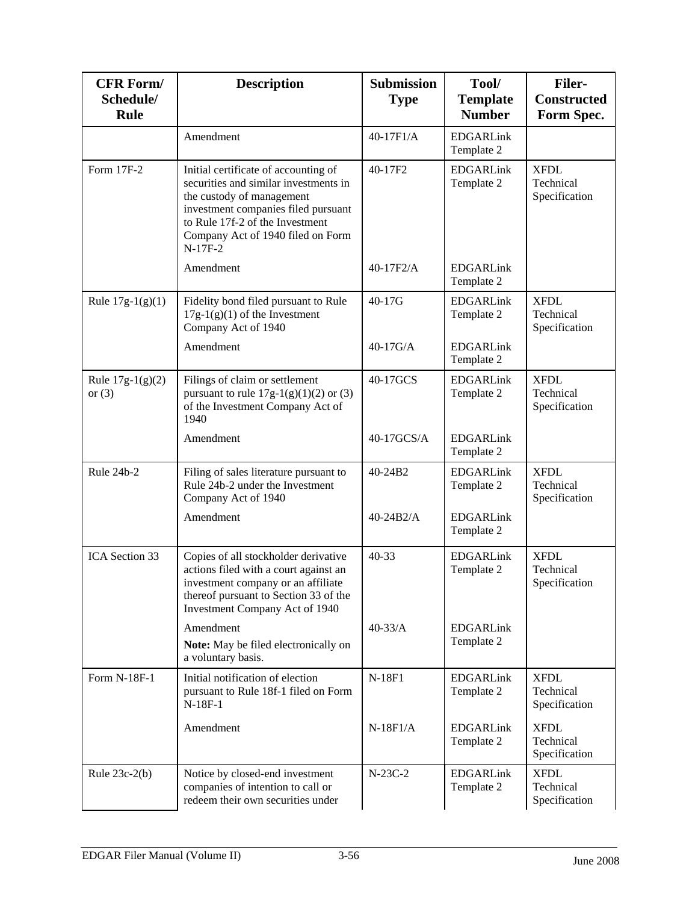| <b>CFR Form/</b><br>Schedule/<br>Rule | <b>Description</b>                                                                                                                                                                                                                     | <b>Submission</b><br><b>Type</b> | Tool/<br><b>Template</b><br><b>Number</b> | <b>Filer-</b><br><b>Constructed</b><br>Form Spec. |
|---------------------------------------|----------------------------------------------------------------------------------------------------------------------------------------------------------------------------------------------------------------------------------------|----------------------------------|-------------------------------------------|---------------------------------------------------|
|                                       | Amendment                                                                                                                                                                                                                              | 40-17F1/A                        | <b>EDGARLink</b><br>Template 2            |                                                   |
| Form 17F-2                            | Initial certificate of accounting of<br>securities and similar investments in<br>the custody of management<br>investment companies filed pursuant<br>to Rule 17f-2 of the Investment<br>Company Act of 1940 filed on Form<br>$N-17F-2$ | 40-17F2                          | <b>EDGARLink</b><br>Template 2            | <b>XFDL</b><br>Technical<br>Specification         |
|                                       | Amendment                                                                                                                                                                                                                              | 40-17F2/A                        | <b>EDGARLink</b><br>Template 2            |                                                   |
| Rule $17g-1(g)(1)$                    | Fidelity bond filed pursuant to Rule<br>$17g-1(g)(1)$ of the Investment<br>Company Act of 1940                                                                                                                                         | 40-17G                           | <b>EDGARLink</b><br>Template 2            | <b>XFDL</b><br>Technical<br>Specification         |
|                                       | Amendment                                                                                                                                                                                                                              | $40-17$ G/A                      | <b>EDGARLink</b><br>Template 2            |                                                   |
| Rule $17g-1(g)(2)$<br>or $(3)$        | Filings of claim or settlement<br>pursuant to rule $17g-1(g)(1)(2)$ or (3)<br>of the Investment Company Act of<br>1940                                                                                                                 | 40-17GCS                         | <b>EDGARLink</b><br>Template 2            | <b>XFDL</b><br>Technical<br>Specification         |
|                                       | Amendment                                                                                                                                                                                                                              | 40-17GCS/A                       | <b>EDGARLink</b><br>Template 2            |                                                   |
| Rule 24b-2                            | Filing of sales literature pursuant to<br>Rule 24b-2 under the Investment<br>Company Act of 1940                                                                                                                                       | 40-24B2                          | <b>EDGARLink</b><br>Template 2            | <b>XFDL</b><br>Technical<br>Specification         |
|                                       | Amendment                                                                                                                                                                                                                              | $40-24B2/A$                      | <b>EDGARLink</b><br>Template 2            |                                                   |
| ICA Section 33                        | Copies of all stockholder derivative<br>actions filed with a court against an<br>investment company or an affiliate<br>thereof pursuant to Section 33 of the<br>Investment Company Act of 1940                                         | 40-33                            | <b>EDGARLink</b><br>Template 2            | <b>XFDL</b><br>Technical<br>Specification         |
|                                       | Amendment<br>Note: May be filed electronically on<br>a voluntary basis.                                                                                                                                                                | $40 - 33/A$                      | <b>EDGARLink</b><br>Template 2            |                                                   |
| Form N-18F-1                          | Initial notification of election<br>pursuant to Rule 18f-1 filed on Form<br>$N-18F-1$                                                                                                                                                  | N-18F1                           | <b>EDGARLink</b><br>Template 2            | <b>XFDL</b><br>Technical<br>Specification         |
|                                       | Amendment                                                                                                                                                                                                                              | $N-18F1/A$                       | <b>EDGARLink</b><br>Template 2            | <b>XFDL</b><br>Technical<br>Specification         |
| Rule $23c-2(b)$                       | Notice by closed-end investment<br>companies of intention to call or<br>redeem their own securities under                                                                                                                              | $N-23C-2$                        | <b>EDGARLink</b><br>Template 2            | <b>XFDL</b><br>Technical<br>Specification         |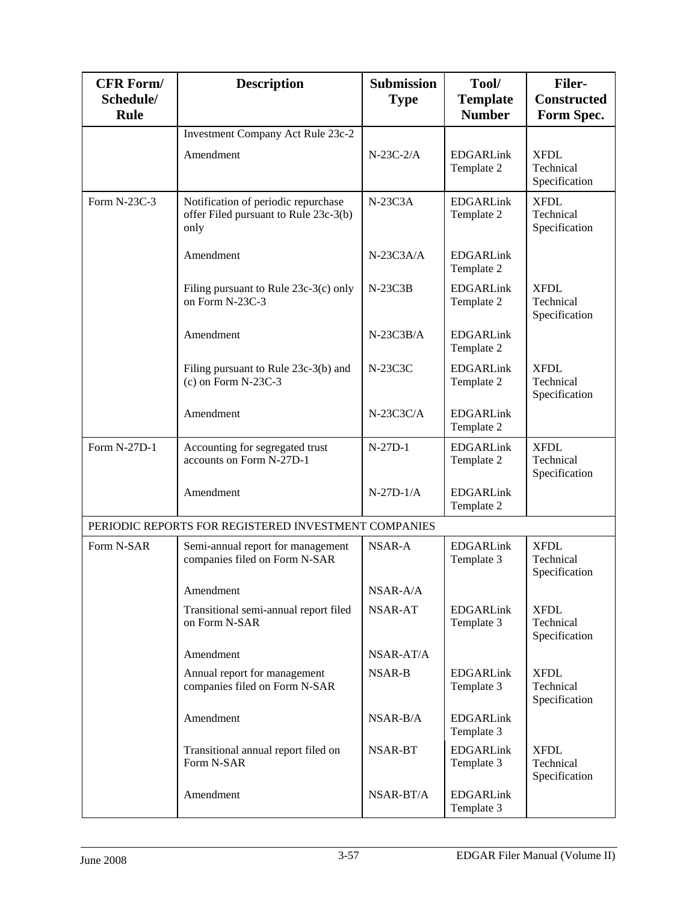| <b>CFR Form/</b><br>Schedule/<br><b>Rule</b> | <b>Description</b>                                                                   | <b>Submission</b><br><b>Type</b> | Tool/<br><b>Template</b><br><b>Number</b> | <b>Filer-</b><br><b>Constructed</b><br>Form Spec. |
|----------------------------------------------|--------------------------------------------------------------------------------------|----------------------------------|-------------------------------------------|---------------------------------------------------|
|                                              | Investment Company Act Rule 23c-2                                                    |                                  |                                           |                                                   |
|                                              | Amendment                                                                            | $N-23C-2/A$                      | <b>EDGARLink</b><br>Template 2            | <b>XFDL</b><br>Technical<br>Specification         |
| Form N-23C-3                                 | Notification of periodic repurchase<br>offer Filed pursuant to Rule 23c-3(b)<br>only | $N-23C3A$                        | <b>EDGARLink</b><br>Template 2            | <b>XFDL</b><br>Technical<br>Specification         |
|                                              | Amendment                                                                            | $N-23C3A/A$                      | <b>EDGARLink</b><br>Template 2            |                                                   |
|                                              | Filing pursuant to Rule 23c-3(c) only<br>on Form N-23C-3                             | $N-23C3B$                        | <b>EDGARLink</b><br>Template 2            | <b>XFDL</b><br>Technical<br>Specification         |
|                                              | Amendment                                                                            | $N-23C3B/A$                      | <b>EDGARLink</b><br>Template 2            |                                                   |
|                                              | Filing pursuant to Rule 23c-3(b) and<br>$(c)$ on Form N-23C-3                        | N-23C3C                          | <b>EDGARLink</b><br>Template 2            | <b>XFDL</b><br>Technical<br>Specification         |
|                                              | Amendment                                                                            | $N-23C3C/A$                      | <b>EDGARLink</b><br>Template 2            |                                                   |
| Form N-27D-1                                 | Accounting for segregated trust<br>accounts on Form N-27D-1                          | $N-27D-1$                        | <b>EDGARLink</b><br>Template 2            | <b>XFDL</b><br>Technical<br>Specification         |
|                                              | Amendment                                                                            | $N-27D-1/A$                      | <b>EDGARLink</b><br>Template 2            |                                                   |
|                                              | PERIODIC REPORTS FOR REGISTERED INVESTMENT COMPANIES                                 |                                  |                                           |                                                   |
| Form N-SAR                                   | Semi-annual report for management<br>companies filed on Form N-SAR                   | NSAR-A                           | <b>EDGARLink</b><br>Template 3            | <b>XFDL</b><br>Technical<br>Specification         |
|                                              | Amendment                                                                            | NSAR-A/A                         |                                           |                                                   |
|                                              | Transitional semi-annual report filed<br>on Form N-SAR                               | NSAR-AT                          | <b>EDGARLink</b><br>Template 3            | <b>XFDL</b><br>Technical<br>Specification         |
|                                              | Amendment                                                                            | NSAR-AT/A                        |                                           |                                                   |
|                                              | Annual report for management<br>companies filed on Form N-SAR                        | <b>NSAR-B</b>                    | <b>EDGARLink</b><br>Template 3            | <b>XFDL</b><br>Technical<br>Specification         |
|                                              | Amendment                                                                            | NSAR-B/A                         | <b>EDGARLink</b><br>Template 3            |                                                   |
|                                              | Transitional annual report filed on<br>Form N-SAR                                    | NSAR-BT                          | <b>EDGARLink</b><br>Template 3            | <b>XFDL</b><br>Technical<br>Specification         |
|                                              | Amendment                                                                            | NSAR-BT/A                        | <b>EDGARLink</b><br>Template 3            |                                                   |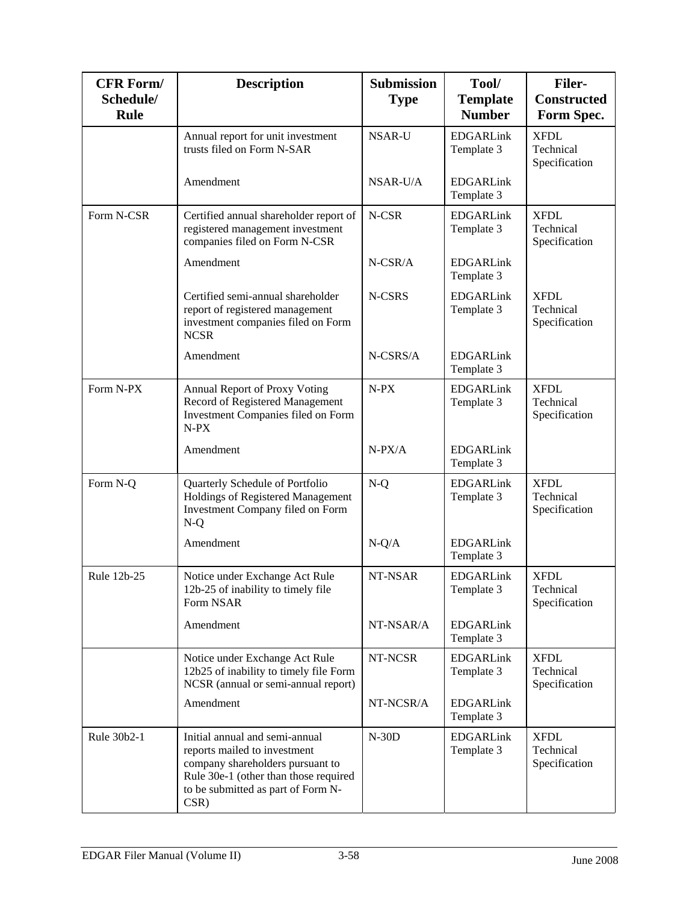| <b>CFR Form/</b><br>Schedule/<br>Rule | <b>Description</b>                                                                                                                                                                        | <b>Submission</b><br><b>Type</b> | Tool/<br><b>Template</b><br><b>Number</b> | <b>Filer-</b><br><b>Constructed</b><br>Form Spec. |
|---------------------------------------|-------------------------------------------------------------------------------------------------------------------------------------------------------------------------------------------|----------------------------------|-------------------------------------------|---------------------------------------------------|
|                                       | Annual report for unit investment<br>trusts filed on Form N-SAR                                                                                                                           | <b>NSAR-U</b>                    | <b>EDGARLink</b><br>Template 3            | <b>XFDL</b><br>Technical<br>Specification         |
|                                       | Amendment                                                                                                                                                                                 | NSAR-U/A                         | <b>EDGARLink</b><br>Template 3            |                                                   |
| Form N-CSR                            | Certified annual shareholder report of<br>registered management investment<br>companies filed on Form N-CSR                                                                               | N-CSR                            | <b>EDGARLink</b><br>Template 3            | <b>XFDL</b><br>Technical<br>Specification         |
|                                       | Amendment                                                                                                                                                                                 | N-CSR/A                          | <b>EDGARLink</b><br>Template 3            |                                                   |
|                                       | Certified semi-annual shareholder<br>report of registered management<br>investment companies filed on Form<br><b>NCSR</b>                                                                 | N-CSRS                           | <b>EDGARLink</b><br>Template 3            | <b>XFDL</b><br>Technical<br>Specification         |
|                                       | Amendment                                                                                                                                                                                 | N-CSRS/A                         | <b>EDGARLink</b><br>Template 3            |                                                   |
| Form N-PX                             | Annual Report of Proxy Voting<br>Record of Registered Management<br>Investment Companies filed on Form<br>$N-PX$                                                                          | $N-PX$                           | <b>EDGARLink</b><br>Template 3            | <b>XFDL</b><br>Technical<br>Specification         |
|                                       | Amendment                                                                                                                                                                                 | $N-PX/A$                         | <b>EDGARLink</b><br>Template 3            |                                                   |
| Form N-Q                              | Quarterly Schedule of Portfolio<br>Holdings of Registered Management<br>Investment Company filed on Form<br>$N-Q$                                                                         | $N-Q$                            | <b>EDGARLink</b><br>Template 3            | <b>XFDL</b><br>Technical<br>Specification         |
|                                       | Amendment                                                                                                                                                                                 | $N-Q/A$                          | <b>EDGARLink</b><br>Template 3            |                                                   |
| Rule 12b-25                           | Notice under Exchange Act Rule<br>12b-25 of inability to timely file<br>Form NSAR                                                                                                         | NT-NSAR                          | <b>EDGARLink</b><br>Template 3            | <b>XFDL</b><br>Technical<br>Specification         |
|                                       | Amendment                                                                                                                                                                                 | NT-NSAR/A                        | <b>EDGARLink</b><br>Template 3            |                                                   |
|                                       | Notice under Exchange Act Rule<br>12b25 of inability to timely file Form<br>NCSR (annual or semi-annual report)                                                                           | NT-NCSR                          | <b>EDGARLink</b><br>Template 3            | <b>XFDL</b><br>Technical<br>Specification         |
|                                       | Amendment                                                                                                                                                                                 | NT-NCSR/A                        | <b>EDGARLink</b><br>Template 3            |                                                   |
| Rule 30b2-1                           | Initial annual and semi-annual<br>reports mailed to investment<br>company shareholders pursuant to<br>Rule 30e-1 (other than those required<br>to be submitted as part of Form N-<br>CSR) | $N-30D$                          | <b>EDGARLink</b><br>Template 3            | <b>XFDL</b><br>Technical<br>Specification         |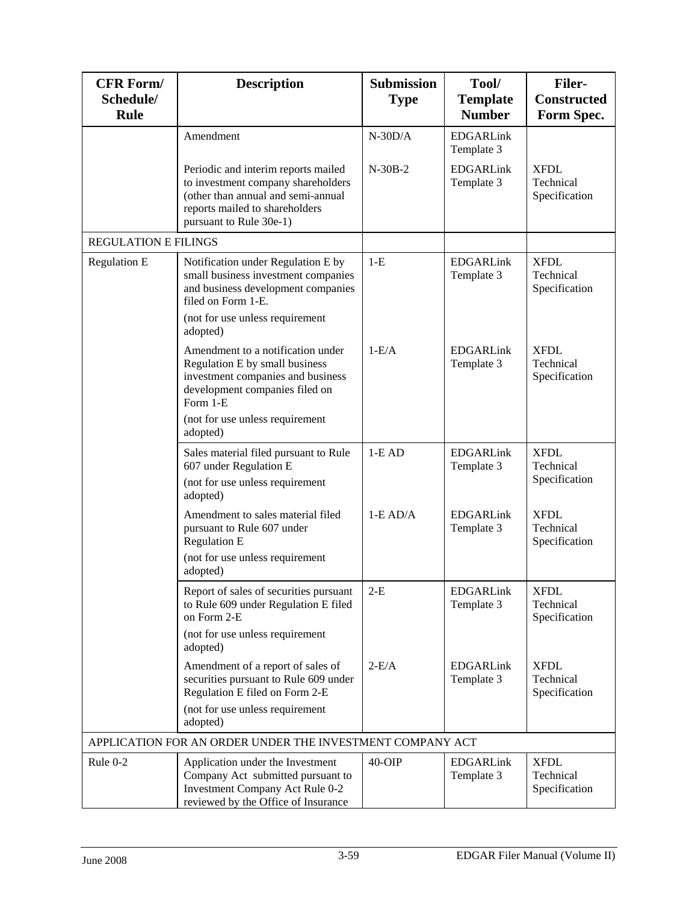| <b>CFR Form/</b><br>Schedule/<br>Rule | <b>Description</b>                                                                                                                                                                   | <b>Submission</b><br><b>Type</b> | Tool/<br><b>Template</b><br><b>Number</b> | <b>Filer-</b><br><b>Constructed</b><br>Form Spec. |
|---------------------------------------|--------------------------------------------------------------------------------------------------------------------------------------------------------------------------------------|----------------------------------|-------------------------------------------|---------------------------------------------------|
|                                       | Amendment                                                                                                                                                                            | $N-30D/A$                        | <b>EDGARLink</b><br>Template 3            |                                                   |
|                                       | Periodic and interim reports mailed<br>to investment company shareholders<br>(other than annual and semi-annual<br>reports mailed to shareholders<br>pursuant to Rule 30e-1)         | $N-30B-2$                        | <b>EDGARLink</b><br>Template 3            | <b>XFDL</b><br>Technical<br>Specification         |
| <b>REGULATION E FILINGS</b>           |                                                                                                                                                                                      |                                  |                                           |                                                   |
| <b>Regulation E</b>                   | Notification under Regulation E by<br>small business investment companies<br>and business development companies<br>filed on Form 1-E.<br>(not for use unless requirement<br>adopted) | $1-E$                            | <b>EDGARLink</b><br>Template 3            | <b>XFDL</b><br>Technical<br>Specification         |
|                                       | Amendment to a notification under<br>Regulation E by small business<br>investment companies and business<br>development companies filed on<br>Form 1-E                               | $1-E/A$                          | <b>EDGARLink</b><br>Template 3            | <b>XFDL</b><br>Technical<br>Specification         |
|                                       | (not for use unless requirement<br>adopted)                                                                                                                                          |                                  |                                           |                                                   |
|                                       | Sales material filed pursuant to Rule<br>607 under Regulation E<br>(not for use unless requirement                                                                                   | $1-EAD$                          | <b>EDGARLink</b><br>Template 3            | <b>XFDL</b><br>Technical<br>Specification         |
|                                       | adopted)<br>Amendment to sales material filed<br>pursuant to Rule 607 under<br><b>Regulation E</b><br>(not for use unless requirement<br>adopted)                                    | $1-E AD/A$                       | <b>EDGARLink</b><br>Template 3            | <b>XFDL</b><br>Technical<br>Specification         |
|                                       | Report of sales of securities pursuant<br>to Rule 609 under Regulation E filed<br>on Form 2-E<br>(not for use unless requirement<br>adopted)                                         | $2-E$                            | <b>EDGARLink</b><br>Template 3            | <b>XFDL</b><br>Technical<br>Specification         |
|                                       | Amendment of a report of sales of<br>securities pursuant to Rule 609 under<br>Regulation E filed on Form 2-E<br>(not for use unless requirement<br>adopted)                          | $2-E/A$                          | <b>EDGARLink</b><br>Template 3            | <b>XFDL</b><br>Technical<br>Specification         |
|                                       | APPLICATION FOR AN ORDER UNDER THE INVESTMENT COMPANY ACT                                                                                                                            |                                  |                                           |                                                   |
| Rule 0-2                              | Application under the Investment<br>Company Act submitted pursuant to<br>Investment Company Act Rule 0-2<br>reviewed by the Office of Insurance                                      | $40$ -OIP                        | <b>EDGARLink</b><br>Template 3            | <b>XFDL</b><br>Technical<br>Specification         |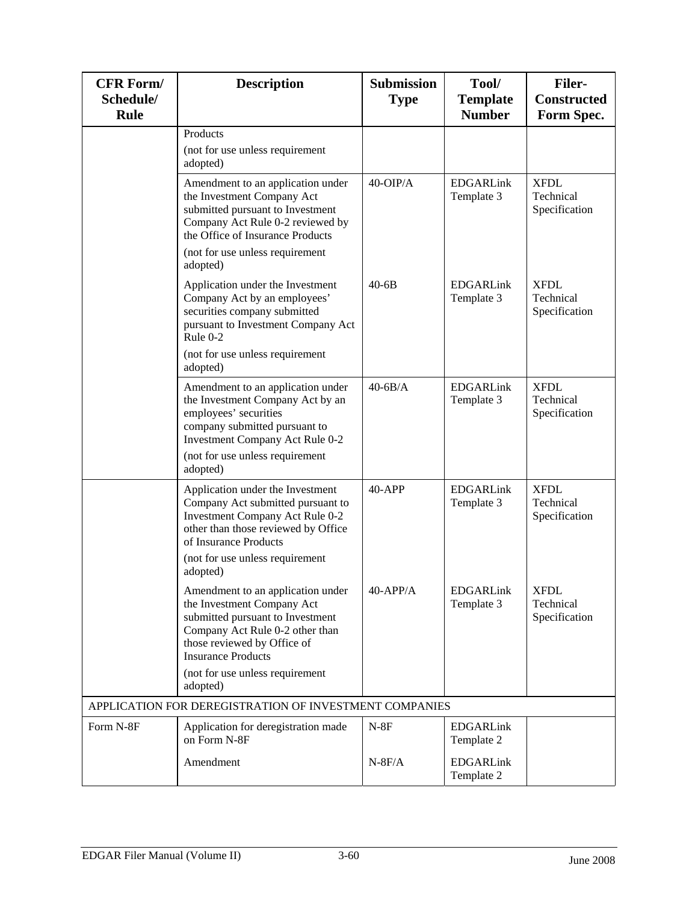| <b>CFR Form/</b><br>Schedule/<br><b>Rule</b> | <b>Description</b>                                                                                                                                                                                             | <b>Submission</b><br><b>Type</b> | Tool/<br><b>Template</b><br><b>Number</b> | <b>Filer-</b><br><b>Constructed</b><br>Form Spec. |
|----------------------------------------------|----------------------------------------------------------------------------------------------------------------------------------------------------------------------------------------------------------------|----------------------------------|-------------------------------------------|---------------------------------------------------|
|                                              | Products<br>(not for use unless requirement<br>adopted)                                                                                                                                                        |                                  |                                           |                                                   |
|                                              | Amendment to an application under<br>the Investment Company Act<br>submitted pursuant to Investment<br>Company Act Rule 0-2 reviewed by<br>the Office of Insurance Products                                    | $40$ -OIP/A                      | <b>EDGARLink</b><br>Template 3            | <b>XFDL</b><br>Technical<br>Specification         |
|                                              | (not for use unless requirement<br>adopted)                                                                                                                                                                    |                                  |                                           |                                                   |
|                                              | Application under the Investment<br>Company Act by an employees'<br>securities company submitted<br>pursuant to Investment Company Act<br>Rule 0-2                                                             | $40 - 6B$                        | <b>EDGARLink</b><br>Template 3            | <b>XFDL</b><br>Technical<br>Specification         |
|                                              | (not for use unless requirement<br>adopted)                                                                                                                                                                    |                                  |                                           |                                                   |
|                                              | Amendment to an application under<br>the Investment Company Act by an<br>employees' securities<br>company submitted pursuant to<br>Investment Company Act Rule 0-2                                             | $40-6B/A$                        | <b>EDGARLink</b><br>Template 3            | <b>XFDL</b><br>Technical<br>Specification         |
|                                              | (not for use unless requirement<br>adopted)                                                                                                                                                                    |                                  |                                           |                                                   |
|                                              | Application under the Investment<br>Company Act submitted pursuant to<br>Investment Company Act Rule 0-2<br>other than those reviewed by Office<br>of Insurance Products<br>(not for use unless requirement    | $40-APP$                         | <b>EDGARLink</b><br>Template 3            | <b>XFDL</b><br>Technical<br>Specification         |
|                                              | adopted)<br>Amendment to an application under<br>the Investment Company Act<br>submitted pursuant to Investment<br>Company Act Rule 0-2 other than<br>those reviewed by Office of<br><b>Insurance Products</b> | $40$ -APP/A                      | <b>EDGARLink</b><br>Template 3            | <b>XFDL</b><br>Technical<br>Specification         |
|                                              | (not for use unless requirement<br>adopted)                                                                                                                                                                    |                                  |                                           |                                                   |
|                                              | APPLICATION FOR DEREGISTRATION OF INVESTMENT COMPANIES                                                                                                                                                         |                                  |                                           |                                                   |
| Form N-8F                                    | Application for deregistration made<br>on Form N-8F                                                                                                                                                            | $N-8F$                           | <b>EDGARLink</b><br>Template 2            |                                                   |
|                                              | Amendment                                                                                                                                                                                                      | $N-8F/A$                         | <b>EDGARLink</b><br>Template 2            |                                                   |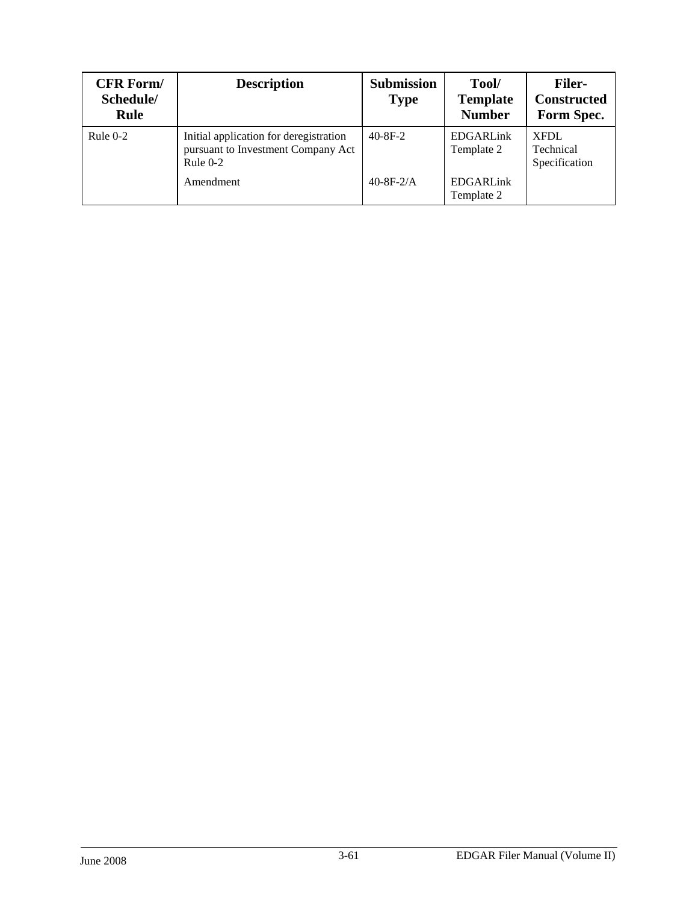| <b>CFR Form/</b><br>Schedule/<br>Rule | <b>Description</b>                                                                         | <b>Submission</b><br><b>Type</b> | Tool/<br><b>Template</b><br><b>Number</b> | <b>Filer-</b><br><b>Constructed</b><br>Form Spec. |
|---------------------------------------|--------------------------------------------------------------------------------------------|----------------------------------|-------------------------------------------|---------------------------------------------------|
| Rule $0-2$                            | Initial application for deregistration<br>pursuant to Investment Company Act<br>Rule $0-2$ | $40 - 8F - 2$                    | <b>EDGARLink</b><br>Template 2            | XFDL<br>Technical<br>Specification                |
|                                       | Amendment                                                                                  | $40-8F-2/A$                      | <b>EDGARLink</b><br>Template 2            |                                                   |